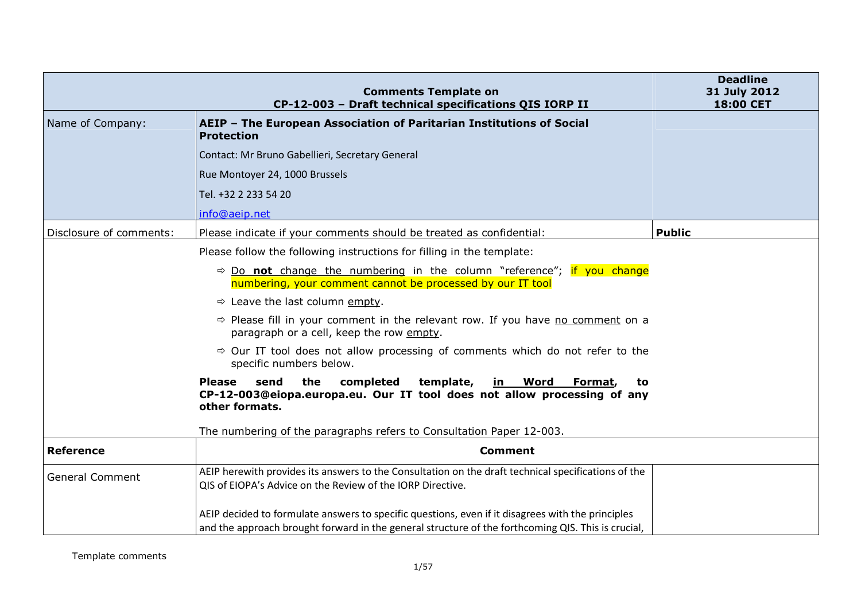|                         | <b>Comments Template on</b><br>CP-12-003 - Draft technical specifications QIS IORP II                                                                                                                   | <b>Deadline</b><br>31 July 2012<br>18:00 CET |
|-------------------------|---------------------------------------------------------------------------------------------------------------------------------------------------------------------------------------------------------|----------------------------------------------|
| Name of Company:        | AEIP - The European Association of Paritarian Institutions of Social<br><b>Protection</b>                                                                                                               |                                              |
|                         | Contact: Mr Bruno Gabellieri, Secretary General                                                                                                                                                         |                                              |
|                         | Rue Montoyer 24, 1000 Brussels                                                                                                                                                                          |                                              |
|                         | Tel. +32 2 233 54 20                                                                                                                                                                                    |                                              |
|                         | info@aeip.net                                                                                                                                                                                           |                                              |
| Disclosure of comments: | Please indicate if your comments should be treated as confidential:                                                                                                                                     | <b>Public</b>                                |
|                         | Please follow the following instructions for filling in the template:                                                                                                                                   |                                              |
|                         | $\Rightarrow$ Do not change the numbering in the column "reference"; if you change<br>numbering, your comment cannot be processed by our IT tool                                                        |                                              |
|                         | $\Rightarrow$ Leave the last column empty.                                                                                                                                                              |                                              |
|                         | $\Rightarrow$ Please fill in your comment in the relevant row. If you have no comment on a<br>paragraph or a cell, keep the row empty.                                                                  |                                              |
|                         | $\Rightarrow$ Our IT tool does not allow processing of comments which do not refer to the<br>specific numbers below.                                                                                    |                                              |
|                         | send<br>the<br>completed<br>template,<br><b>Please</b><br>in<br>Word<br>Format,<br>to<br>CP-12-003@eiopa.europa.eu. Our IT tool does not allow processing of any<br>other formats.                      |                                              |
|                         | The numbering of the paragraphs refers to Consultation Paper 12-003.                                                                                                                                    |                                              |
| <b>Reference</b>        | <b>Comment</b>                                                                                                                                                                                          |                                              |
| <b>General Comment</b>  | AEIP herewith provides its answers to the Consultation on the draft technical specifications of the<br>QIS of EIOPA's Advice on the Review of the IORP Directive.                                       |                                              |
|                         | AEIP decided to formulate answers to specific questions, even if it disagrees with the principles<br>and the approach brought forward in the general structure of the forthcoming QIS. This is crucial, |                                              |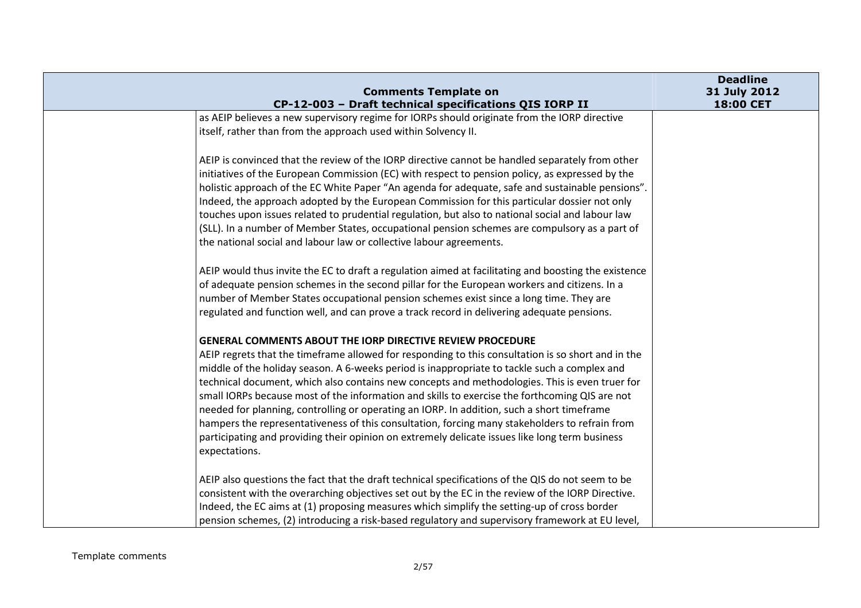| <b>Comments Template on</b>                                                                                                                                                                                                                                                                                                                                                                                                                                                                                                                                                                                                                                                                                                                                                                    | <b>Deadline</b><br>31 July 2012 |
|------------------------------------------------------------------------------------------------------------------------------------------------------------------------------------------------------------------------------------------------------------------------------------------------------------------------------------------------------------------------------------------------------------------------------------------------------------------------------------------------------------------------------------------------------------------------------------------------------------------------------------------------------------------------------------------------------------------------------------------------------------------------------------------------|---------------------------------|
| CP-12-003 - Draft technical specifications QIS IORP II                                                                                                                                                                                                                                                                                                                                                                                                                                                                                                                                                                                                                                                                                                                                         | 18:00 CET                       |
| as AEIP believes a new supervisory regime for IORPs should originate from the IORP directive<br>itself, rather than from the approach used within Solvency II.                                                                                                                                                                                                                                                                                                                                                                                                                                                                                                                                                                                                                                 |                                 |
| AEIP is convinced that the review of the IORP directive cannot be handled separately from other<br>initiatives of the European Commission (EC) with respect to pension policy, as expressed by the<br>holistic approach of the EC White Paper "An agenda for adequate, safe and sustainable pensions".<br>Indeed, the approach adopted by the European Commission for this particular dossier not only<br>touches upon issues related to prudential regulation, but also to national social and labour law<br>(SLL). In a number of Member States, occupational pension schemes are compulsory as a part of<br>the national social and labour law or collective labour agreements.                                                                                                             |                                 |
| AEIP would thus invite the EC to draft a regulation aimed at facilitating and boosting the existence<br>of adequate pension schemes in the second pillar for the European workers and citizens. In a<br>number of Member States occupational pension schemes exist since a long time. They are<br>regulated and function well, and can prove a track record in delivering adequate pensions.                                                                                                                                                                                                                                                                                                                                                                                                   |                                 |
| <b>GENERAL COMMENTS ABOUT THE IORP DIRECTIVE REVIEW PROCEDURE</b><br>AEIP regrets that the timeframe allowed for responding to this consultation is so short and in the<br>middle of the holiday season. A 6-weeks period is inappropriate to tackle such a complex and<br>technical document, which also contains new concepts and methodologies. This is even truer for<br>small IORPs because most of the information and skills to exercise the forthcoming QIS are not<br>needed for planning, controlling or operating an IORP. In addition, such a short timeframe<br>hampers the representativeness of this consultation, forcing many stakeholders to refrain from<br>participating and providing their opinion on extremely delicate issues like long term business<br>expectations. |                                 |
| AEIP also questions the fact that the draft technical specifications of the QIS do not seem to be<br>consistent with the overarching objectives set out by the EC in the review of the IORP Directive.<br>Indeed, the EC aims at (1) proposing measures which simplify the setting-up of cross border<br>pension schemes, (2) introducing a risk-based regulatory and supervisory framework at EU level,                                                                                                                                                                                                                                                                                                                                                                                       |                                 |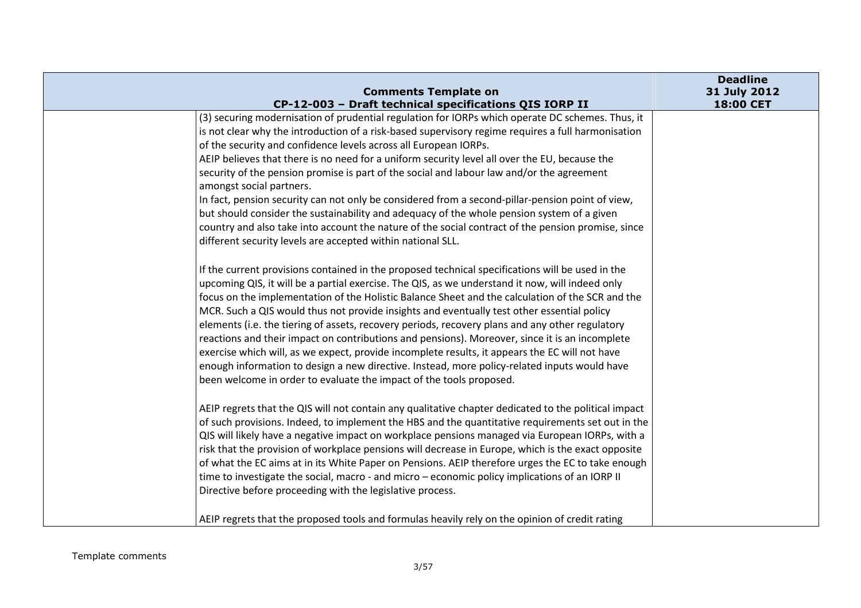| <b>Comments Template on</b>                                                                                                                                                                                                                                                                                                                                                                                                                                                                                                                                                                                                                                                                                                                                                                                                                                                         | <b>Deadline</b><br>31 July 2012 |
|-------------------------------------------------------------------------------------------------------------------------------------------------------------------------------------------------------------------------------------------------------------------------------------------------------------------------------------------------------------------------------------------------------------------------------------------------------------------------------------------------------------------------------------------------------------------------------------------------------------------------------------------------------------------------------------------------------------------------------------------------------------------------------------------------------------------------------------------------------------------------------------|---------------------------------|
| CP-12-003 - Draft technical specifications QIS IORP II                                                                                                                                                                                                                                                                                                                                                                                                                                                                                                                                                                                                                                                                                                                                                                                                                              | 18:00 CET                       |
| (3) securing modernisation of prudential regulation for IORPs which operate DC schemes. Thus, it<br>is not clear why the introduction of a risk-based supervisory regime requires a full harmonisation<br>of the security and confidence levels across all European IORPs.<br>AEIP believes that there is no need for a uniform security level all over the EU, because the<br>security of the pension promise is part of the social and labour law and/or the agreement<br>amongst social partners.<br>In fact, pension security can not only be considered from a second-pillar-pension point of view,<br>but should consider the sustainability and adequacy of the whole pension system of a given<br>country and also take into account the nature of the social contract of the pension promise, since<br>different security levels are accepted within national SLL.         |                                 |
| If the current provisions contained in the proposed technical specifications will be used in the<br>upcoming QIS, it will be a partial exercise. The QIS, as we understand it now, will indeed only<br>focus on the implementation of the Holistic Balance Sheet and the calculation of the SCR and the<br>MCR. Such a QIS would thus not provide insights and eventually test other essential policy<br>elements (i.e. the tiering of assets, recovery periods, recovery plans and any other regulatory<br>reactions and their impact on contributions and pensions). Moreover, since it is an incomplete<br>exercise which will, as we expect, provide incomplete results, it appears the EC will not have<br>enough information to design a new directive. Instead, more policy-related inputs would have<br>been welcome in order to evaluate the impact of the tools proposed. |                                 |
| AEIP regrets that the QIS will not contain any qualitative chapter dedicated to the political impact<br>of such provisions. Indeed, to implement the HBS and the quantitative requirements set out in the<br>QIS will likely have a negative impact on workplace pensions managed via European IORPs, with a<br>risk that the provision of workplace pensions will decrease in Europe, which is the exact opposite<br>of what the EC aims at in its White Paper on Pensions. AEIP therefore urges the EC to take enough<br>time to investigate the social, macro - and micro - economic policy implications of an IORP II<br>Directive before proceeding with the legislative process.                                                                                                                                                                                              |                                 |
| AEIP regrets that the proposed tools and formulas heavily rely on the opinion of credit rating                                                                                                                                                                                                                                                                                                                                                                                                                                                                                                                                                                                                                                                                                                                                                                                      |                                 |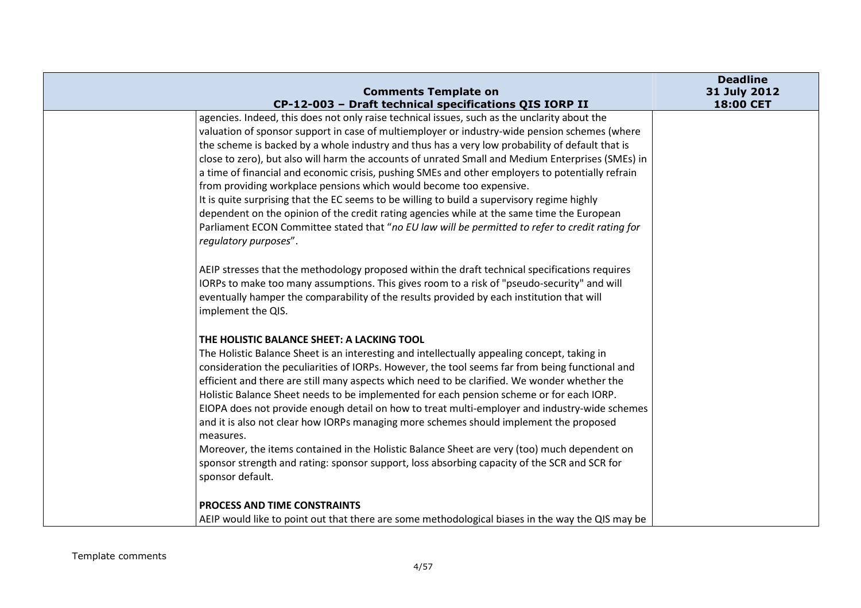|                                                                             | <b>Comments Template on</b>                                                                                                                                                                                                                                                                                                                                                                                                                                                                                                                                                                                                                                                                                                                                                                                                                                                       | <b>Deadline</b><br>31 July 2012 |
|-----------------------------------------------------------------------------|-----------------------------------------------------------------------------------------------------------------------------------------------------------------------------------------------------------------------------------------------------------------------------------------------------------------------------------------------------------------------------------------------------------------------------------------------------------------------------------------------------------------------------------------------------------------------------------------------------------------------------------------------------------------------------------------------------------------------------------------------------------------------------------------------------------------------------------------------------------------------------------|---------------------------------|
|                                                                             | CP-12-003 - Draft technical specifications QIS IORP II                                                                                                                                                                                                                                                                                                                                                                                                                                                                                                                                                                                                                                                                                                                                                                                                                            | 18:00 CET                       |
| regulatory purposes".                                                       | agencies. Indeed, this does not only raise technical issues, such as the unclarity about the<br>valuation of sponsor support in case of multiemployer or industry-wide pension schemes (where<br>the scheme is backed by a whole industry and thus has a very low probability of default that is<br>close to zero), but also will harm the accounts of unrated Small and Medium Enterprises (SMEs) in<br>a time of financial and economic crisis, pushing SMEs and other employers to potentially refrain<br>from providing workplace pensions which would become too expensive.<br>It is quite surprising that the EC seems to be willing to build a supervisory regime highly<br>dependent on the opinion of the credit rating agencies while at the same time the European<br>Parliament ECON Committee stated that "no EU law will be permitted to refer to credit rating for |                                 |
| implement the QIS.                                                          | AEIP stresses that the methodology proposed within the draft technical specifications requires<br>IORPs to make too many assumptions. This gives room to a risk of "pseudo-security" and will<br>eventually hamper the comparability of the results provided by each institution that will                                                                                                                                                                                                                                                                                                                                                                                                                                                                                                                                                                                        |                                 |
| THE HOLISTIC BALANCE SHEET: A LACKING TOOL<br>measures.<br>sponsor default. | The Holistic Balance Sheet is an interesting and intellectually appealing concept, taking in<br>consideration the peculiarities of IORPs. However, the tool seems far from being functional and<br>efficient and there are still many aspects which need to be clarified. We wonder whether the<br>Holistic Balance Sheet needs to be implemented for each pension scheme or for each IORP.<br>EIOPA does not provide enough detail on how to treat multi-employer and industry-wide schemes<br>and it is also not clear how IORPs managing more schemes should implement the proposed<br>Moreover, the items contained in the Holistic Balance Sheet are very (too) much dependent on<br>sponsor strength and rating: sponsor support, loss absorbing capacity of the SCR and SCR for                                                                                            |                                 |
| PROCESS AND TIME CONSTRAINTS                                                | AEIP would like to point out that there are some methodological biases in the way the QIS may be                                                                                                                                                                                                                                                                                                                                                                                                                                                                                                                                                                                                                                                                                                                                                                                  |                                 |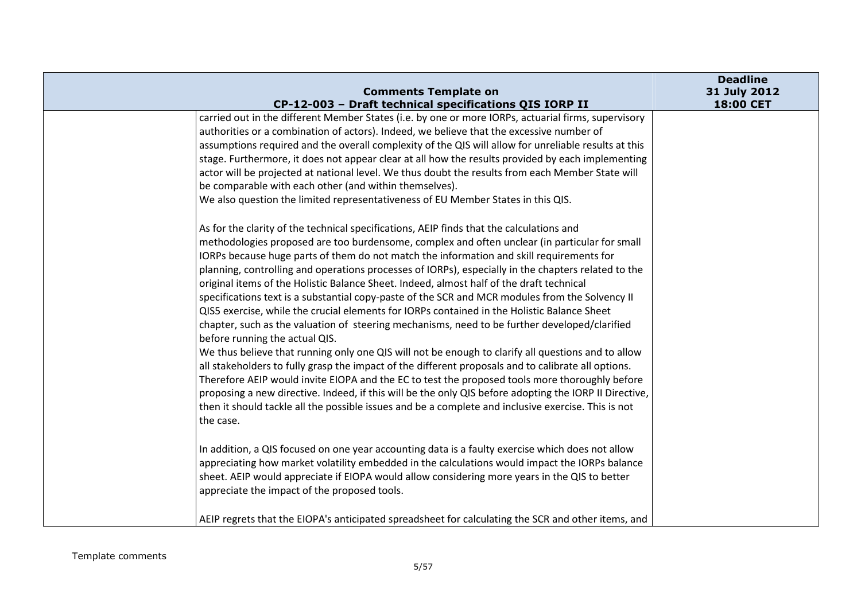|                                                                                                                                                                                                                                                                                                                                                                                                                                                                                                                                                                                                                                                                                                                                                                                                                                                                                                                                                                                                                                                                                                                                                                                                                                                                                                                                                                                                                                                                                                                                                                                                                                                                                                                                                                                                                                                                                                                                                                                                                                              | <b>Deadline</b>           |
|----------------------------------------------------------------------------------------------------------------------------------------------------------------------------------------------------------------------------------------------------------------------------------------------------------------------------------------------------------------------------------------------------------------------------------------------------------------------------------------------------------------------------------------------------------------------------------------------------------------------------------------------------------------------------------------------------------------------------------------------------------------------------------------------------------------------------------------------------------------------------------------------------------------------------------------------------------------------------------------------------------------------------------------------------------------------------------------------------------------------------------------------------------------------------------------------------------------------------------------------------------------------------------------------------------------------------------------------------------------------------------------------------------------------------------------------------------------------------------------------------------------------------------------------------------------------------------------------------------------------------------------------------------------------------------------------------------------------------------------------------------------------------------------------------------------------------------------------------------------------------------------------------------------------------------------------------------------------------------------------------------------------------------------------|---------------------------|
| <b>Comments Template on</b><br>CP-12-003 - Draft technical specifications QIS IORP II                                                                                                                                                                                                                                                                                                                                                                                                                                                                                                                                                                                                                                                                                                                                                                                                                                                                                                                                                                                                                                                                                                                                                                                                                                                                                                                                                                                                                                                                                                                                                                                                                                                                                                                                                                                                                                                                                                                                                        | 31 July 2012<br>18:00 CET |
| carried out in the different Member States (i.e. by one or more IORPs, actuarial firms, supervisory<br>authorities or a combination of actors). Indeed, we believe that the excessive number of<br>assumptions required and the overall complexity of the QIS will allow for unreliable results at this<br>stage. Furthermore, it does not appear clear at all how the results provided by each implementing<br>actor will be projected at national level. We thus doubt the results from each Member State will<br>be comparable with each other (and within themselves).<br>We also question the limited representativeness of EU Member States in this QIS.<br>As for the clarity of the technical specifications, AEIP finds that the calculations and<br>methodologies proposed are too burdensome, complex and often unclear (in particular for small<br>IORPs because huge parts of them do not match the information and skill requirements for<br>planning, controlling and operations processes of IORPs), especially in the chapters related to the<br>original items of the Holistic Balance Sheet. Indeed, almost half of the draft technical<br>specifications text is a substantial copy-paste of the SCR and MCR modules from the Solvency II<br>QIS5 exercise, while the crucial elements for IORPs contained in the Holistic Balance Sheet<br>chapter, such as the valuation of steering mechanisms, need to be further developed/clarified<br>before running the actual QIS.<br>We thus believe that running only one QIS will not be enough to clarify all questions and to allow<br>all stakeholders to fully grasp the impact of the different proposals and to calibrate all options.<br>Therefore AEIP would invite EIOPA and the EC to test the proposed tools more thoroughly before<br>proposing a new directive. Indeed, if this will be the only QIS before adopting the IORP II Directive,<br>then it should tackle all the possible issues and be a complete and inclusive exercise. This is not<br>the case. |                           |
| In addition, a QIS focused on one year accounting data is a faulty exercise which does not allow<br>appreciating how market volatility embedded in the calculations would impact the IORPs balance<br>sheet. AEIP would appreciate if EIOPA would allow considering more years in the QIS to better<br>appreciate the impact of the proposed tools.<br>AEIP regrets that the EIOPA's anticipated spreadsheet for calculating the SCR and other items, and                                                                                                                                                                                                                                                                                                                                                                                                                                                                                                                                                                                                                                                                                                                                                                                                                                                                                                                                                                                                                                                                                                                                                                                                                                                                                                                                                                                                                                                                                                                                                                                    |                           |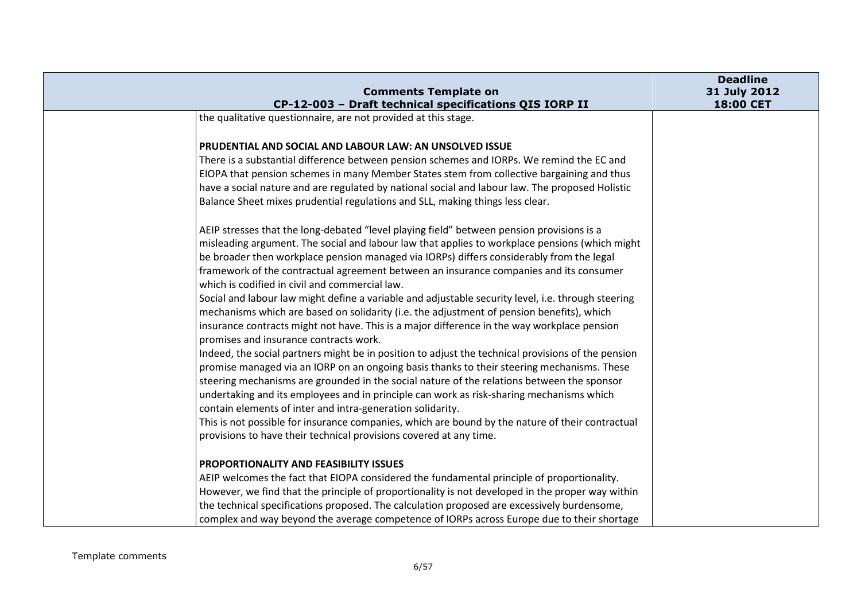|                                                                                          |                                                                                                                                                                                                                                                                                                                                                                                                                                                                                                                                                                                                                                                                                                                                                                                           | <b>Deadline</b>           |
|------------------------------------------------------------------------------------------|-------------------------------------------------------------------------------------------------------------------------------------------------------------------------------------------------------------------------------------------------------------------------------------------------------------------------------------------------------------------------------------------------------------------------------------------------------------------------------------------------------------------------------------------------------------------------------------------------------------------------------------------------------------------------------------------------------------------------------------------------------------------------------------------|---------------------------|
|                                                                                          | <b>Comments Template on</b><br>CP-12-003 - Draft technical specifications QIS IORP II                                                                                                                                                                                                                                                                                                                                                                                                                                                                                                                                                                                                                                                                                                     | 31 July 2012<br>18:00 CET |
| the qualitative questionnaire, are not provided at this stage.                           |                                                                                                                                                                                                                                                                                                                                                                                                                                                                                                                                                                                                                                                                                                                                                                                           |                           |
| <b>PRUDENTIAL AND SOCIAL AND LABOUR LAW: AN UNSOLVED ISSUE</b>                           |                                                                                                                                                                                                                                                                                                                                                                                                                                                                                                                                                                                                                                                                                                                                                                                           |                           |
|                                                                                          | There is a substantial difference between pension schemes and IORPs. We remind the EC and                                                                                                                                                                                                                                                                                                                                                                                                                                                                                                                                                                                                                                                                                                 |                           |
|                                                                                          | EIOPA that pension schemes in many Member States stem from collective bargaining and thus                                                                                                                                                                                                                                                                                                                                                                                                                                                                                                                                                                                                                                                                                                 |                           |
|                                                                                          | have a social nature and are regulated by national social and labour law. The proposed Holistic                                                                                                                                                                                                                                                                                                                                                                                                                                                                                                                                                                                                                                                                                           |                           |
| Balance Sheet mixes prudential regulations and SLL, making things less clear.            |                                                                                                                                                                                                                                                                                                                                                                                                                                                                                                                                                                                                                                                                                                                                                                                           |                           |
| which is codified in civil and commercial law.<br>promises and insurance contracts work. | AEIP stresses that the long-debated "level playing field" between pension provisions is a<br>misleading argument. The social and labour law that applies to workplace pensions (which might<br>be broader then workplace pension managed via IORPs) differs considerably from the legal<br>framework of the contractual agreement between an insurance companies and its consumer<br>Social and labour law might define a variable and adjustable security level, i.e. through steering<br>mechanisms which are based on solidarity (i.e. the adjustment of pension benefits), which<br>insurance contracts might not have. This is a major difference in the way workplace pension<br>Indeed, the social partners might be in position to adjust the technical provisions of the pension |                           |
|                                                                                          | promise managed via an IORP on an ongoing basis thanks to their steering mechanisms. These                                                                                                                                                                                                                                                                                                                                                                                                                                                                                                                                                                                                                                                                                                |                           |
|                                                                                          | steering mechanisms are grounded in the social nature of the relations between the sponsor<br>undertaking and its employees and in principle can work as risk-sharing mechanisms which                                                                                                                                                                                                                                                                                                                                                                                                                                                                                                                                                                                                    |                           |
| contain elements of inter and intra-generation solidarity.                               |                                                                                                                                                                                                                                                                                                                                                                                                                                                                                                                                                                                                                                                                                                                                                                                           |                           |
|                                                                                          | This is not possible for insurance companies, which are bound by the nature of their contractual                                                                                                                                                                                                                                                                                                                                                                                                                                                                                                                                                                                                                                                                                          |                           |
| provisions to have their technical provisions covered at any time.                       |                                                                                                                                                                                                                                                                                                                                                                                                                                                                                                                                                                                                                                                                                                                                                                                           |                           |
| <b>PROPORTIONALITY AND FEASIBILITY ISSUES</b>                                            |                                                                                                                                                                                                                                                                                                                                                                                                                                                                                                                                                                                                                                                                                                                                                                                           |                           |
|                                                                                          | AEIP welcomes the fact that EIOPA considered the fundamental principle of proportionality.                                                                                                                                                                                                                                                                                                                                                                                                                                                                                                                                                                                                                                                                                                |                           |
|                                                                                          | However, we find that the principle of proportionality is not developed in the proper way within                                                                                                                                                                                                                                                                                                                                                                                                                                                                                                                                                                                                                                                                                          |                           |
|                                                                                          | the technical specifications proposed. The calculation proposed are excessively burdensome,                                                                                                                                                                                                                                                                                                                                                                                                                                                                                                                                                                                                                                                                                               |                           |
|                                                                                          | complex and way beyond the average competence of IORPs across Europe due to their shortage                                                                                                                                                                                                                                                                                                                                                                                                                                                                                                                                                                                                                                                                                                |                           |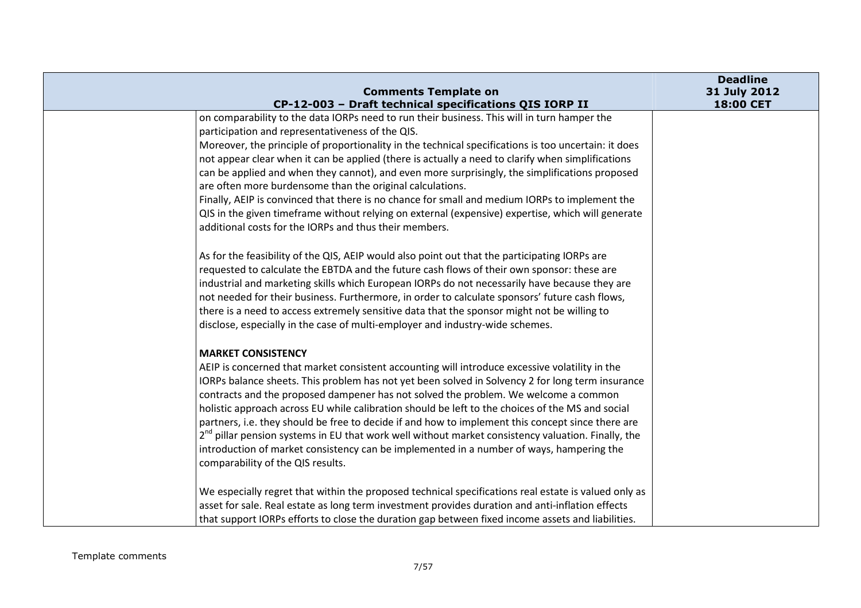| <b>Comments Template on</b>                                                                                                                                                                                                                                                                                                                                                                                                                                                                                                                                                                                                                                                                                                                                                                  | <b>Deadline</b><br>31 July 2012 |
|----------------------------------------------------------------------------------------------------------------------------------------------------------------------------------------------------------------------------------------------------------------------------------------------------------------------------------------------------------------------------------------------------------------------------------------------------------------------------------------------------------------------------------------------------------------------------------------------------------------------------------------------------------------------------------------------------------------------------------------------------------------------------------------------|---------------------------------|
| CP-12-003 - Draft technical specifications QIS IORP II                                                                                                                                                                                                                                                                                                                                                                                                                                                                                                                                                                                                                                                                                                                                       | 18:00 CET                       |
| on comparability to the data IORPs need to run their business. This will in turn hamper the<br>participation and representativeness of the QIS.<br>Moreover, the principle of proportionality in the technical specifications is too uncertain: it does<br>not appear clear when it can be applied (there is actually a need to clarify when simplifications<br>can be applied and when they cannot), and even more surprisingly, the simplifications proposed<br>are often more burdensome than the original calculations.<br>Finally, AEIP is convinced that there is no chance for small and medium IORPs to implement the<br>QIS in the given timeframe without relying on external (expensive) expertise, which will generate<br>additional costs for the IORPs and thus their members. |                                 |
| As for the feasibility of the QIS, AEIP would also point out that the participating IORPs are<br>requested to calculate the EBTDA and the future cash flows of their own sponsor: these are<br>industrial and marketing skills which European IORPs do not necessarily have because they are<br>not needed for their business. Furthermore, in order to calculate sponsors' future cash flows,<br>there is a need to access extremely sensitive data that the sponsor might not be willing to<br>disclose, especially in the case of multi-employer and industry-wide schemes.                                                                                                                                                                                                               |                                 |
| <b>MARKET CONSISTENCY</b><br>AEIP is concerned that market consistent accounting will introduce excessive volatility in the<br>IORPs balance sheets. This problem has not yet been solved in Solvency 2 for long term insurance<br>contracts and the proposed dampener has not solved the problem. We welcome a common<br>holistic approach across EU while calibration should be left to the choices of the MS and social<br>partners, i.e. they should be free to decide if and how to implement this concept since there are<br>2 <sup>nd</sup> pillar pension systems in EU that work well without market consistency valuation. Finally, the<br>introduction of market consistency can be implemented in a number of ways, hampering the<br>comparability of the QIS results.           |                                 |
| We especially regret that within the proposed technical specifications real estate is valued only as<br>asset for sale. Real estate as long term investment provides duration and anti-inflation effects<br>that support IORPs efforts to close the duration gap between fixed income assets and liabilities.                                                                                                                                                                                                                                                                                                                                                                                                                                                                                |                                 |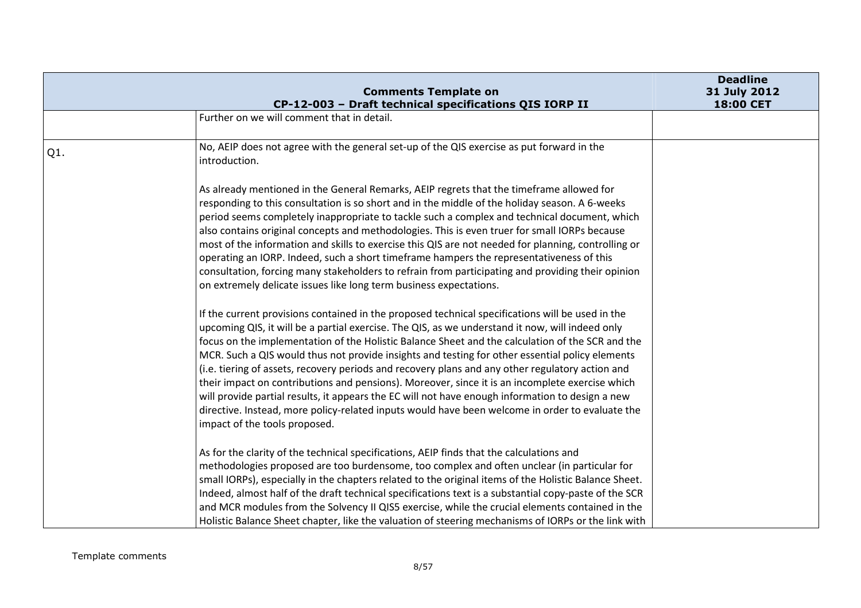|     | <b>Comments Template on</b>                                                                                                                                                                                                                                                                                                                                                                                                                                                                                                                                                                                                                                                                                                                                                                                                                               | <b>Deadline</b><br>31 July 2012 |
|-----|-----------------------------------------------------------------------------------------------------------------------------------------------------------------------------------------------------------------------------------------------------------------------------------------------------------------------------------------------------------------------------------------------------------------------------------------------------------------------------------------------------------------------------------------------------------------------------------------------------------------------------------------------------------------------------------------------------------------------------------------------------------------------------------------------------------------------------------------------------------|---------------------------------|
|     | CP-12-003 - Draft technical specifications QIS IORP II                                                                                                                                                                                                                                                                                                                                                                                                                                                                                                                                                                                                                                                                                                                                                                                                    | 18:00 CET                       |
|     | Further on we will comment that in detail.                                                                                                                                                                                                                                                                                                                                                                                                                                                                                                                                                                                                                                                                                                                                                                                                                |                                 |
|     |                                                                                                                                                                                                                                                                                                                                                                                                                                                                                                                                                                                                                                                                                                                                                                                                                                                           |                                 |
| Q1. | No, AEIP does not agree with the general set-up of the QIS exercise as put forward in the<br>introduction.                                                                                                                                                                                                                                                                                                                                                                                                                                                                                                                                                                                                                                                                                                                                                |                                 |
|     | As already mentioned in the General Remarks, AEIP regrets that the timeframe allowed for<br>responding to this consultation is so short and in the middle of the holiday season. A 6-weeks<br>period seems completely inappropriate to tackle such a complex and technical document, which<br>also contains original concepts and methodologies. This is even truer for small IORPs because<br>most of the information and skills to exercise this QIS are not needed for planning, controlling or<br>operating an IORP. Indeed, such a short timeframe hampers the representativeness of this<br>consultation, forcing many stakeholders to refrain from participating and providing their opinion<br>on extremely delicate issues like long term business expectations.                                                                                 |                                 |
|     | If the current provisions contained in the proposed technical specifications will be used in the<br>upcoming QIS, it will be a partial exercise. The QIS, as we understand it now, will indeed only<br>focus on the implementation of the Holistic Balance Sheet and the calculation of the SCR and the<br>MCR. Such a QIS would thus not provide insights and testing for other essential policy elements<br>(i.e. tiering of assets, recovery periods and recovery plans and any other regulatory action and<br>their impact on contributions and pensions). Moreover, since it is an incomplete exercise which<br>will provide partial results, it appears the EC will not have enough information to design a new<br>directive. Instead, more policy-related inputs would have been welcome in order to evaluate the<br>impact of the tools proposed. |                                 |
|     | As for the clarity of the technical specifications, AEIP finds that the calculations and<br>methodologies proposed are too burdensome, too complex and often unclear (in particular for<br>small IORPs), especially in the chapters related to the original items of the Holistic Balance Sheet.<br>Indeed, almost half of the draft technical specifications text is a substantial copy-paste of the SCR<br>and MCR modules from the Solvency II QIS5 exercise, while the crucial elements contained in the<br>Holistic Balance Sheet chapter, like the valuation of steering mechanisms of IORPs or the link with                                                                                                                                                                                                                                       |                                 |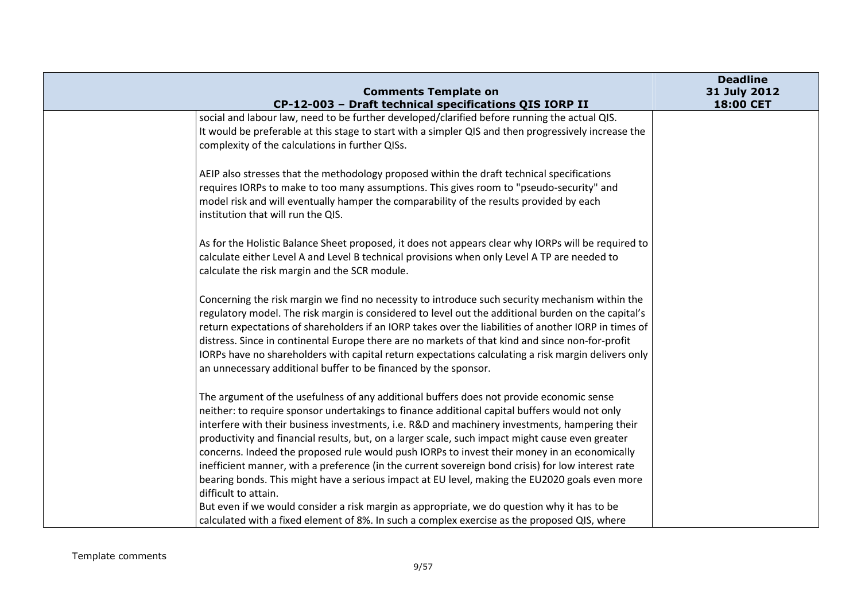| <b>Comments Template on</b>                                                                                                                                                                                                                                                                                                                                                                                                                                                                                                                                                                                                                                                                                                                                                                                                                                                                                                    | <b>Deadline</b><br>31 July 2012 |
|--------------------------------------------------------------------------------------------------------------------------------------------------------------------------------------------------------------------------------------------------------------------------------------------------------------------------------------------------------------------------------------------------------------------------------------------------------------------------------------------------------------------------------------------------------------------------------------------------------------------------------------------------------------------------------------------------------------------------------------------------------------------------------------------------------------------------------------------------------------------------------------------------------------------------------|---------------------------------|
| CP-12-003 - Draft technical specifications QIS IORP II                                                                                                                                                                                                                                                                                                                                                                                                                                                                                                                                                                                                                                                                                                                                                                                                                                                                         | 18:00 CET                       |
| social and labour law, need to be further developed/clarified before running the actual QIS.<br>It would be preferable at this stage to start with a simpler QIS and then progressively increase the<br>complexity of the calculations in further QISs.                                                                                                                                                                                                                                                                                                                                                                                                                                                                                                                                                                                                                                                                        |                                 |
| AEIP also stresses that the methodology proposed within the draft technical specifications<br>requires IORPs to make to too many assumptions. This gives room to "pseudo-security" and<br>model risk and will eventually hamper the comparability of the results provided by each<br>institution that will run the QIS.                                                                                                                                                                                                                                                                                                                                                                                                                                                                                                                                                                                                        |                                 |
| As for the Holistic Balance Sheet proposed, it does not appears clear why IORPs will be required to<br>calculate either Level A and Level B technical provisions when only Level A TP are needed to<br>calculate the risk margin and the SCR module.                                                                                                                                                                                                                                                                                                                                                                                                                                                                                                                                                                                                                                                                           |                                 |
| Concerning the risk margin we find no necessity to introduce such security mechanism within the<br>regulatory model. The risk margin is considered to level out the additional burden on the capital's<br>return expectations of shareholders if an IORP takes over the liabilities of another IORP in times of<br>distress. Since in continental Europe there are no markets of that kind and since non-for-profit<br>IORPs have no shareholders with capital return expectations calculating a risk margin delivers only<br>an unnecessary additional buffer to be financed by the sponsor.                                                                                                                                                                                                                                                                                                                                  |                                 |
| The argument of the usefulness of any additional buffers does not provide economic sense<br>neither: to require sponsor undertakings to finance additional capital buffers would not only<br>interfere with their business investments, i.e. R&D and machinery investments, hampering their<br>productivity and financial results, but, on a larger scale, such impact might cause even greater<br>concerns. Indeed the proposed rule would push IORPs to invest their money in an economically<br>inefficient manner, with a preference (in the current sovereign bond crisis) for low interest rate<br>bearing bonds. This might have a serious impact at EU level, making the EU2020 goals even more<br>difficult to attain.<br>But even if we would consider a risk margin as appropriate, we do question why it has to be<br>calculated with a fixed element of 8%. In such a complex exercise as the proposed QIS, where |                                 |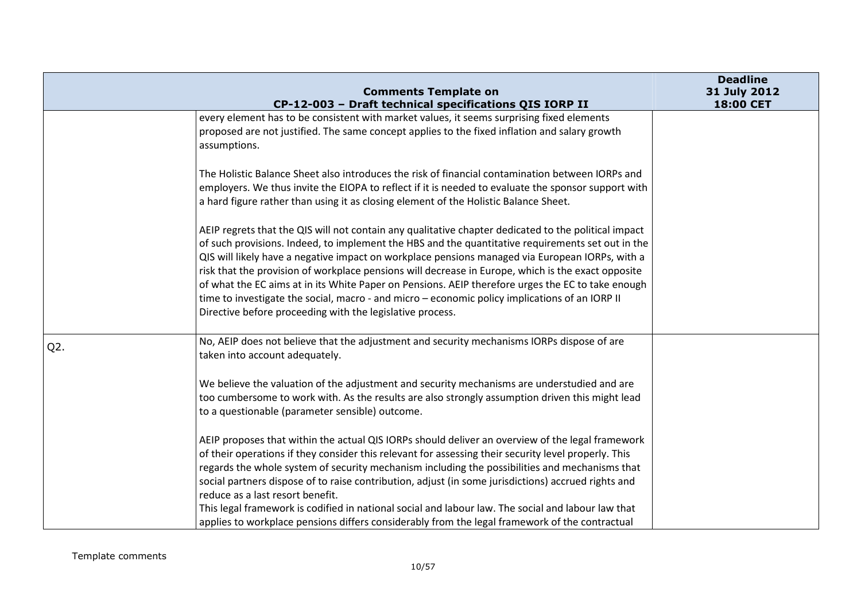|                  | <b>Comments Template on</b>                                                                                                                                                                                                                                                                                                                                                                                                                                                                                                                                                                                                                                                            | <b>Deadline</b><br>31 July 2012 |
|------------------|----------------------------------------------------------------------------------------------------------------------------------------------------------------------------------------------------------------------------------------------------------------------------------------------------------------------------------------------------------------------------------------------------------------------------------------------------------------------------------------------------------------------------------------------------------------------------------------------------------------------------------------------------------------------------------------|---------------------------------|
|                  | CP-12-003 - Draft technical specifications QIS IORP II<br>every element has to be consistent with market values, it seems surprising fixed elements<br>proposed are not justified. The same concept applies to the fixed inflation and salary growth<br>assumptions.                                                                                                                                                                                                                                                                                                                                                                                                                   | 18:00 CET                       |
|                  | The Holistic Balance Sheet also introduces the risk of financial contamination between IORPs and<br>employers. We thus invite the EIOPA to reflect if it is needed to evaluate the sponsor support with<br>a hard figure rather than using it as closing element of the Holistic Balance Sheet.                                                                                                                                                                                                                                                                                                                                                                                        |                                 |
|                  | AEIP regrets that the QIS will not contain any qualitative chapter dedicated to the political impact<br>of such provisions. Indeed, to implement the HBS and the quantitative requirements set out in the<br>QIS will likely have a negative impact on workplace pensions managed via European IORPs, with a<br>risk that the provision of workplace pensions will decrease in Europe, which is the exact opposite<br>of what the EC aims at in its White Paper on Pensions. AEIP therefore urges the EC to take enough<br>time to investigate the social, macro - and micro - economic policy implications of an IORP II<br>Directive before proceeding with the legislative process. |                                 |
| Q <sub>2</sub> . | No, AEIP does not believe that the adjustment and security mechanisms IORPs dispose of are<br>taken into account adequately.<br>We believe the valuation of the adjustment and security mechanisms are understudied and are<br>too cumbersome to work with. As the results are also strongly assumption driven this might lead<br>to a questionable (parameter sensible) outcome.                                                                                                                                                                                                                                                                                                      |                                 |
|                  | AEIP proposes that within the actual QIS IORPs should deliver an overview of the legal framework<br>of their operations if they consider this relevant for assessing their security level properly. This<br>regards the whole system of security mechanism including the possibilities and mechanisms that<br>social partners dispose of to raise contribution, adjust (in some jurisdictions) accrued rights and<br>reduce as a last resort benefit.<br>This legal framework is codified in national social and labour law. The social and labour law that<br>applies to workplace pensions differs considerably from the legal framework of the contractual                          |                                 |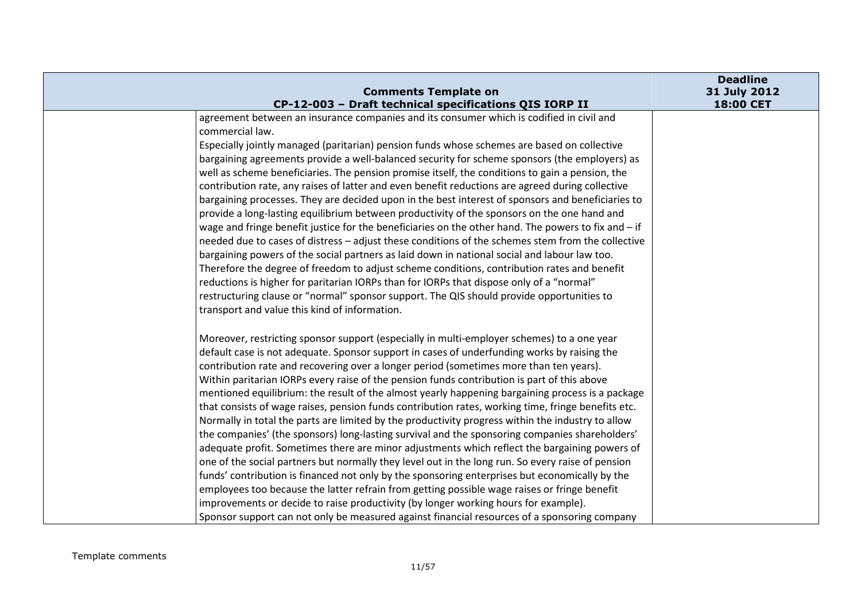| <b>Comments Template on</b>                                                                                                                                                                                                                                                                                                                                                                                                                                                                                                                                                                                                                                                                                                                                                                                                                                                                                                                                                                                                                                                                                                                                                                                                                                                                                                                                                                        | <b>Deadline</b><br>31 July 2012 |
|----------------------------------------------------------------------------------------------------------------------------------------------------------------------------------------------------------------------------------------------------------------------------------------------------------------------------------------------------------------------------------------------------------------------------------------------------------------------------------------------------------------------------------------------------------------------------------------------------------------------------------------------------------------------------------------------------------------------------------------------------------------------------------------------------------------------------------------------------------------------------------------------------------------------------------------------------------------------------------------------------------------------------------------------------------------------------------------------------------------------------------------------------------------------------------------------------------------------------------------------------------------------------------------------------------------------------------------------------------------------------------------------------|---------------------------------|
| CP-12-003 - Draft technical specifications QIS IORP II                                                                                                                                                                                                                                                                                                                                                                                                                                                                                                                                                                                                                                                                                                                                                                                                                                                                                                                                                                                                                                                                                                                                                                                                                                                                                                                                             | 18:00 CET                       |
| agreement between an insurance companies and its consumer which is codified in civil and<br>commercial law.<br>Especially jointly managed (paritarian) pension funds whose schemes are based on collective<br>bargaining agreements provide a well-balanced security for scheme sponsors (the employers) as<br>well as scheme beneficiaries. The pension promise itself, the conditions to gain a pension, the<br>contribution rate, any raises of latter and even benefit reductions are agreed during collective<br>bargaining processes. They are decided upon in the best interest of sponsors and beneficiaries to<br>provide a long-lasting equilibrium between productivity of the sponsors on the one hand and<br>wage and fringe benefit justice for the beneficiaries on the other hand. The powers to fix and $-$ if<br>needed due to cases of distress - adjust these conditions of the schemes stem from the collective<br>bargaining powers of the social partners as laid down in national social and labour law too.<br>Therefore the degree of freedom to adjust scheme conditions, contribution rates and benefit<br>reductions is higher for paritarian IORPs than for IORPs that dispose only of a "normal"<br>restructuring clause or "normal" sponsor support. The QIS should provide opportunities to<br>transport and value this kind of information.                      |                                 |
| Moreover, restricting sponsor support (especially in multi-employer schemes) to a one year<br>default case is not adequate. Sponsor support in cases of underfunding works by raising the<br>contribution rate and recovering over a longer period (sometimes more than ten years).<br>Within paritarian IORPs every raise of the pension funds contribution is part of this above<br>mentioned equilibrium: the result of the almost yearly happening bargaining process is a package<br>that consists of wage raises, pension funds contribution rates, working time, fringe benefits etc.<br>Normally in total the parts are limited by the productivity progress within the industry to allow<br>the companies' (the sponsors) long-lasting survival and the sponsoring companies shareholders'<br>adequate profit. Sometimes there are minor adjustments which reflect the bargaining powers of<br>one of the social partners but normally they level out in the long run. So every raise of pension<br>funds' contribution is financed not only by the sponsoring enterprises but economically by the<br>employees too because the latter refrain from getting possible wage raises or fringe benefit<br>improvements or decide to raise productivity (by longer working hours for example).<br>Sponsor support can not only be measured against financial resources of a sponsoring company |                                 |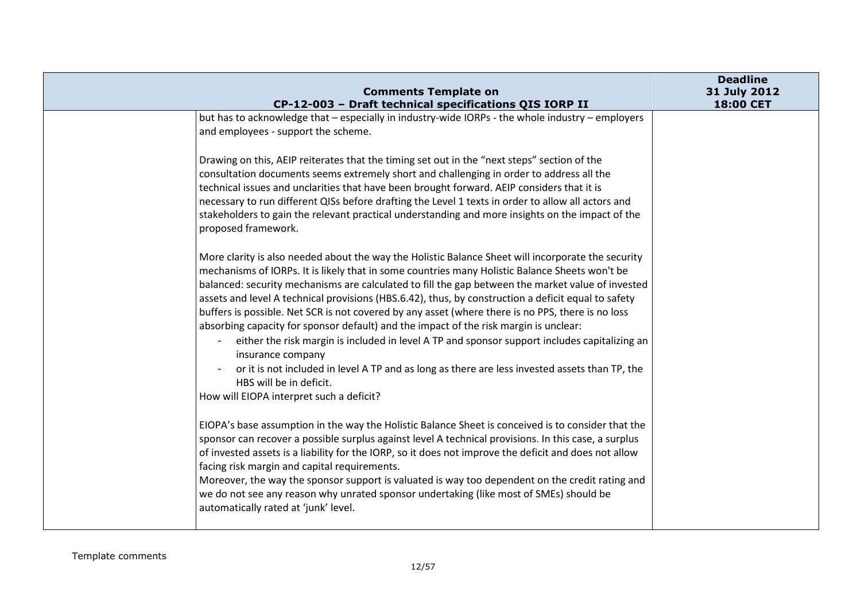| <b>Comments Template on</b>                                                                                                                                                                                                                                                                                                                                                                                                                                                                                                                                                                                                                                                                                                                                                                                                                                                                                             | <b>Deadline</b><br>31 July 2012 |
|-------------------------------------------------------------------------------------------------------------------------------------------------------------------------------------------------------------------------------------------------------------------------------------------------------------------------------------------------------------------------------------------------------------------------------------------------------------------------------------------------------------------------------------------------------------------------------------------------------------------------------------------------------------------------------------------------------------------------------------------------------------------------------------------------------------------------------------------------------------------------------------------------------------------------|---------------------------------|
| CP-12-003 - Draft technical specifications QIS IORP II                                                                                                                                                                                                                                                                                                                                                                                                                                                                                                                                                                                                                                                                                                                                                                                                                                                                  | 18:00 CET                       |
| but has to acknowledge that - especially in industry-wide IORPs - the whole industry - employers<br>and employees - support the scheme.                                                                                                                                                                                                                                                                                                                                                                                                                                                                                                                                                                                                                                                                                                                                                                                 |                                 |
| Drawing on this, AEIP reiterates that the timing set out in the "next steps" section of the<br>consultation documents seems extremely short and challenging in order to address all the<br>technical issues and unclarities that have been brought forward. AEIP considers that it is<br>necessary to run different QISs before drafting the Level 1 texts in order to allow all actors and<br>stakeholders to gain the relevant practical understanding and more insights on the impact of the<br>proposed framework.                                                                                                                                                                                                                                                                                                                                                                                                  |                                 |
| More clarity is also needed about the way the Holistic Balance Sheet will incorporate the security<br>mechanisms of IORPs. It is likely that in some countries many Holistic Balance Sheets won't be<br>balanced: security mechanisms are calculated to fill the gap between the market value of invested<br>assets and level A technical provisions (HBS.6.42), thus, by construction a deficit equal to safety<br>buffers is possible. Net SCR is not covered by any asset (where there is no PPS, there is no loss<br>absorbing capacity for sponsor default) and the impact of the risk margin is unclear:<br>either the risk margin is included in level A TP and sponsor support includes capitalizing an<br>$\sim$<br>insurance company<br>or it is not included in level A TP and as long as there are less invested assets than TP, the<br>HBS will be in deficit.<br>How will EIOPA interpret such a deficit? |                                 |
| EIOPA's base assumption in the way the Holistic Balance Sheet is conceived is to consider that the<br>sponsor can recover a possible surplus against level A technical provisions. In this case, a surplus<br>of invested assets is a liability for the IORP, so it does not improve the deficit and does not allow<br>facing risk margin and capital requirements.<br>Moreover, the way the sponsor support is valuated is way too dependent on the credit rating and<br>we do not see any reason why unrated sponsor undertaking (like most of SMEs) should be<br>automatically rated at 'junk' level.                                                                                                                                                                                                                                                                                                                |                                 |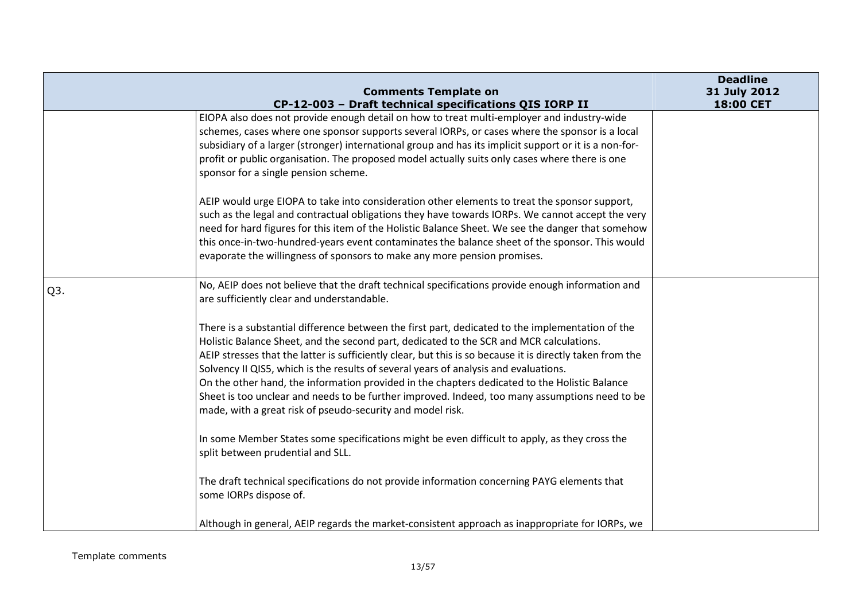|                  | <b>Comments Template on</b>                                                                                                                                                                                                                                                                                                                                                                                                                                                                                                                                                                                                                                       | <b>Deadline</b><br>31 July 2012 |
|------------------|-------------------------------------------------------------------------------------------------------------------------------------------------------------------------------------------------------------------------------------------------------------------------------------------------------------------------------------------------------------------------------------------------------------------------------------------------------------------------------------------------------------------------------------------------------------------------------------------------------------------------------------------------------------------|---------------------------------|
|                  | CP-12-003 - Draft technical specifications QIS IORP II                                                                                                                                                                                                                                                                                                                                                                                                                                                                                                                                                                                                            | 18:00 CET                       |
|                  | EIOPA also does not provide enough detail on how to treat multi-employer and industry-wide<br>schemes, cases where one sponsor supports several IORPs, or cases where the sponsor is a local<br>subsidiary of a larger (stronger) international group and has its implicit support or it is a non-for-<br>profit or public organisation. The proposed model actually suits only cases where there is one<br>sponsor for a single pension scheme.                                                                                                                                                                                                                  |                                 |
|                  | AEIP would urge EIOPA to take into consideration other elements to treat the sponsor support,<br>such as the legal and contractual obligations they have towards IORPs. We cannot accept the very<br>need for hard figures for this item of the Holistic Balance Sheet. We see the danger that somehow<br>this once-in-two-hundred-years event contaminates the balance sheet of the sponsor. This would<br>evaporate the willingness of sponsors to make any more pension promises.                                                                                                                                                                              |                                 |
| Q <sub>3</sub> . | No, AEIP does not believe that the draft technical specifications provide enough information and<br>are sufficiently clear and understandable.                                                                                                                                                                                                                                                                                                                                                                                                                                                                                                                    |                                 |
|                  | There is a substantial difference between the first part, dedicated to the implementation of the<br>Holistic Balance Sheet, and the second part, dedicated to the SCR and MCR calculations.<br>AEIP stresses that the latter is sufficiently clear, but this is so because it is directly taken from the<br>Solvency II QIS5, which is the results of several years of analysis and evaluations.<br>On the other hand, the information provided in the chapters dedicated to the Holistic Balance<br>Sheet is too unclear and needs to be further improved. Indeed, too many assumptions need to be<br>made, with a great risk of pseudo-security and model risk. |                                 |
|                  | In some Member States some specifications might be even difficult to apply, as they cross the<br>split between prudential and SLL.                                                                                                                                                                                                                                                                                                                                                                                                                                                                                                                                |                                 |
|                  | The draft technical specifications do not provide information concerning PAYG elements that<br>some IORPs dispose of.                                                                                                                                                                                                                                                                                                                                                                                                                                                                                                                                             |                                 |
|                  | Although in general, AEIP regards the market-consistent approach as inappropriate for IORPs, we                                                                                                                                                                                                                                                                                                                                                                                                                                                                                                                                                                   |                                 |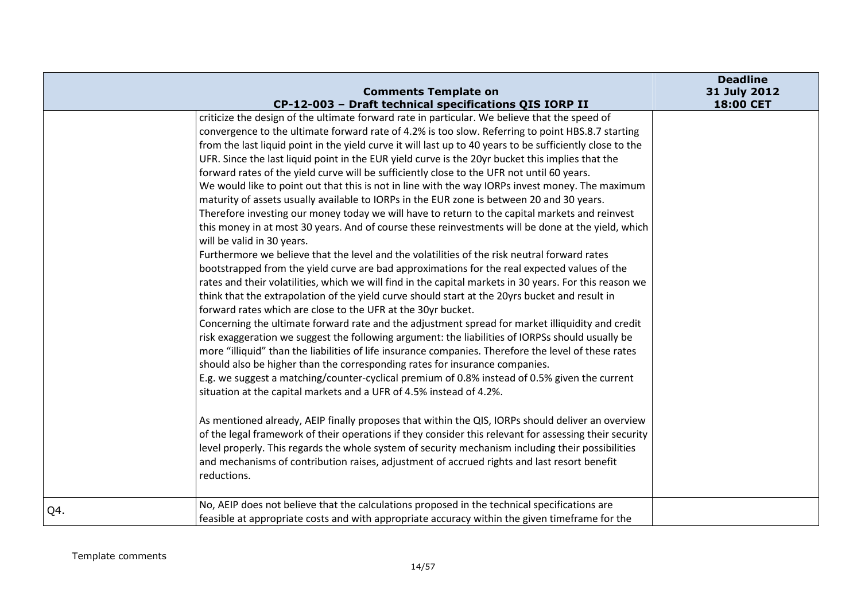|     | <b>Comments Template on</b>                                                                                                                                                                                                                                                                                                                                                                                                                                                                                                                                                                                                                                                                                                                                                                                                                                                                                                                                                                                                                                                                                                                                                                                                                                                                                                                                                                                                                                                                                                                                                                                                                                                                                                                                                                                                                                                                                                                                                                                                                                                                                                                                                                                                                                                                                                                                                                                                                    | <b>Deadline</b><br>31 July 2012 |
|-----|------------------------------------------------------------------------------------------------------------------------------------------------------------------------------------------------------------------------------------------------------------------------------------------------------------------------------------------------------------------------------------------------------------------------------------------------------------------------------------------------------------------------------------------------------------------------------------------------------------------------------------------------------------------------------------------------------------------------------------------------------------------------------------------------------------------------------------------------------------------------------------------------------------------------------------------------------------------------------------------------------------------------------------------------------------------------------------------------------------------------------------------------------------------------------------------------------------------------------------------------------------------------------------------------------------------------------------------------------------------------------------------------------------------------------------------------------------------------------------------------------------------------------------------------------------------------------------------------------------------------------------------------------------------------------------------------------------------------------------------------------------------------------------------------------------------------------------------------------------------------------------------------------------------------------------------------------------------------------------------------------------------------------------------------------------------------------------------------------------------------------------------------------------------------------------------------------------------------------------------------------------------------------------------------------------------------------------------------------------------------------------------------------------------------------------------------|---------------------------------|
|     | CP-12-003 - Draft technical specifications QIS IORP II                                                                                                                                                                                                                                                                                                                                                                                                                                                                                                                                                                                                                                                                                                                                                                                                                                                                                                                                                                                                                                                                                                                                                                                                                                                                                                                                                                                                                                                                                                                                                                                                                                                                                                                                                                                                                                                                                                                                                                                                                                                                                                                                                                                                                                                                                                                                                                                         | 18:00 CET                       |
|     | criticize the design of the ultimate forward rate in particular. We believe that the speed of<br>convergence to the ultimate forward rate of 4.2% is too slow. Referring to point HBS.8.7 starting<br>from the last liquid point in the yield curve it will last up to 40 years to be sufficiently close to the<br>UFR. Since the last liquid point in the EUR yield curve is the 20yr bucket this implies that the<br>forward rates of the yield curve will be sufficiently close to the UFR not until 60 years.<br>We would like to point out that this is not in line with the way IORPs invest money. The maximum<br>maturity of assets usually available to IORPs in the EUR zone is between 20 and 30 years.<br>Therefore investing our money today we will have to return to the capital markets and reinvest<br>this money in at most 30 years. And of course these reinvestments will be done at the yield, which<br>will be valid in 30 years.<br>Furthermore we believe that the level and the volatilities of the risk neutral forward rates<br>bootstrapped from the yield curve are bad approximations for the real expected values of the<br>rates and their volatilities, which we will find in the capital markets in 30 years. For this reason we<br>think that the extrapolation of the yield curve should start at the 20yrs bucket and result in<br>forward rates which are close to the UFR at the 30yr bucket.<br>Concerning the ultimate forward rate and the adjustment spread for market illiquidity and credit<br>risk exaggeration we suggest the following argument: the liabilities of IORPSs should usually be<br>more "illiquid" than the liabilities of life insurance companies. Therefore the level of these rates<br>should also be higher than the corresponding rates for insurance companies.<br>E.g. we suggest a matching/counter-cyclical premium of 0.8% instead of 0.5% given the current<br>situation at the capital markets and a UFR of 4.5% instead of 4.2%.<br>As mentioned already, AEIP finally proposes that within the QIS, IORPs should deliver an overview<br>of the legal framework of their operations if they consider this relevant for assessing their security<br>level properly. This regards the whole system of security mechanism including their possibilities<br>and mechanisms of contribution raises, adjustment of accrued rights and last resort benefit<br>reductions. |                                 |
| Q4. | No, AEIP does not believe that the calculations proposed in the technical specifications are<br>feasible at appropriate costs and with appropriate accuracy within the given timeframe for the                                                                                                                                                                                                                                                                                                                                                                                                                                                                                                                                                                                                                                                                                                                                                                                                                                                                                                                                                                                                                                                                                                                                                                                                                                                                                                                                                                                                                                                                                                                                                                                                                                                                                                                                                                                                                                                                                                                                                                                                                                                                                                                                                                                                                                                 |                                 |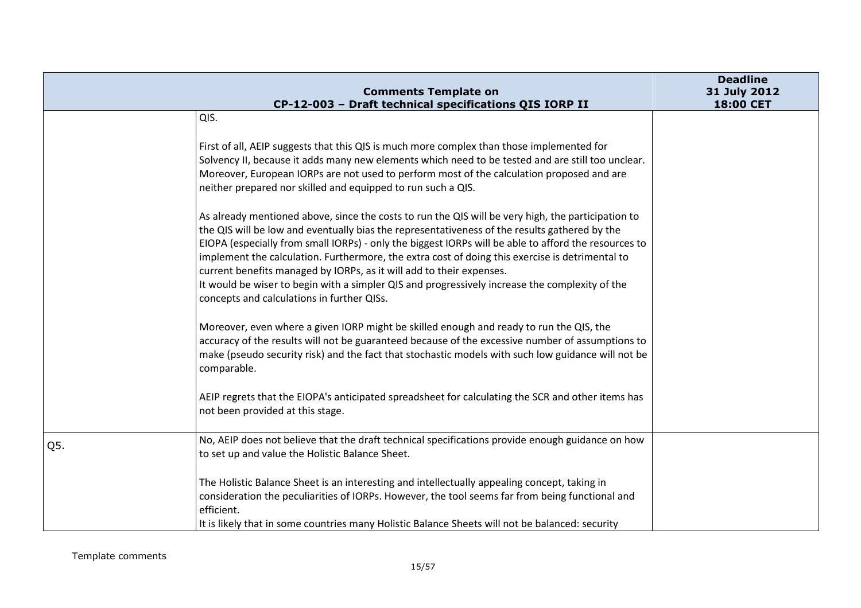|     | <b>Comments Template on</b>                                                                                                                                                                                                                                                                                                                                                                                                                                                                                                                                                                                                            | <b>Deadline</b><br>31 July 2012 |
|-----|----------------------------------------------------------------------------------------------------------------------------------------------------------------------------------------------------------------------------------------------------------------------------------------------------------------------------------------------------------------------------------------------------------------------------------------------------------------------------------------------------------------------------------------------------------------------------------------------------------------------------------------|---------------------------------|
|     | CP-12-003 - Draft technical specifications QIS IORP II                                                                                                                                                                                                                                                                                                                                                                                                                                                                                                                                                                                 | 18:00 CET                       |
|     | QIS.                                                                                                                                                                                                                                                                                                                                                                                                                                                                                                                                                                                                                                   |                                 |
|     | First of all, AEIP suggests that this QIS is much more complex than those implemented for<br>Solvency II, because it adds many new elements which need to be tested and are still too unclear.<br>Moreover, European IORPs are not used to perform most of the calculation proposed and are<br>neither prepared nor skilled and equipped to run such a QIS.                                                                                                                                                                                                                                                                            |                                 |
|     | As already mentioned above, since the costs to run the QIS will be very high, the participation to<br>the QIS will be low and eventually bias the representativeness of the results gathered by the<br>EIOPA (especially from small IORPs) - only the biggest IORPs will be able to afford the resources to<br>implement the calculation. Furthermore, the extra cost of doing this exercise is detrimental to<br>current benefits managed by IORPs, as it will add to their expenses.<br>It would be wiser to begin with a simpler QIS and progressively increase the complexity of the<br>concepts and calculations in further QISs. |                                 |
|     | Moreover, even where a given IORP might be skilled enough and ready to run the QIS, the<br>accuracy of the results will not be guaranteed because of the excessive number of assumptions to<br>make (pseudo security risk) and the fact that stochastic models with such low guidance will not be<br>comparable.                                                                                                                                                                                                                                                                                                                       |                                 |
|     | AEIP regrets that the EIOPA's anticipated spreadsheet for calculating the SCR and other items has<br>not been provided at this stage.                                                                                                                                                                                                                                                                                                                                                                                                                                                                                                  |                                 |
| Q5. | No, AEIP does not believe that the draft technical specifications provide enough guidance on how<br>to set up and value the Holistic Balance Sheet.                                                                                                                                                                                                                                                                                                                                                                                                                                                                                    |                                 |
|     | The Holistic Balance Sheet is an interesting and intellectually appealing concept, taking in<br>consideration the peculiarities of IORPs. However, the tool seems far from being functional and<br>efficient.                                                                                                                                                                                                                                                                                                                                                                                                                          |                                 |
|     | It is likely that in some countries many Holistic Balance Sheets will not be balanced: security                                                                                                                                                                                                                                                                                                                                                                                                                                                                                                                                        |                                 |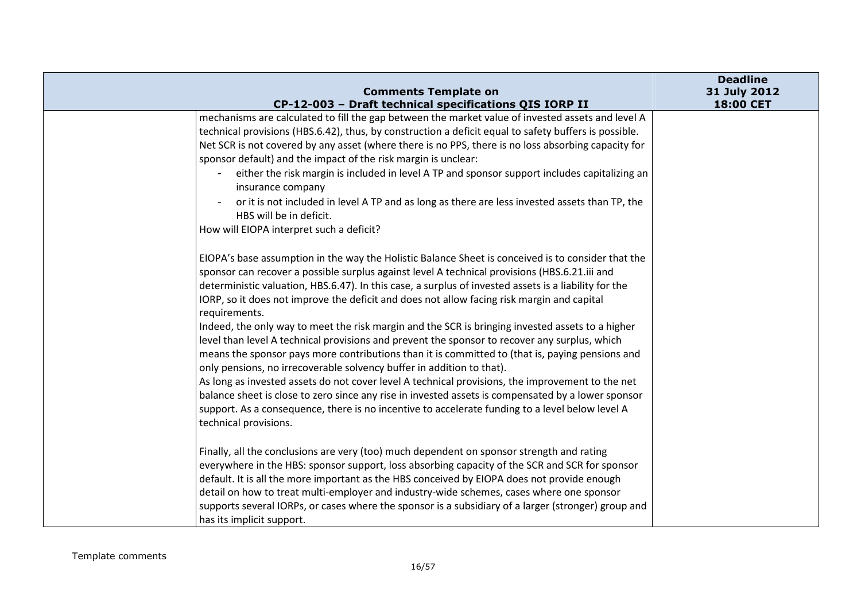| <b>Comments Template on</b>                                                                                                                                                                                                                                                                                                                                                                                                                                                                                                                                                                                                                                                                                                                                                                                                                                                                                                                                                                                                                                                                                                                        | <b>Deadline</b><br>31 July 2012 |
|----------------------------------------------------------------------------------------------------------------------------------------------------------------------------------------------------------------------------------------------------------------------------------------------------------------------------------------------------------------------------------------------------------------------------------------------------------------------------------------------------------------------------------------------------------------------------------------------------------------------------------------------------------------------------------------------------------------------------------------------------------------------------------------------------------------------------------------------------------------------------------------------------------------------------------------------------------------------------------------------------------------------------------------------------------------------------------------------------------------------------------------------------|---------------------------------|
| CP-12-003 - Draft technical specifications QIS IORP II                                                                                                                                                                                                                                                                                                                                                                                                                                                                                                                                                                                                                                                                                                                                                                                                                                                                                                                                                                                                                                                                                             | 18:00 CET                       |
| mechanisms are calculated to fill the gap between the market value of invested assets and level A<br>technical provisions (HBS.6.42), thus, by construction a deficit equal to safety buffers is possible.<br>Net SCR is not covered by any asset (where there is no PPS, there is no loss absorbing capacity for<br>sponsor default) and the impact of the risk margin is unclear:<br>either the risk margin is included in level A TP and sponsor support includes capitalizing an<br>insurance company<br>or it is not included in level A TP and as long as there are less invested assets than TP, the<br>HBS will be in deficit.                                                                                                                                                                                                                                                                                                                                                                                                                                                                                                             |                                 |
| How will EIOPA interpret such a deficit?                                                                                                                                                                                                                                                                                                                                                                                                                                                                                                                                                                                                                                                                                                                                                                                                                                                                                                                                                                                                                                                                                                           |                                 |
| EIOPA's base assumption in the way the Holistic Balance Sheet is conceived is to consider that the<br>sponsor can recover a possible surplus against level A technical provisions (HBS.6.21.iii and<br>deterministic valuation, HBS.6.47). In this case, a surplus of invested assets is a liability for the<br>IORP, so it does not improve the deficit and does not allow facing risk margin and capital<br>requirements.<br>Indeed, the only way to meet the risk margin and the SCR is bringing invested assets to a higher<br>level than level A technical provisions and prevent the sponsor to recover any surplus, which<br>means the sponsor pays more contributions than it is committed to (that is, paying pensions and<br>only pensions, no irrecoverable solvency buffer in addition to that).<br>As long as invested assets do not cover level A technical provisions, the improvement to the net<br>balance sheet is close to zero since any rise in invested assets is compensated by a lower sponsor<br>support. As a consequence, there is no incentive to accelerate funding to a level below level A<br>technical provisions. |                                 |
| Finally, all the conclusions are very (too) much dependent on sponsor strength and rating<br>everywhere in the HBS: sponsor support, loss absorbing capacity of the SCR and SCR for sponsor<br>default. It is all the more important as the HBS conceived by EIOPA does not provide enough<br>detail on how to treat multi-employer and industry-wide schemes, cases where one sponsor<br>supports several IORPs, or cases where the sponsor is a subsidiary of a larger (stronger) group and<br>has its implicit support.                                                                                                                                                                                                                                                                                                                                                                                                                                                                                                                                                                                                                         |                                 |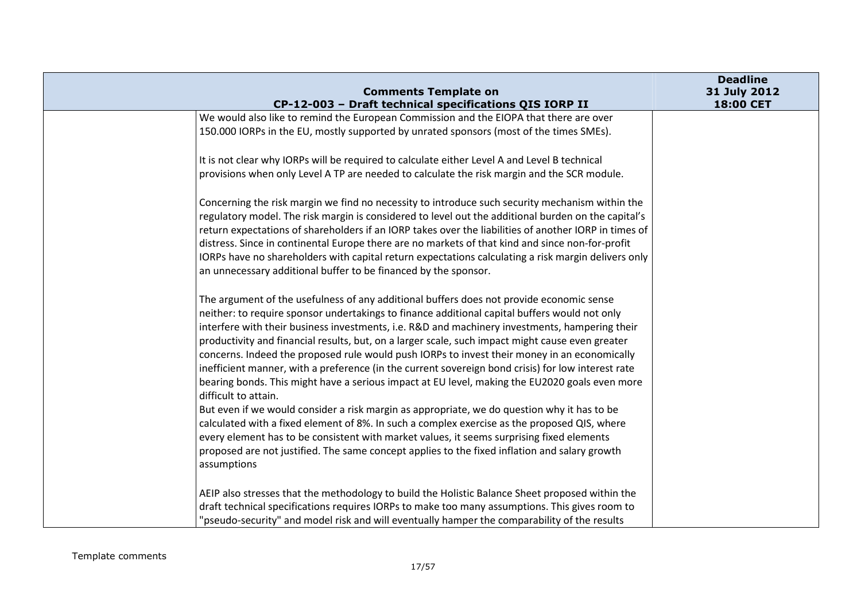| <b>Comments Template on</b>                                                                                                                                                                             | <b>Deadline</b><br>31 July 2012 |
|---------------------------------------------------------------------------------------------------------------------------------------------------------------------------------------------------------|---------------------------------|
| CP-12-003 - Draft technical specifications QIS IORP II                                                                                                                                                  | 18:00 CET                       |
| We would also like to remind the European Commission and the EIOPA that there are over                                                                                                                  |                                 |
| 150.000 IORPs in the EU, mostly supported by unrated sponsors (most of the times SMEs).                                                                                                                 |                                 |
| It is not clear why IORPs will be required to calculate either Level A and Level B technical                                                                                                            |                                 |
| provisions when only Level A TP are needed to calculate the risk margin and the SCR module.                                                                                                             |                                 |
| Concerning the risk margin we find no necessity to introduce such security mechanism within the                                                                                                         |                                 |
| regulatory model. The risk margin is considered to level out the additional burden on the capital's                                                                                                     |                                 |
| return expectations of shareholders if an IORP takes over the liabilities of another IORP in times of                                                                                                   |                                 |
| distress. Since in continental Europe there are no markets of that kind and since non-for-profit<br>IORPs have no shareholders with capital return expectations calculating a risk margin delivers only |                                 |
| an unnecessary additional buffer to be financed by the sponsor.                                                                                                                                         |                                 |
|                                                                                                                                                                                                         |                                 |
| The argument of the usefulness of any additional buffers does not provide economic sense                                                                                                                |                                 |
| neither: to require sponsor undertakings to finance additional capital buffers would not only                                                                                                           |                                 |
| interfere with their business investments, i.e. R&D and machinery investments, hampering their                                                                                                          |                                 |
| productivity and financial results, but, on a larger scale, such impact might cause even greater                                                                                                        |                                 |
| concerns. Indeed the proposed rule would push IORPs to invest their money in an economically                                                                                                            |                                 |
| inefficient manner, with a preference (in the current sovereign bond crisis) for low interest rate                                                                                                      |                                 |
| bearing bonds. This might have a serious impact at EU level, making the EU2020 goals even more<br>difficult to attain.                                                                                  |                                 |
| But even if we would consider a risk margin as appropriate, we do question why it has to be                                                                                                             |                                 |
| calculated with a fixed element of 8%. In such a complex exercise as the proposed QIS, where                                                                                                            |                                 |
| every element has to be consistent with market values, it seems surprising fixed elements                                                                                                               |                                 |
| proposed are not justified. The same concept applies to the fixed inflation and salary growth                                                                                                           |                                 |
| assumptions                                                                                                                                                                                             |                                 |
| AEIP also stresses that the methodology to build the Holistic Balance Sheet proposed within the                                                                                                         |                                 |
| draft technical specifications requires IORPs to make too many assumptions. This gives room to                                                                                                          |                                 |
| "pseudo-security" and model risk and will eventually hamper the comparability of the results                                                                                                            |                                 |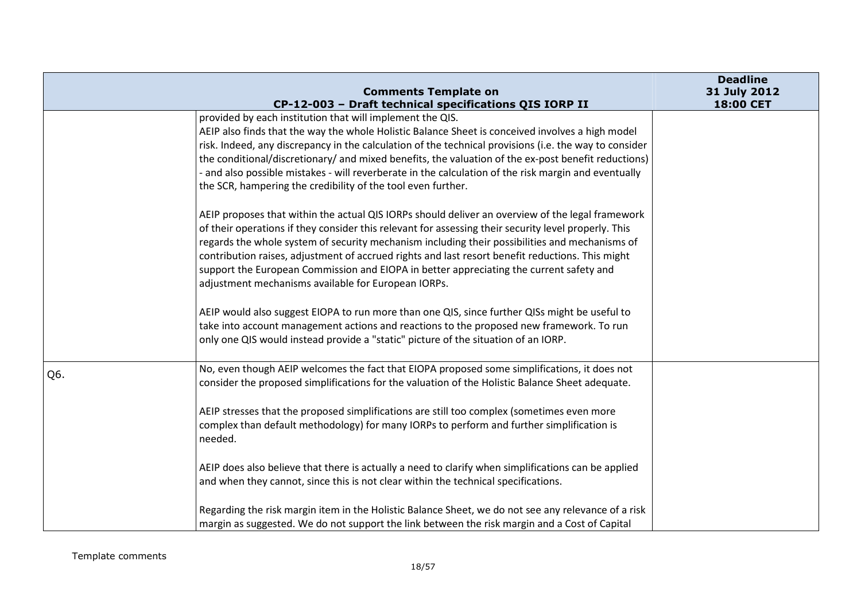|     |                                                                                                                                                                                                                                                                                                                                                                                                                                                                                                                                                                  | <b>Deadline</b>           |
|-----|------------------------------------------------------------------------------------------------------------------------------------------------------------------------------------------------------------------------------------------------------------------------------------------------------------------------------------------------------------------------------------------------------------------------------------------------------------------------------------------------------------------------------------------------------------------|---------------------------|
|     | <b>Comments Template on</b><br>CP-12-003 - Draft technical specifications QIS IORP II                                                                                                                                                                                                                                                                                                                                                                                                                                                                            | 31 July 2012<br>18:00 CET |
|     | provided by each institution that will implement the QIS.<br>AEIP also finds that the way the whole Holistic Balance Sheet is conceived involves a high model<br>risk. Indeed, any discrepancy in the calculation of the technical provisions (i.e. the way to consider<br>the conditional/discretionary/ and mixed benefits, the valuation of the ex-post benefit reductions)<br>- and also possible mistakes - will reverberate in the calculation of the risk margin and eventually<br>the SCR, hampering the credibility of the tool even further.           |                           |
|     | AEIP proposes that within the actual QIS IORPs should deliver an overview of the legal framework<br>of their operations if they consider this relevant for assessing their security level properly. This<br>regards the whole system of security mechanism including their possibilities and mechanisms of<br>contribution raises, adjustment of accrued rights and last resort benefit reductions. This might<br>support the European Commission and EIOPA in better appreciating the current safety and<br>adjustment mechanisms available for European IORPs. |                           |
|     | AEIP would also suggest EIOPA to run more than one QIS, since further QISs might be useful to<br>take into account management actions and reactions to the proposed new framework. To run<br>only one QIS would instead provide a "static" picture of the situation of an IORP.                                                                                                                                                                                                                                                                                  |                           |
| Q6. | No, even though AEIP welcomes the fact that EIOPA proposed some simplifications, it does not<br>consider the proposed simplifications for the valuation of the Holistic Balance Sheet adequate.                                                                                                                                                                                                                                                                                                                                                                  |                           |
|     | AEIP stresses that the proposed simplifications are still too complex (sometimes even more<br>complex than default methodology) for many IORPs to perform and further simplification is<br>needed.                                                                                                                                                                                                                                                                                                                                                               |                           |
|     | AEIP does also believe that there is actually a need to clarify when simplifications can be applied<br>and when they cannot, since this is not clear within the technical specifications.                                                                                                                                                                                                                                                                                                                                                                        |                           |
|     | Regarding the risk margin item in the Holistic Balance Sheet, we do not see any relevance of a risk<br>margin as suggested. We do not support the link between the risk margin and a Cost of Capital                                                                                                                                                                                                                                                                                                                                                             |                           |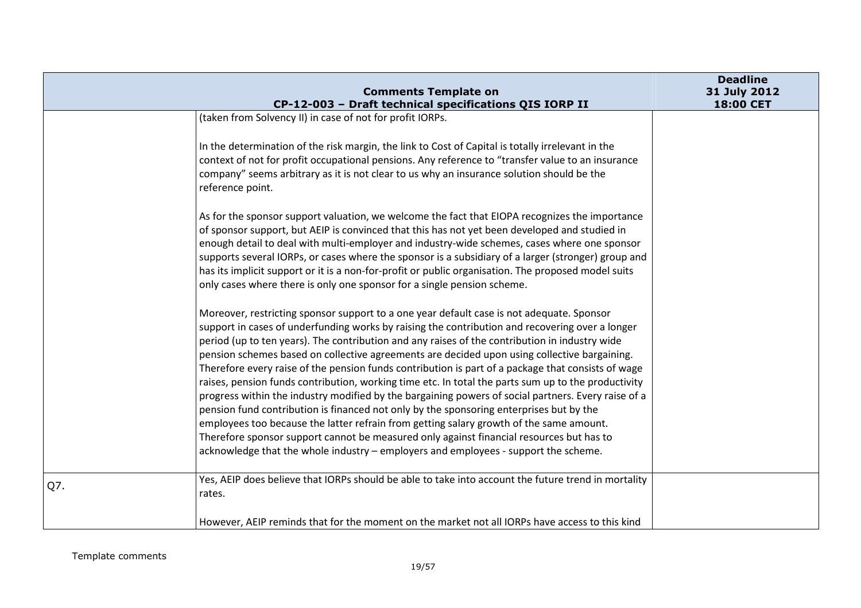|     | <b>Comments Template on</b>                                                                                                                                                                                                                                                                                                                                                                                                                                                                                                                                                                                                                                                                                                                                                                                                                                                                                                                                                                                                                                                                 | <b>Deadline</b><br>31 July 2012 |
|-----|---------------------------------------------------------------------------------------------------------------------------------------------------------------------------------------------------------------------------------------------------------------------------------------------------------------------------------------------------------------------------------------------------------------------------------------------------------------------------------------------------------------------------------------------------------------------------------------------------------------------------------------------------------------------------------------------------------------------------------------------------------------------------------------------------------------------------------------------------------------------------------------------------------------------------------------------------------------------------------------------------------------------------------------------------------------------------------------------|---------------------------------|
|     | CP-12-003 - Draft technical specifications QIS IORP II<br>(taken from Solvency II) in case of not for profit IORPs.                                                                                                                                                                                                                                                                                                                                                                                                                                                                                                                                                                                                                                                                                                                                                                                                                                                                                                                                                                         | 18:00 CET                       |
|     |                                                                                                                                                                                                                                                                                                                                                                                                                                                                                                                                                                                                                                                                                                                                                                                                                                                                                                                                                                                                                                                                                             |                                 |
|     | In the determination of the risk margin, the link to Cost of Capital is totally irrelevant in the                                                                                                                                                                                                                                                                                                                                                                                                                                                                                                                                                                                                                                                                                                                                                                                                                                                                                                                                                                                           |                                 |
|     | context of not for profit occupational pensions. Any reference to "transfer value to an insurance                                                                                                                                                                                                                                                                                                                                                                                                                                                                                                                                                                                                                                                                                                                                                                                                                                                                                                                                                                                           |                                 |
|     | company" seems arbitrary as it is not clear to us why an insurance solution should be the                                                                                                                                                                                                                                                                                                                                                                                                                                                                                                                                                                                                                                                                                                                                                                                                                                                                                                                                                                                                   |                                 |
|     | reference point.                                                                                                                                                                                                                                                                                                                                                                                                                                                                                                                                                                                                                                                                                                                                                                                                                                                                                                                                                                                                                                                                            |                                 |
|     | As for the sponsor support valuation, we welcome the fact that EIOPA recognizes the importance<br>of sponsor support, but AEIP is convinced that this has not yet been developed and studied in<br>enough detail to deal with multi-employer and industry-wide schemes, cases where one sponsor<br>supports several IORPs, or cases where the sponsor is a subsidiary of a larger (stronger) group and<br>has its implicit support or it is a non-for-profit or public organisation. The proposed model suits<br>only cases where there is only one sponsor for a single pension scheme.                                                                                                                                                                                                                                                                                                                                                                                                                                                                                                    |                                 |
|     | Moreover, restricting sponsor support to a one year default case is not adequate. Sponsor<br>support in cases of underfunding works by raising the contribution and recovering over a longer<br>period (up to ten years). The contribution and any raises of the contribution in industry wide<br>pension schemes based on collective agreements are decided upon using collective bargaining.<br>Therefore every raise of the pension funds contribution is part of a package that consists of wage<br>raises, pension funds contribution, working time etc. In total the parts sum up to the productivity<br>progress within the industry modified by the bargaining powers of social partners. Every raise of a<br>pension fund contribution is financed not only by the sponsoring enterprises but by the<br>employees too because the latter refrain from getting salary growth of the same amount.<br>Therefore sponsor support cannot be measured only against financial resources but has to<br>acknowledge that the whole industry - employers and employees - support the scheme. |                                 |
| Q7. | Yes, AEIP does believe that IORPs should be able to take into account the future trend in mortality<br>rates.                                                                                                                                                                                                                                                                                                                                                                                                                                                                                                                                                                                                                                                                                                                                                                                                                                                                                                                                                                               |                                 |
|     | However, AEIP reminds that for the moment on the market not all IORPs have access to this kind                                                                                                                                                                                                                                                                                                                                                                                                                                                                                                                                                                                                                                                                                                                                                                                                                                                                                                                                                                                              |                                 |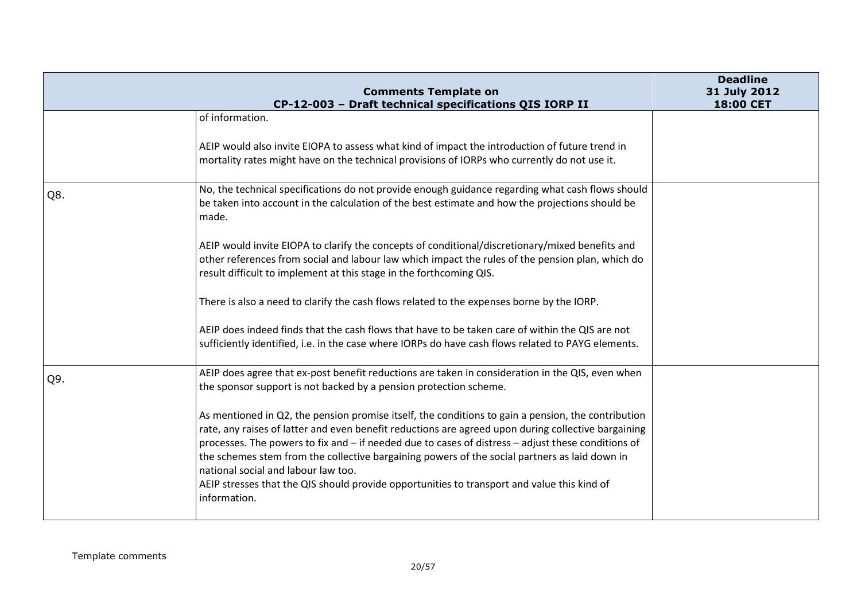|     | <b>Comments Template on</b><br>CP-12-003 - Draft technical specifications QIS IORP II                                                                                                                                                                                                                                                                                                                                                                                                                                                                                  | <b>Deadline</b><br>31 July 2012<br>18:00 CET |
|-----|------------------------------------------------------------------------------------------------------------------------------------------------------------------------------------------------------------------------------------------------------------------------------------------------------------------------------------------------------------------------------------------------------------------------------------------------------------------------------------------------------------------------------------------------------------------------|----------------------------------------------|
|     | of information.                                                                                                                                                                                                                                                                                                                                                                                                                                                                                                                                                        |                                              |
|     | AEIP would also invite EIOPA to assess what kind of impact the introduction of future trend in<br>mortality rates might have on the technical provisions of IORPs who currently do not use it.                                                                                                                                                                                                                                                                                                                                                                         |                                              |
| Q8. | No, the technical specifications do not provide enough guidance regarding what cash flows should<br>be taken into account in the calculation of the best estimate and how the projections should be<br>made.                                                                                                                                                                                                                                                                                                                                                           |                                              |
|     | AEIP would invite EIOPA to clarify the concepts of conditional/discretionary/mixed benefits and<br>other references from social and labour law which impact the rules of the pension plan, which do<br>result difficult to implement at this stage in the forthcoming QIS.                                                                                                                                                                                                                                                                                             |                                              |
|     | There is also a need to clarify the cash flows related to the expenses borne by the IORP.                                                                                                                                                                                                                                                                                                                                                                                                                                                                              |                                              |
|     | AEIP does indeed finds that the cash flows that have to be taken care of within the QIS are not<br>sufficiently identified, i.e. in the case where IORPs do have cash flows related to PAYG elements.                                                                                                                                                                                                                                                                                                                                                                  |                                              |
| Q9. | AEIP does agree that ex-post benefit reductions are taken in consideration in the QIS, even when<br>the sponsor support is not backed by a pension protection scheme.                                                                                                                                                                                                                                                                                                                                                                                                  |                                              |
|     | As mentioned in Q2, the pension promise itself, the conditions to gain a pension, the contribution<br>rate, any raises of latter and even benefit reductions are agreed upon during collective bargaining<br>processes. The powers to fix and - if needed due to cases of distress - adjust these conditions of<br>the schemes stem from the collective bargaining powers of the social partners as laid down in<br>national social and labour law too.<br>AEIP stresses that the QIS should provide opportunities to transport and value this kind of<br>information. |                                              |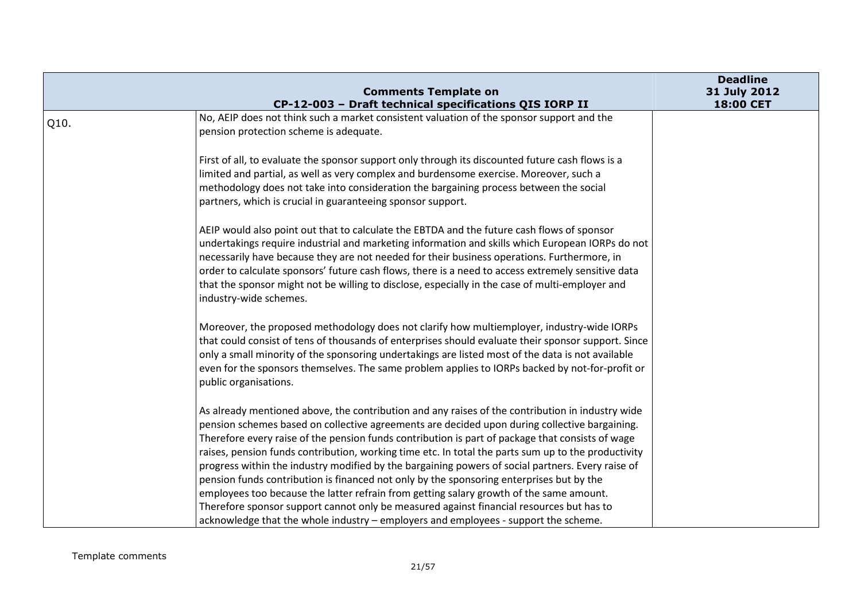|      | <b>Comments Template on</b>                                                                                                                                                                                                                                                                                                                                                                                                                                                                                                                                                                                                                                                                                                                                                                                                                                                                 | <b>Deadline</b><br>31 July 2012 |
|------|---------------------------------------------------------------------------------------------------------------------------------------------------------------------------------------------------------------------------------------------------------------------------------------------------------------------------------------------------------------------------------------------------------------------------------------------------------------------------------------------------------------------------------------------------------------------------------------------------------------------------------------------------------------------------------------------------------------------------------------------------------------------------------------------------------------------------------------------------------------------------------------------|---------------------------------|
|      | CP-12-003 - Draft technical specifications QIS IORP II                                                                                                                                                                                                                                                                                                                                                                                                                                                                                                                                                                                                                                                                                                                                                                                                                                      | 18:00 CET                       |
| Q10. | No, AEIP does not think such a market consistent valuation of the sponsor support and the<br>pension protection scheme is adequate.                                                                                                                                                                                                                                                                                                                                                                                                                                                                                                                                                                                                                                                                                                                                                         |                                 |
|      | First of all, to evaluate the sponsor support only through its discounted future cash flows is a<br>limited and partial, as well as very complex and burdensome exercise. Moreover, such a<br>methodology does not take into consideration the bargaining process between the social<br>partners, which is crucial in guaranteeing sponsor support.                                                                                                                                                                                                                                                                                                                                                                                                                                                                                                                                         |                                 |
|      | AEIP would also point out that to calculate the EBTDA and the future cash flows of sponsor<br>undertakings require industrial and marketing information and skills which European IORPs do not<br>necessarily have because they are not needed for their business operations. Furthermore, in<br>order to calculate sponsors' future cash flows, there is a need to access extremely sensitive data<br>that the sponsor might not be willing to disclose, especially in the case of multi-employer and<br>industry-wide schemes.                                                                                                                                                                                                                                                                                                                                                            |                                 |
|      | Moreover, the proposed methodology does not clarify how multiemployer, industry-wide IORPs<br>that could consist of tens of thousands of enterprises should evaluate their sponsor support. Since<br>only a small minority of the sponsoring undertakings are listed most of the data is not available<br>even for the sponsors themselves. The same problem applies to IORPs backed by not-for-profit or<br>public organisations.                                                                                                                                                                                                                                                                                                                                                                                                                                                          |                                 |
|      | As already mentioned above, the contribution and any raises of the contribution in industry wide<br>pension schemes based on collective agreements are decided upon during collective bargaining.<br>Therefore every raise of the pension funds contribution is part of package that consists of wage<br>raises, pension funds contribution, working time etc. In total the parts sum up to the productivity<br>progress within the industry modified by the bargaining powers of social partners. Every raise of<br>pension funds contribution is financed not only by the sponsoring enterprises but by the<br>employees too because the latter refrain from getting salary growth of the same amount.<br>Therefore sponsor support cannot only be measured against financial resources but has to<br>acknowledge that the whole industry - employers and employees - support the scheme. |                                 |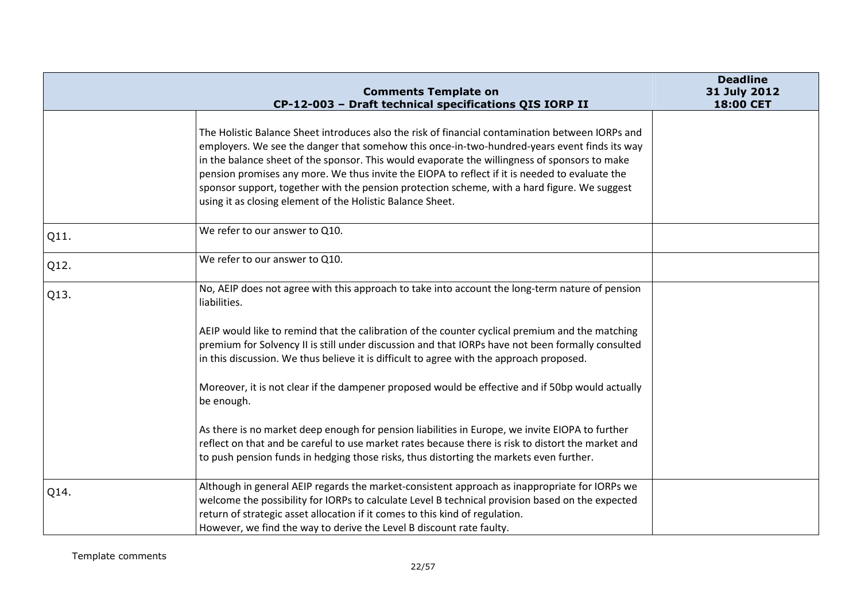|      | <b>Comments Template on</b>                                                                                                                                                                                                                                                                                                                                                                                                                                                                                                                                       | <b>Deadline</b><br>31 July 2012 |
|------|-------------------------------------------------------------------------------------------------------------------------------------------------------------------------------------------------------------------------------------------------------------------------------------------------------------------------------------------------------------------------------------------------------------------------------------------------------------------------------------------------------------------------------------------------------------------|---------------------------------|
|      | CP-12-003 - Draft technical specifications QIS IORP II                                                                                                                                                                                                                                                                                                                                                                                                                                                                                                            | 18:00 CET                       |
|      | The Holistic Balance Sheet introduces also the risk of financial contamination between IORPs and<br>employers. We see the danger that somehow this once-in-two-hundred-years event finds its way<br>in the balance sheet of the sponsor. This would evaporate the willingness of sponsors to make<br>pension promises any more. We thus invite the EIOPA to reflect if it is needed to evaluate the<br>sponsor support, together with the pension protection scheme, with a hard figure. We suggest<br>using it as closing element of the Holistic Balance Sheet. |                                 |
| Q11. | We refer to our answer to Q10.                                                                                                                                                                                                                                                                                                                                                                                                                                                                                                                                    |                                 |
| Q12. | We refer to our answer to Q10.                                                                                                                                                                                                                                                                                                                                                                                                                                                                                                                                    |                                 |
| Q13. | No, AEIP does not agree with this approach to take into account the long-term nature of pension<br>liabilities.                                                                                                                                                                                                                                                                                                                                                                                                                                                   |                                 |
|      | AEIP would like to remind that the calibration of the counter cyclical premium and the matching<br>premium for Solvency II is still under discussion and that IORPs have not been formally consulted<br>in this discussion. We thus believe it is difficult to agree with the approach proposed.                                                                                                                                                                                                                                                                  |                                 |
|      | Moreover, it is not clear if the dampener proposed would be effective and if 50bp would actually<br>be enough.                                                                                                                                                                                                                                                                                                                                                                                                                                                    |                                 |
|      | As there is no market deep enough for pension liabilities in Europe, we invite EIOPA to further<br>reflect on that and be careful to use market rates because there is risk to distort the market and<br>to push pension funds in hedging those risks, thus distorting the markets even further.                                                                                                                                                                                                                                                                  |                                 |
| Q14. | Although in general AEIP regards the market-consistent approach as inappropriate for IORPs we<br>welcome the possibility for IORPs to calculate Level B technical provision based on the expected<br>return of strategic asset allocation if it comes to this kind of regulation.<br>However, we find the way to derive the Level B discount rate faulty.                                                                                                                                                                                                         |                                 |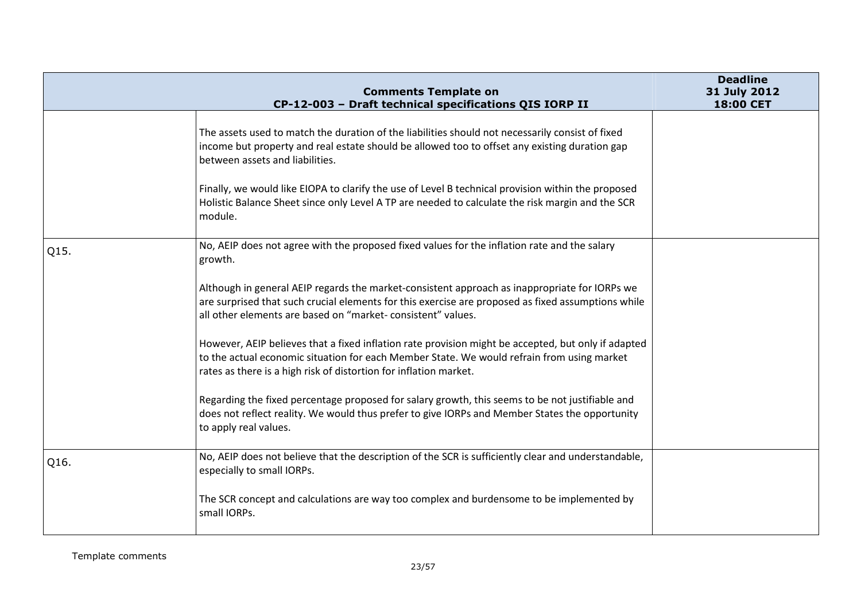|      | <b>Comments Template on</b><br>CP-12-003 - Draft technical specifications QIS IORP II                                                                                                                                                                                  | <b>Deadline</b><br>31 July 2012<br>18:00 CET |
|------|------------------------------------------------------------------------------------------------------------------------------------------------------------------------------------------------------------------------------------------------------------------------|----------------------------------------------|
|      | The assets used to match the duration of the liabilities should not necessarily consist of fixed<br>income but property and real estate should be allowed too to offset any existing duration gap<br>between assets and liabilities.                                   |                                              |
|      | Finally, we would like EIOPA to clarify the use of Level B technical provision within the proposed<br>Holistic Balance Sheet since only Level A TP are needed to calculate the risk margin and the SCR<br>module.                                                      |                                              |
| Q15. | No, AEIP does not agree with the proposed fixed values for the inflation rate and the salary<br>growth.                                                                                                                                                                |                                              |
|      | Although in general AEIP regards the market-consistent approach as inappropriate for IORPs we<br>are surprised that such crucial elements for this exercise are proposed as fixed assumptions while<br>all other elements are based on "market-consistent" values.     |                                              |
|      | However, AEIP believes that a fixed inflation rate provision might be accepted, but only if adapted<br>to the actual economic situation for each Member State. We would refrain from using market<br>rates as there is a high risk of distortion for inflation market. |                                              |
|      | Regarding the fixed percentage proposed for salary growth, this seems to be not justifiable and<br>does not reflect reality. We would thus prefer to give IORPs and Member States the opportunity<br>to apply real values.                                             |                                              |
| Q16. | No, AEIP does not believe that the description of the SCR is sufficiently clear and understandable,<br>especially to small IORPs.                                                                                                                                      |                                              |
|      | The SCR concept and calculations are way too complex and burdensome to be implemented by<br>small IORPs.                                                                                                                                                               |                                              |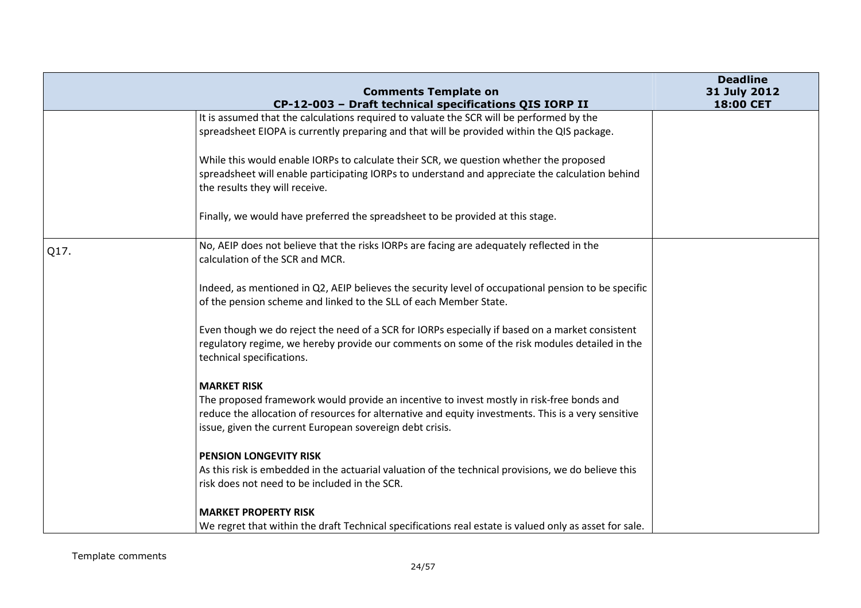|      | <b>Comments Template on</b>                                                                                                                                                                                                                                  | <b>Deadline</b><br>31 July 2012 |
|------|--------------------------------------------------------------------------------------------------------------------------------------------------------------------------------------------------------------------------------------------------------------|---------------------------------|
|      | CP-12-003 - Draft technical specifications QIS IORP II                                                                                                                                                                                                       | 18:00 CET                       |
|      | It is assumed that the calculations required to valuate the SCR will be performed by the                                                                                                                                                                     |                                 |
|      | spreadsheet EIOPA is currently preparing and that will be provided within the QIS package.                                                                                                                                                                   |                                 |
|      | While this would enable IORPs to calculate their SCR, we question whether the proposed                                                                                                                                                                       |                                 |
|      | spreadsheet will enable participating IORPs to understand and appreciate the calculation behind<br>the results they will receive.                                                                                                                            |                                 |
|      | Finally, we would have preferred the spreadsheet to be provided at this stage.                                                                                                                                                                               |                                 |
| Q17. | No, AEIP does not believe that the risks IORPs are facing are adequately reflected in the<br>calculation of the SCR and MCR.                                                                                                                                 |                                 |
|      | Indeed, as mentioned in Q2, AEIP believes the security level of occupational pension to be specific<br>of the pension scheme and linked to the SLL of each Member State.                                                                                     |                                 |
|      | Even though we do reject the need of a SCR for IORPs especially if based on a market consistent<br>regulatory regime, we hereby provide our comments on some of the risk modules detailed in the<br>technical specifications.                                |                                 |
|      | <b>MARKET RISK</b>                                                                                                                                                                                                                                           |                                 |
|      | The proposed framework would provide an incentive to invest mostly in risk-free bonds and<br>reduce the allocation of resources for alternative and equity investments. This is a very sensitive<br>issue, given the current European sovereign debt crisis. |                                 |
|      | <b>PENSION LONGEVITY RISK</b>                                                                                                                                                                                                                                |                                 |
|      | As this risk is embedded in the actuarial valuation of the technical provisions, we do believe this<br>risk does not need to be included in the SCR.                                                                                                         |                                 |
|      | <b>MARKET PROPERTY RISK</b>                                                                                                                                                                                                                                  |                                 |
|      | We regret that within the draft Technical specifications real estate is valued only as asset for sale.                                                                                                                                                       |                                 |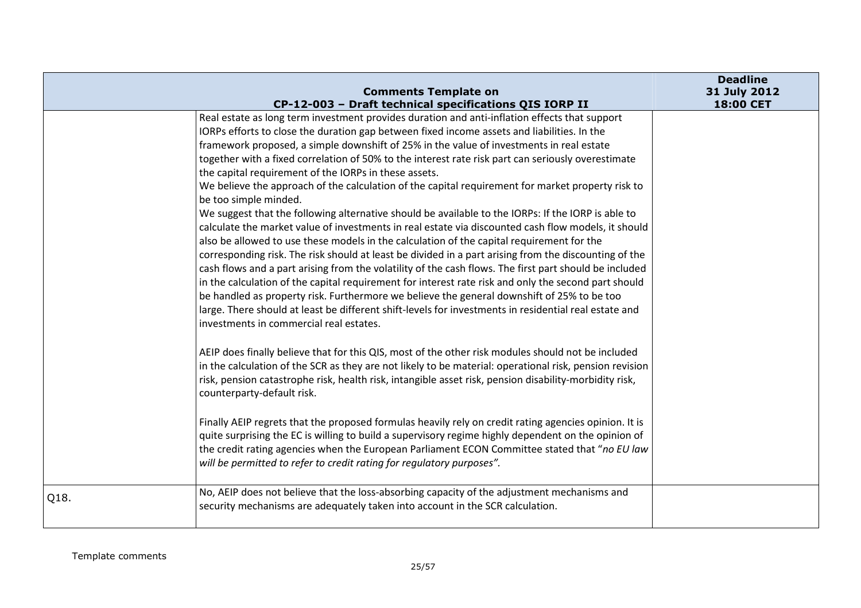|      | <b>Comments Template on</b>                                                                                                                                                                                                                                                                                                                                                                                                                                                                                                                                                                                                                                                                                                                                                                                                                                                                                                                                                                                                                                                                                                                                                                                                                                                                                                                                                                                                                                                                                                                                                                                                                                                                                                                                                                                                                                                                                                                                                                                                                                                                                                                                                                                                                                                               | <b>Deadline</b><br>31 July 2012 |
|------|-------------------------------------------------------------------------------------------------------------------------------------------------------------------------------------------------------------------------------------------------------------------------------------------------------------------------------------------------------------------------------------------------------------------------------------------------------------------------------------------------------------------------------------------------------------------------------------------------------------------------------------------------------------------------------------------------------------------------------------------------------------------------------------------------------------------------------------------------------------------------------------------------------------------------------------------------------------------------------------------------------------------------------------------------------------------------------------------------------------------------------------------------------------------------------------------------------------------------------------------------------------------------------------------------------------------------------------------------------------------------------------------------------------------------------------------------------------------------------------------------------------------------------------------------------------------------------------------------------------------------------------------------------------------------------------------------------------------------------------------------------------------------------------------------------------------------------------------------------------------------------------------------------------------------------------------------------------------------------------------------------------------------------------------------------------------------------------------------------------------------------------------------------------------------------------------------------------------------------------------------------------------------------------------|---------------------------------|
|      | CP-12-003 - Draft technical specifications QIS IORP II<br>Real estate as long term investment provides duration and anti-inflation effects that support<br>IORPs efforts to close the duration gap between fixed income assets and liabilities. In the<br>framework proposed, a simple downshift of 25% in the value of investments in real estate<br>together with a fixed correlation of 50% to the interest rate risk part can seriously overestimate<br>the capital requirement of the IORPs in these assets.<br>We believe the approach of the calculation of the capital requirement for market property risk to<br>be too simple minded.<br>We suggest that the following alternative should be available to the IORPs: If the IORP is able to<br>calculate the market value of investments in real estate via discounted cash flow models, it should<br>also be allowed to use these models in the calculation of the capital requirement for the<br>corresponding risk. The risk should at least be divided in a part arising from the discounting of the<br>cash flows and a part arising from the volatility of the cash flows. The first part should be included<br>in the calculation of the capital requirement for interest rate risk and only the second part should<br>be handled as property risk. Furthermore we believe the general downshift of 25% to be too<br>large. There should at least be different shift-levels for investments in residential real estate and<br>investments in commercial real estates.<br>AEIP does finally believe that for this QIS, most of the other risk modules should not be included<br>in the calculation of the SCR as they are not likely to be material: operational risk, pension revision<br>risk, pension catastrophe risk, health risk, intangible asset risk, pension disability-morbidity risk,<br>counterparty-default risk.<br>Finally AEIP regrets that the proposed formulas heavily rely on credit rating agencies opinion. It is<br>quite surprising the EC is willing to build a supervisory regime highly dependent on the opinion of<br>the credit rating agencies when the European Parliament ECON Committee stated that "no EU law<br>will be permitted to refer to credit rating for regulatory purposes". | 18:00 CET                       |
| Q18. | No, AEIP does not believe that the loss-absorbing capacity of the adjustment mechanisms and<br>security mechanisms are adequately taken into account in the SCR calculation.                                                                                                                                                                                                                                                                                                                                                                                                                                                                                                                                                                                                                                                                                                                                                                                                                                                                                                                                                                                                                                                                                                                                                                                                                                                                                                                                                                                                                                                                                                                                                                                                                                                                                                                                                                                                                                                                                                                                                                                                                                                                                                              |                                 |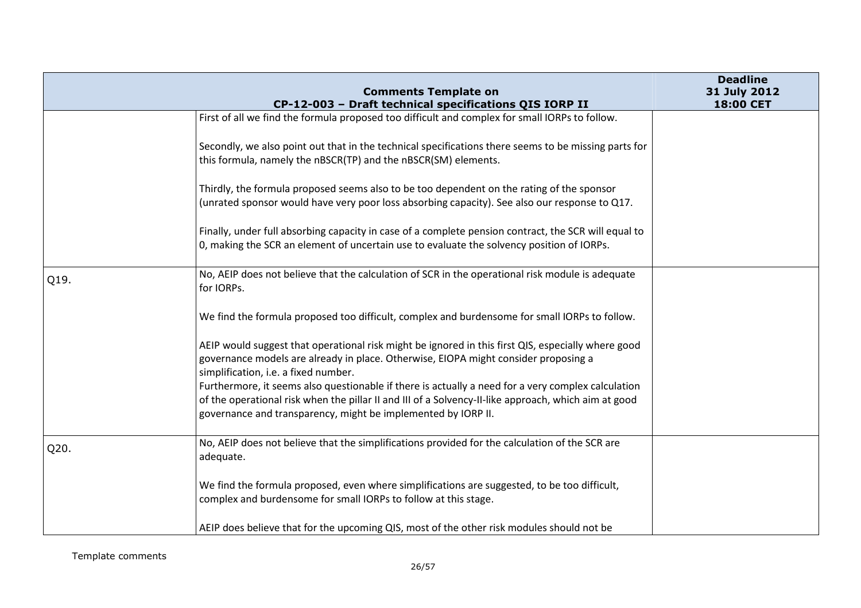|      | <b>Comments Template on</b>                                                                                                                                                                                                                                                 | <b>Deadline</b><br>31 July 2012 |
|------|-----------------------------------------------------------------------------------------------------------------------------------------------------------------------------------------------------------------------------------------------------------------------------|---------------------------------|
|      | CP-12-003 - Draft technical specifications QIS IORP II                                                                                                                                                                                                                      | 18:00 CET                       |
|      | First of all we find the formula proposed too difficult and complex for small IORPs to follow.                                                                                                                                                                              |                                 |
|      | Secondly, we also point out that in the technical specifications there seems to be missing parts for<br>this formula, namely the nBSCR(TP) and the nBSCR(SM) elements.                                                                                                      |                                 |
|      | Thirdly, the formula proposed seems also to be too dependent on the rating of the sponsor<br>(unrated sponsor would have very poor loss absorbing capacity). See also our response to Q17.                                                                                  |                                 |
|      | Finally, under full absorbing capacity in case of a complete pension contract, the SCR will equal to<br>0, making the SCR an element of uncertain use to evaluate the solvency position of IORPs.                                                                           |                                 |
| Q19. | No, AEIP does not believe that the calculation of SCR in the operational risk module is adequate<br>for IORPs.                                                                                                                                                              |                                 |
|      | We find the formula proposed too difficult, complex and burdensome for small IORPs to follow.                                                                                                                                                                               |                                 |
|      | AEIP would suggest that operational risk might be ignored in this first QIS, especially where good<br>governance models are already in place. Otherwise, EIOPA might consider proposing a<br>simplification, i.e. a fixed number.                                           |                                 |
|      | Furthermore, it seems also questionable if there is actually a need for a very complex calculation<br>of the operational risk when the pillar II and III of a Solvency-II-like approach, which aim at good<br>governance and transparency, might be implemented by IORP II. |                                 |
| Q20. | No, AEIP does not believe that the simplifications provided for the calculation of the SCR are<br>adequate.                                                                                                                                                                 |                                 |
|      | We find the formula proposed, even where simplifications are suggested, to be too difficult,<br>complex and burdensome for small IORPs to follow at this stage.                                                                                                             |                                 |
|      | AEIP does believe that for the upcoming QIS, most of the other risk modules should not be                                                                                                                                                                                   |                                 |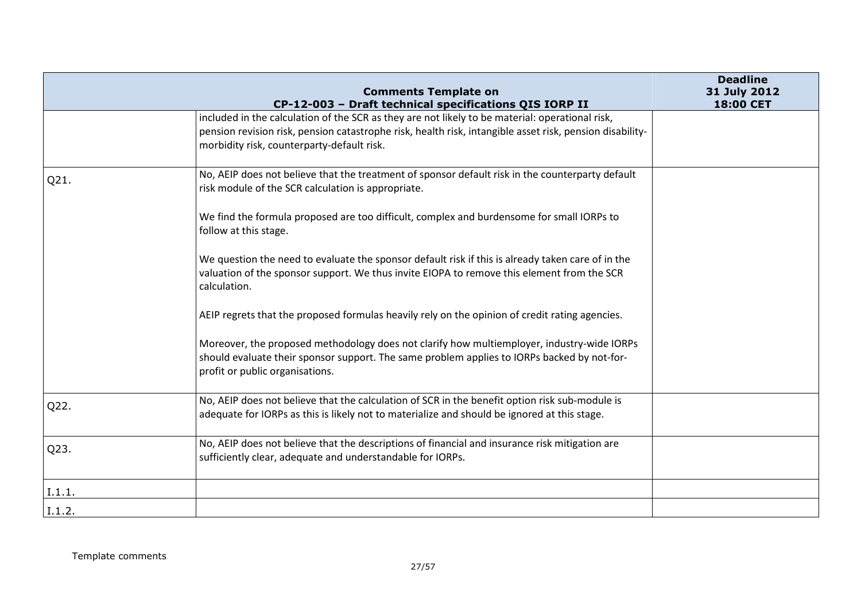|        | <b>Comments Template on</b>                                                                                                                                                                                                  | <b>Deadline</b><br>31 July 2012 |
|--------|------------------------------------------------------------------------------------------------------------------------------------------------------------------------------------------------------------------------------|---------------------------------|
|        | CP-12-003 - Draft technical specifications QIS IORP II<br>included in the calculation of the SCR as they are not likely to be material: operational risk,                                                                    | 18:00 CET                       |
|        | pension revision risk, pension catastrophe risk, health risk, intangible asset risk, pension disability-<br>morbidity risk, counterparty-default risk.                                                                       |                                 |
| Q21.   | No, AEIP does not believe that the treatment of sponsor default risk in the counterparty default<br>risk module of the SCR calculation is appropriate.                                                                       |                                 |
|        | We find the formula proposed are too difficult, complex and burdensome for small IORPs to<br>follow at this stage.                                                                                                           |                                 |
|        | We question the need to evaluate the sponsor default risk if this is already taken care of in the<br>valuation of the sponsor support. We thus invite EIOPA to remove this element from the SCR<br>calculation.              |                                 |
|        | AEIP regrets that the proposed formulas heavily rely on the opinion of credit rating agencies.                                                                                                                               |                                 |
|        | Moreover, the proposed methodology does not clarify how multiemployer, industry-wide IORPs<br>should evaluate their sponsor support. The same problem applies to IORPs backed by not-for-<br>profit or public organisations. |                                 |
| Q22.   | No, AEIP does not believe that the calculation of SCR in the benefit option risk sub-module is<br>adequate for IORPs as this is likely not to materialize and should be ignored at this stage.                               |                                 |
| Q23.   | No, AEIP does not believe that the descriptions of financial and insurance risk mitigation are<br>sufficiently clear, adequate and understandable for IORPs.                                                                 |                                 |
| I.1.1. |                                                                                                                                                                                                                              |                                 |
| I.1.2. |                                                                                                                                                                                                                              |                                 |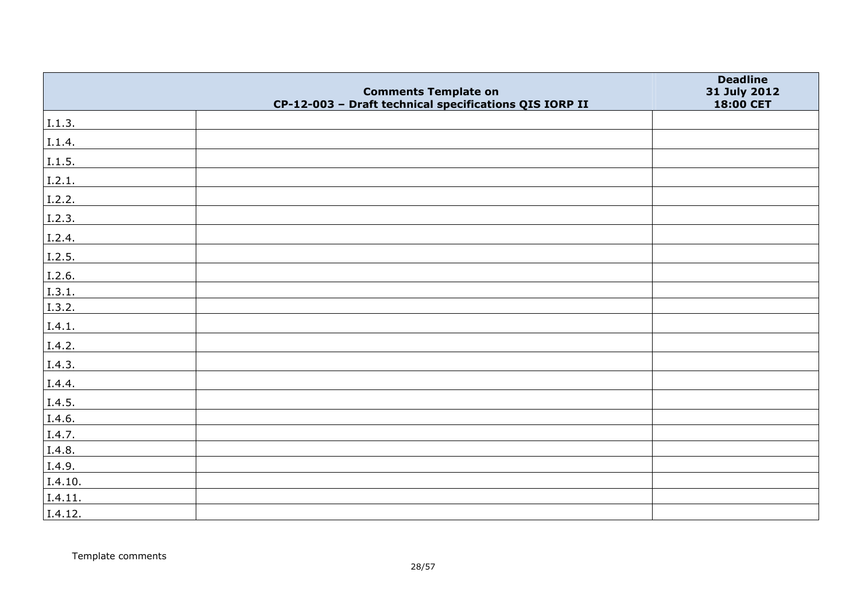|         | <b>Comments Template on</b>                            | <b>Deadline</b><br>31 July 2012 |
|---------|--------------------------------------------------------|---------------------------------|
|         | CP-12-003 - Draft technical specifications QIS IORP II | 18:00 CET                       |
| I.1.3.  |                                                        |                                 |
| I.1.4.  |                                                        |                                 |
| I.1.5.  |                                                        |                                 |
| I.2.1.  |                                                        |                                 |
| I.2.2.  |                                                        |                                 |
| I.2.3.  |                                                        |                                 |
| I.2.4.  |                                                        |                                 |
| I.2.5.  |                                                        |                                 |
| I.2.6.  |                                                        |                                 |
| I.3.1.  |                                                        |                                 |
| I.3.2.  |                                                        |                                 |
| I.4.1.  |                                                        |                                 |
| I.4.2.  |                                                        |                                 |
| I.4.3.  |                                                        |                                 |
| I.4.4.  |                                                        |                                 |
| I.4.5.  |                                                        |                                 |
| I.4.6.  |                                                        |                                 |
| I.4.7.  |                                                        |                                 |
| I.4.8.  |                                                        |                                 |
| I.4.9.  |                                                        |                                 |
| I.4.10. |                                                        |                                 |
| I.4.11. |                                                        |                                 |
| I.4.12. |                                                        |                                 |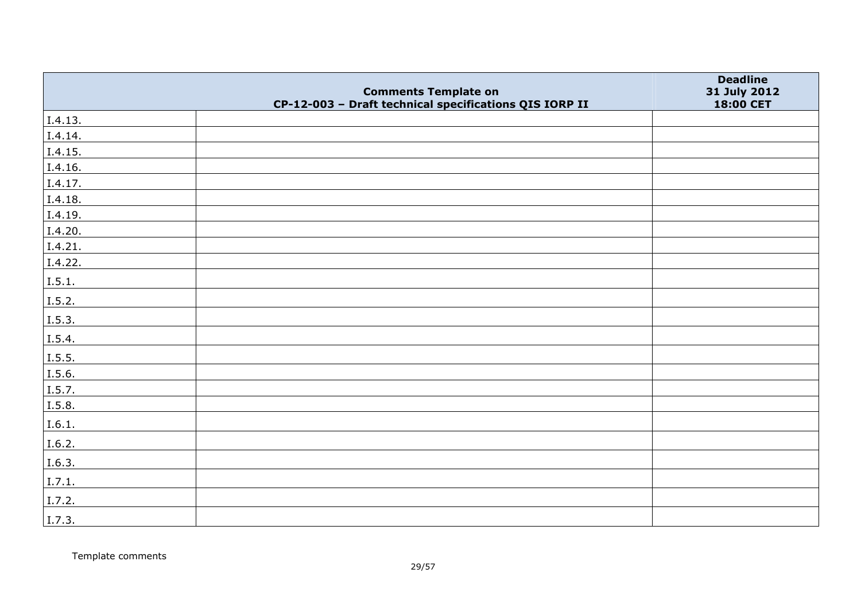|                | <b>Comments Template on</b>                            | <b>Deadline</b><br>31 July 2012 |
|----------------|--------------------------------------------------------|---------------------------------|
|                | CP-12-003 - Draft technical specifications QIS IORP II | 18:00 CET                       |
| I.4.13.        |                                                        |                                 |
| I.4.14.        |                                                        |                                 |
| I.4.15.        |                                                        |                                 |
| I.4.16.        |                                                        |                                 |
| I.4.17.        |                                                        |                                 |
| I.4.18.        |                                                        |                                 |
| I.4.19.        |                                                        |                                 |
| I.4.20.        |                                                        |                                 |
| I.4.21.        |                                                        |                                 |
| I.4.22.        |                                                        |                                 |
| I.5.1.         |                                                        |                                 |
| I.5.2.         |                                                        |                                 |
| I.5.3.         |                                                        |                                 |
| I.5.4.         |                                                        |                                 |
| $\vert$ I.5.5. |                                                        |                                 |
| I.5.6.         |                                                        |                                 |
| I.5.7.         |                                                        |                                 |
| I.5.8.         |                                                        |                                 |
| I.6.1.         |                                                        |                                 |
| I.6.2.         |                                                        |                                 |
| I.6.3.         |                                                        |                                 |
| I.7.1.         |                                                        |                                 |
| I.7.2.         |                                                        |                                 |
| I.7.3.         |                                                        |                                 |

Template comments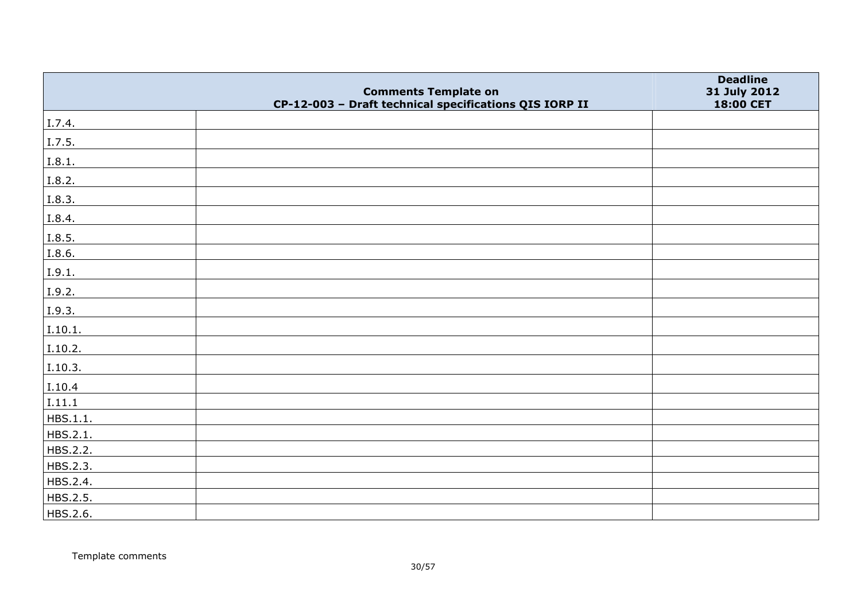|          | <b>Comments Template on</b>                            | <b>Deadline</b><br>31 July 2012 |
|----------|--------------------------------------------------------|---------------------------------|
|          | CP-12-003 - Draft technical specifications QIS IORP II | 18:00 CET                       |
| I.7.4.   |                                                        |                                 |
| I.7.5.   |                                                        |                                 |
| I.8.1.   |                                                        |                                 |
| I.8.2.   |                                                        |                                 |
| I.8.3.   |                                                        |                                 |
| I.8.4.   |                                                        |                                 |
| I.8.5.   |                                                        |                                 |
| I.8.6.   |                                                        |                                 |
| I.9.1.   |                                                        |                                 |
| I.9.2.   |                                                        |                                 |
| I.9.3.   |                                                        |                                 |
| I.10.1.  |                                                        |                                 |
| I.10.2.  |                                                        |                                 |
| I.10.3.  |                                                        |                                 |
| I.10.4   |                                                        |                                 |
| I.11.1   |                                                        |                                 |
| HBS.1.1. |                                                        |                                 |
| HBS.2.1. |                                                        |                                 |
| HBS.2.2. |                                                        |                                 |
| HBS.2.3. |                                                        |                                 |
| HBS.2.4. |                                                        |                                 |
| HBS.2.5. |                                                        |                                 |
| HBS.2.6. |                                                        |                                 |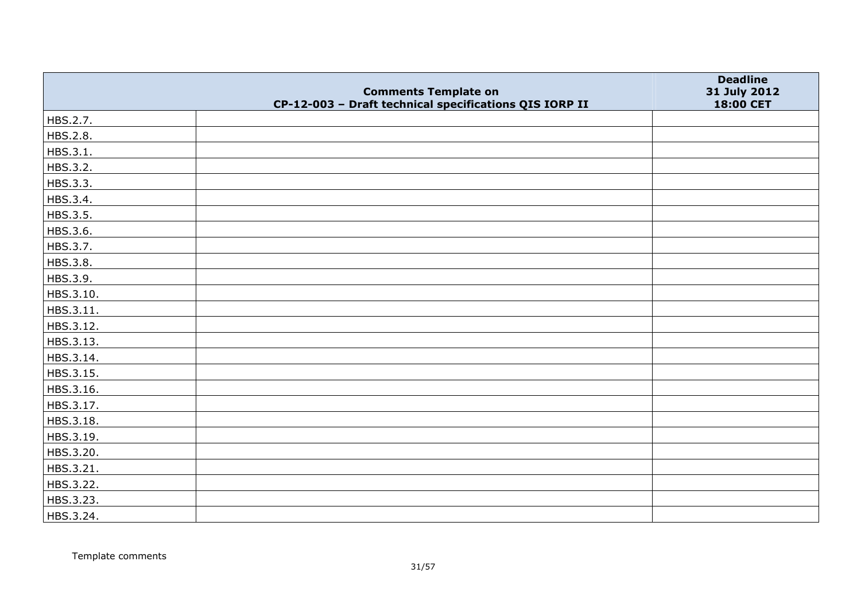|           |                                                                                       | <b>Deadline</b>           |
|-----------|---------------------------------------------------------------------------------------|---------------------------|
|           | <b>Comments Template on</b><br>CP-12-003 - Draft technical specifications QIS IORP II | 31 July 2012<br>18:00 CET |
| HBS.2.7.  |                                                                                       |                           |
| HBS.2.8.  |                                                                                       |                           |
| HBS.3.1.  |                                                                                       |                           |
| HBS.3.2.  |                                                                                       |                           |
| HBS.3.3.  |                                                                                       |                           |
| HBS.3.4.  |                                                                                       |                           |
| HBS.3.5.  |                                                                                       |                           |
| HBS.3.6.  |                                                                                       |                           |
| HBS.3.7.  |                                                                                       |                           |
| HBS.3.8.  |                                                                                       |                           |
| HBS.3.9.  |                                                                                       |                           |
| HBS.3.10. |                                                                                       |                           |
| HBS.3.11. |                                                                                       |                           |
| HBS.3.12. |                                                                                       |                           |
| HBS.3.13. |                                                                                       |                           |
| HBS.3.14. |                                                                                       |                           |
| HBS.3.15. |                                                                                       |                           |
| HBS.3.16. |                                                                                       |                           |
| HBS.3.17. |                                                                                       |                           |
| HBS.3.18. |                                                                                       |                           |
| HBS.3.19. |                                                                                       |                           |
| HBS.3.20. |                                                                                       |                           |
| HBS.3.21. |                                                                                       |                           |
| HBS.3.22. |                                                                                       |                           |
| HBS.3.23. |                                                                                       |                           |
| HBS.3.24. |                                                                                       |                           |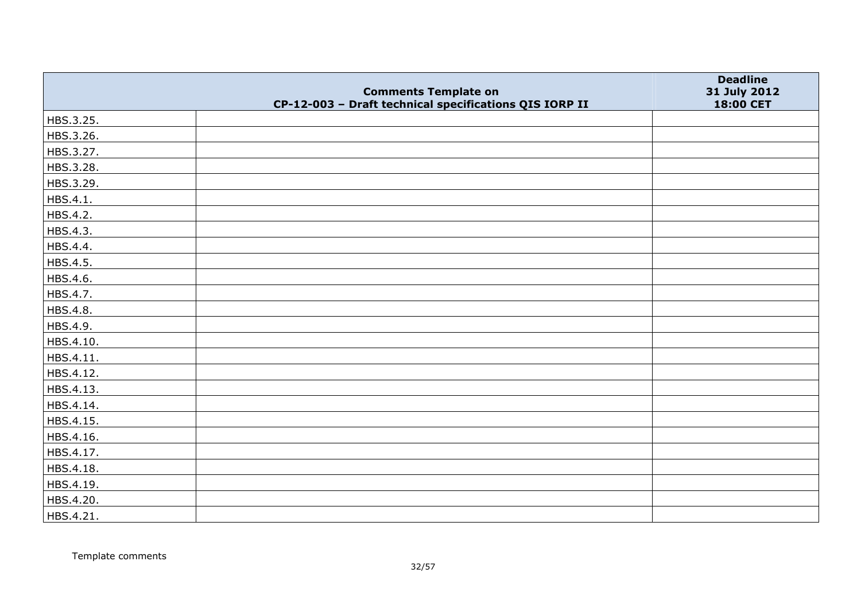|           |                                                                                       | <b>Deadline</b>           |
|-----------|---------------------------------------------------------------------------------------|---------------------------|
|           | <b>Comments Template on</b><br>CP-12-003 - Draft technical specifications QIS IORP II | 31 July 2012<br>18:00 CET |
| HBS.3.25. |                                                                                       |                           |
| HBS.3.26. |                                                                                       |                           |
| HBS.3.27. |                                                                                       |                           |
| HBS.3.28. |                                                                                       |                           |
| HBS.3.29. |                                                                                       |                           |
| HBS.4.1.  |                                                                                       |                           |
| HBS.4.2.  |                                                                                       |                           |
| HBS.4.3.  |                                                                                       |                           |
| HBS.4.4.  |                                                                                       |                           |
| HBS.4.5.  |                                                                                       |                           |
| HBS.4.6.  |                                                                                       |                           |
| HBS.4.7.  |                                                                                       |                           |
| HBS.4.8.  |                                                                                       |                           |
| HBS.4.9.  |                                                                                       |                           |
| HBS.4.10. |                                                                                       |                           |
| HBS.4.11. |                                                                                       |                           |
| HBS.4.12. |                                                                                       |                           |
| HBS.4.13. |                                                                                       |                           |
| HBS.4.14. |                                                                                       |                           |
| HBS.4.15. |                                                                                       |                           |
| HBS.4.16. |                                                                                       |                           |
| HBS.4.17. |                                                                                       |                           |
| HBS.4.18. |                                                                                       |                           |
| HBS.4.19. |                                                                                       |                           |
| HBS.4.20. |                                                                                       |                           |
| HBS.4.21. |                                                                                       |                           |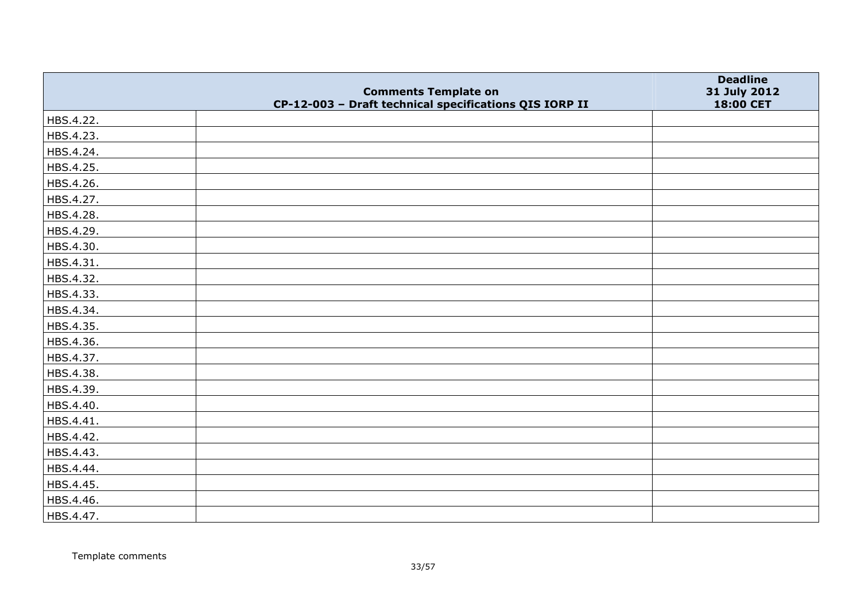|           | <b>Comments Template on</b>                            | <b>Deadline</b><br>31 July 2012 |
|-----------|--------------------------------------------------------|---------------------------------|
|           | CP-12-003 - Draft technical specifications QIS IORP II | 18:00 CET                       |
| HBS.4.22. |                                                        |                                 |
| HBS.4.23. |                                                        |                                 |
| HBS.4.24. |                                                        |                                 |
| HBS.4.25. |                                                        |                                 |
| HBS.4.26. |                                                        |                                 |
| HBS.4.27. |                                                        |                                 |
| HBS.4.28. |                                                        |                                 |
| HBS.4.29. |                                                        |                                 |
| HBS.4.30. |                                                        |                                 |
| HBS.4.31. |                                                        |                                 |
| HBS.4.32. |                                                        |                                 |
| HBS.4.33. |                                                        |                                 |
| HBS.4.34. |                                                        |                                 |
| HBS.4.35. |                                                        |                                 |
| HBS.4.36. |                                                        |                                 |
| HBS.4.37. |                                                        |                                 |
| HBS.4.38. |                                                        |                                 |
| HBS.4.39. |                                                        |                                 |
| HBS.4.40. |                                                        |                                 |
| HBS.4.41. |                                                        |                                 |
| HBS.4.42. |                                                        |                                 |
| HBS.4.43. |                                                        |                                 |
| HBS.4.44. |                                                        |                                 |
| HBS.4.45. |                                                        |                                 |
| HBS.4.46. |                                                        |                                 |
| HBS.4.47. |                                                        |                                 |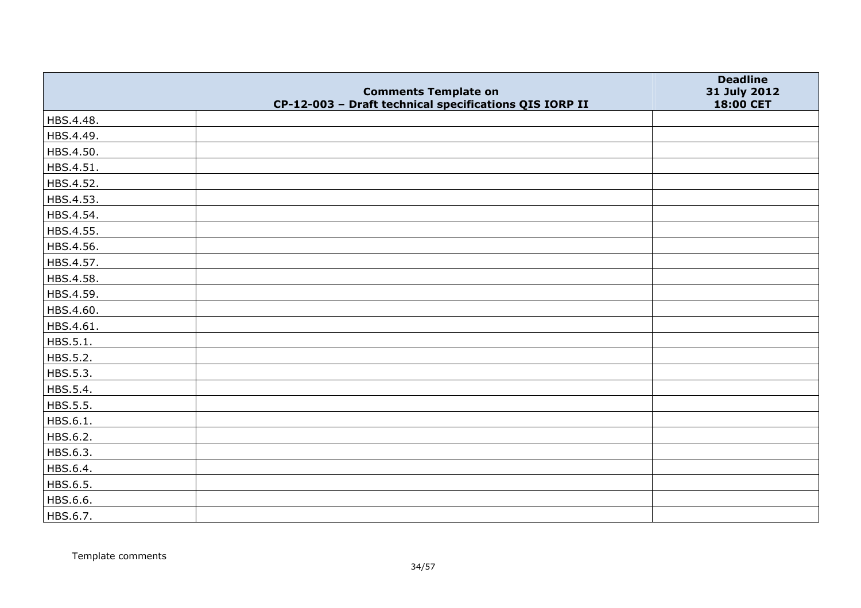|           | <b>Comments Template on</b>                            | <b>Deadline</b>           |
|-----------|--------------------------------------------------------|---------------------------|
|           | CP-12-003 - Draft technical specifications QIS IORP II | 31 July 2012<br>18:00 CET |
| HBS.4.48. |                                                        |                           |
| HBS.4.49. |                                                        |                           |
| HBS.4.50. |                                                        |                           |
| HBS.4.51. |                                                        |                           |
| HBS.4.52. |                                                        |                           |
| HBS.4.53. |                                                        |                           |
| HBS.4.54. |                                                        |                           |
| HBS.4.55. |                                                        |                           |
| HBS.4.56. |                                                        |                           |
| HBS.4.57. |                                                        |                           |
| HBS.4.58. |                                                        |                           |
| HBS.4.59. |                                                        |                           |
| HBS.4.60. |                                                        |                           |
| HBS.4.61. |                                                        |                           |
| HBS.5.1.  |                                                        |                           |
| HBS.5.2.  |                                                        |                           |
| HBS.5.3.  |                                                        |                           |
| HBS.5.4.  |                                                        |                           |
| HBS.5.5.  |                                                        |                           |
| HBS.6.1.  |                                                        |                           |
| HBS.6.2.  |                                                        |                           |
| HBS.6.3.  |                                                        |                           |
| HBS.6.4.  |                                                        |                           |
| HBS.6.5.  |                                                        |                           |
| HBS.6.6.  |                                                        |                           |
| HBS.6.7.  |                                                        |                           |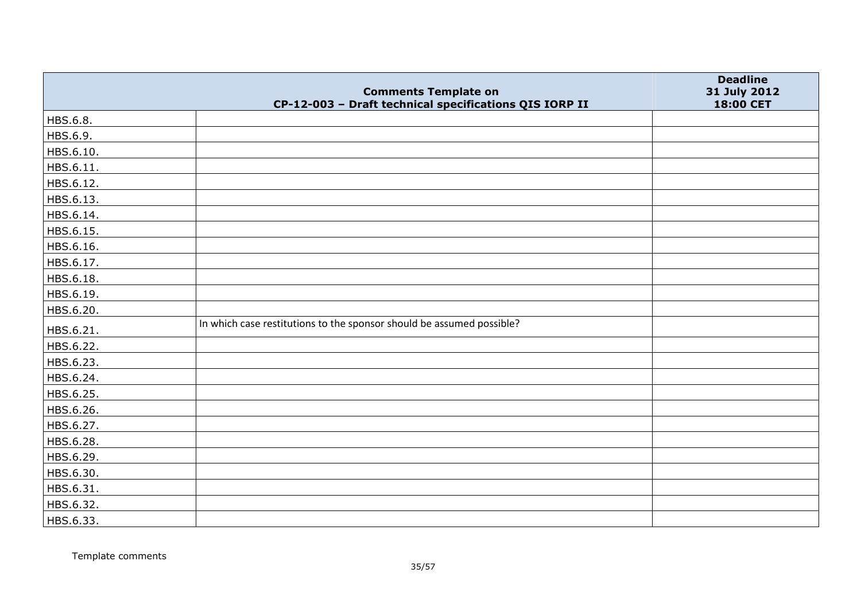|           | <b>Comments Template on</b>                                           | <b>Deadline</b><br>31 July 2012 |
|-----------|-----------------------------------------------------------------------|---------------------------------|
|           | CP-12-003 - Draft technical specifications QIS IORP II                | 18:00 CET                       |
| HBS.6.8.  |                                                                       |                                 |
| HBS.6.9.  |                                                                       |                                 |
| HBS.6.10. |                                                                       |                                 |
| HBS.6.11. |                                                                       |                                 |
| HBS.6.12. |                                                                       |                                 |
| HBS.6.13. |                                                                       |                                 |
| HBS.6.14. |                                                                       |                                 |
| HBS.6.15. |                                                                       |                                 |
| HBS.6.16. |                                                                       |                                 |
| HBS.6.17. |                                                                       |                                 |
| HBS.6.18. |                                                                       |                                 |
| HBS.6.19. |                                                                       |                                 |
| HBS.6.20. |                                                                       |                                 |
| HBS.6.21. | In which case restitutions to the sponsor should be assumed possible? |                                 |
| HBS.6.22. |                                                                       |                                 |
| HBS.6.23. |                                                                       |                                 |
| HBS.6.24. |                                                                       |                                 |
| HBS.6.25. |                                                                       |                                 |
| HBS.6.26. |                                                                       |                                 |
| HBS.6.27. |                                                                       |                                 |
| HBS.6.28. |                                                                       |                                 |
| HBS.6.29. |                                                                       |                                 |
| HBS.6.30. |                                                                       |                                 |
| HBS.6.31. |                                                                       |                                 |
| HBS.6.32. |                                                                       |                                 |
| HBS.6.33. |                                                                       |                                 |

Template comments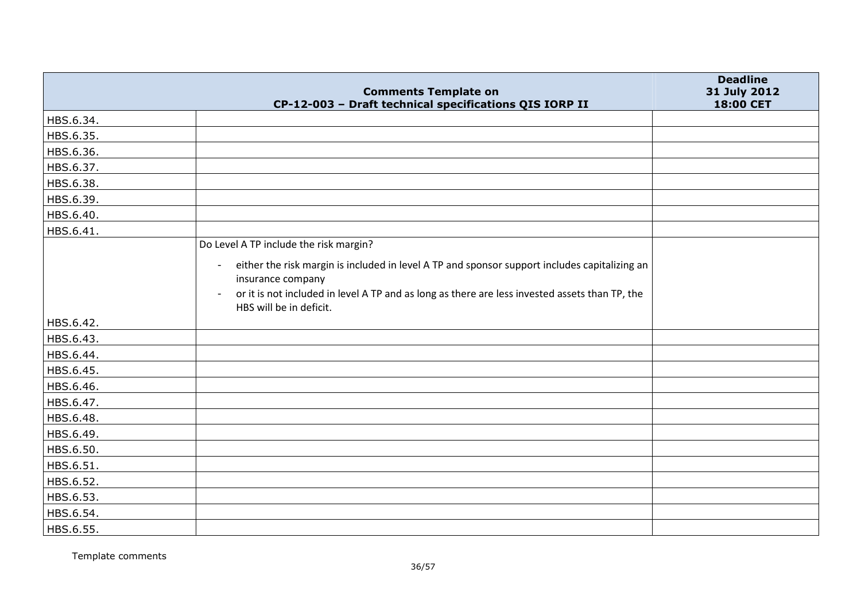|           | <b>Comments Template on</b>                                                                                                                                                                                                                                       | <b>Deadline</b><br>31 July 2012 |
|-----------|-------------------------------------------------------------------------------------------------------------------------------------------------------------------------------------------------------------------------------------------------------------------|---------------------------------|
|           | CP-12-003 - Draft technical specifications QIS IORP II                                                                                                                                                                                                            | 18:00 CET                       |
| HBS.6.34. |                                                                                                                                                                                                                                                                   |                                 |
| HBS.6.35. |                                                                                                                                                                                                                                                                   |                                 |
| HBS.6.36. |                                                                                                                                                                                                                                                                   |                                 |
| HBS.6.37. |                                                                                                                                                                                                                                                                   |                                 |
| HBS.6.38. |                                                                                                                                                                                                                                                                   |                                 |
| HBS.6.39. |                                                                                                                                                                                                                                                                   |                                 |
| HBS.6.40. |                                                                                                                                                                                                                                                                   |                                 |
| HBS.6.41. |                                                                                                                                                                                                                                                                   |                                 |
|           | Do Level A TP include the risk margin?                                                                                                                                                                                                                            |                                 |
|           | either the risk margin is included in level A TP and sponsor support includes capitalizing an<br>$\blacksquare$<br>insurance company<br>or it is not included in level A TP and as long as there are less invested assets than TP, the<br>HBS will be in deficit. |                                 |
| HBS.6.42. |                                                                                                                                                                                                                                                                   |                                 |
| HBS.6.43. |                                                                                                                                                                                                                                                                   |                                 |
| HBS.6.44. |                                                                                                                                                                                                                                                                   |                                 |
| HBS.6.45. |                                                                                                                                                                                                                                                                   |                                 |
| HBS.6.46. |                                                                                                                                                                                                                                                                   |                                 |
| HBS.6.47. |                                                                                                                                                                                                                                                                   |                                 |
| HBS.6.48. |                                                                                                                                                                                                                                                                   |                                 |
| HBS.6.49. |                                                                                                                                                                                                                                                                   |                                 |
| HBS.6.50. |                                                                                                                                                                                                                                                                   |                                 |
| HBS.6.51. |                                                                                                                                                                                                                                                                   |                                 |
| HBS.6.52. |                                                                                                                                                                                                                                                                   |                                 |
| HBS.6.53. |                                                                                                                                                                                                                                                                   |                                 |
| HBS.6.54. |                                                                                                                                                                                                                                                                   |                                 |
| HBS.6.55. |                                                                                                                                                                                                                                                                   |                                 |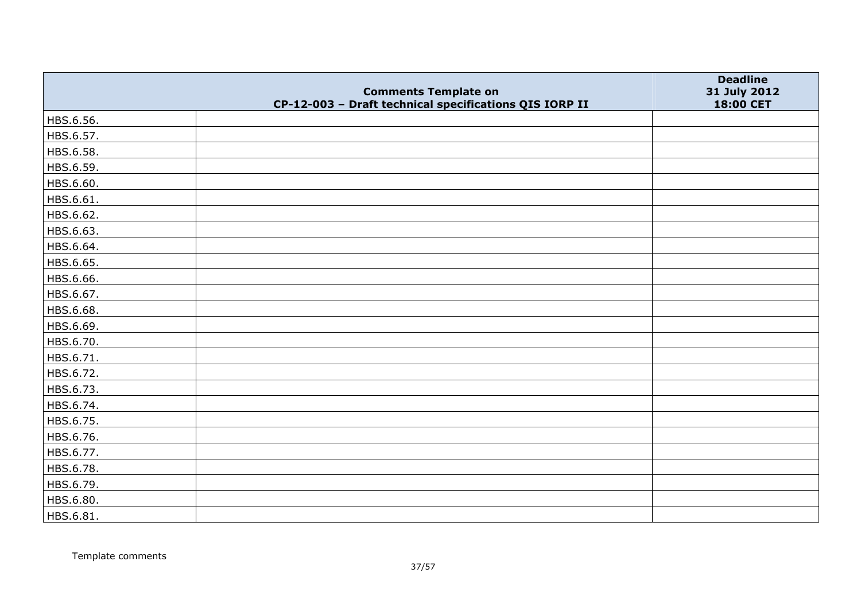|           | <b>Comments Template on</b>                            | <b>Deadline</b><br>31 July 2012 |
|-----------|--------------------------------------------------------|---------------------------------|
|           | CP-12-003 - Draft technical specifications QIS IORP II | 18:00 CET                       |
| HBS.6.56. |                                                        |                                 |
| HBS.6.57. |                                                        |                                 |
| HBS.6.58. |                                                        |                                 |
| HBS.6.59. |                                                        |                                 |
| HBS.6.60. |                                                        |                                 |
| HBS.6.61. |                                                        |                                 |
| HBS.6.62. |                                                        |                                 |
| HBS.6.63. |                                                        |                                 |
| HBS.6.64. |                                                        |                                 |
| HBS.6.65. |                                                        |                                 |
| HBS.6.66. |                                                        |                                 |
| HBS.6.67. |                                                        |                                 |
| HBS.6.68. |                                                        |                                 |
| HBS.6.69. |                                                        |                                 |
| HBS.6.70. |                                                        |                                 |
| HBS.6.71. |                                                        |                                 |
| HBS.6.72. |                                                        |                                 |
| HBS.6.73. |                                                        |                                 |
| HBS.6.74. |                                                        |                                 |
| HBS.6.75. |                                                        |                                 |
| HBS.6.76. |                                                        |                                 |
| HBS.6.77. |                                                        |                                 |
| HBS.6.78. |                                                        |                                 |
| HBS.6.79. |                                                        |                                 |
| HBS.6.80. |                                                        |                                 |
| HBS.6.81. |                                                        |                                 |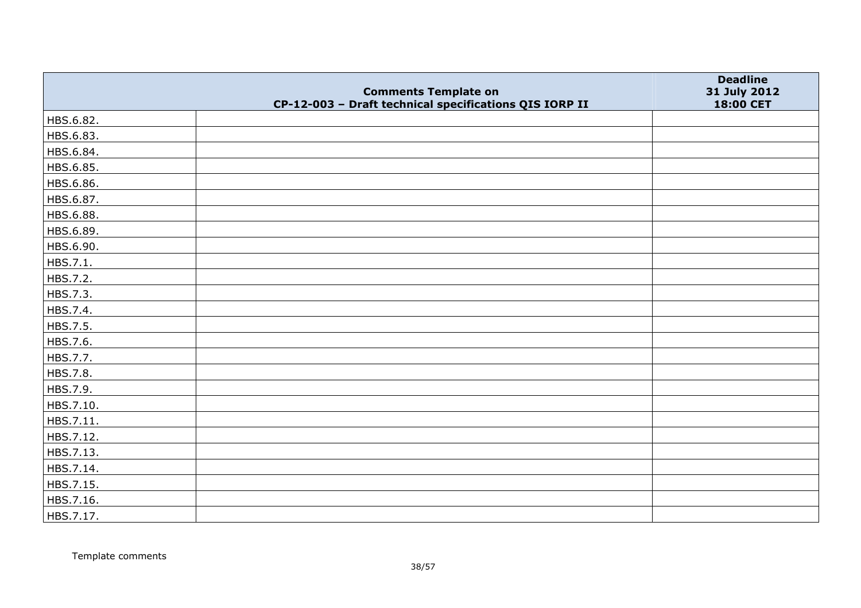|           | <b>Comments Template on</b>                            | <b>Deadline</b><br>31 July 2012 |
|-----------|--------------------------------------------------------|---------------------------------|
|           | CP-12-003 - Draft technical specifications QIS IORP II | 18:00 CET                       |
| HBS.6.82. |                                                        |                                 |
| HBS.6.83. |                                                        |                                 |
| HBS.6.84. |                                                        |                                 |
| HBS.6.85. |                                                        |                                 |
| HBS.6.86. |                                                        |                                 |
| HBS.6.87. |                                                        |                                 |
| HBS.6.88. |                                                        |                                 |
| HBS.6.89. |                                                        |                                 |
| HBS.6.90. |                                                        |                                 |
| HBS.7.1.  |                                                        |                                 |
| HBS.7.2.  |                                                        |                                 |
| HBS.7.3.  |                                                        |                                 |
| HBS.7.4.  |                                                        |                                 |
| HBS.7.5.  |                                                        |                                 |
| HBS.7.6.  |                                                        |                                 |
| HBS.7.7.  |                                                        |                                 |
| HBS.7.8.  |                                                        |                                 |
| HBS.7.9.  |                                                        |                                 |
| HBS.7.10. |                                                        |                                 |
| HBS.7.11. |                                                        |                                 |
| HBS.7.12. |                                                        |                                 |
| HBS.7.13. |                                                        |                                 |
| HBS.7.14. |                                                        |                                 |
| HBS.7.15. |                                                        |                                 |
| HBS.7.16. |                                                        |                                 |
| HBS.7.17. |                                                        |                                 |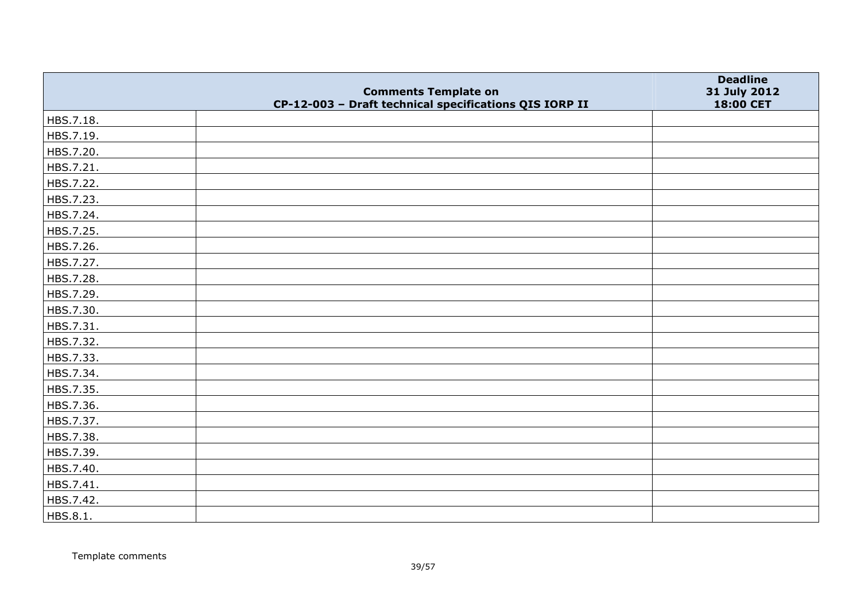|           | <b>Comments Template on</b>                            | <b>Deadline</b>           |
|-----------|--------------------------------------------------------|---------------------------|
|           | CP-12-003 - Draft technical specifications QIS IORP II | 31 July 2012<br>18:00 CET |
| HBS.7.18. |                                                        |                           |
| HBS.7.19. |                                                        |                           |
| HBS.7.20. |                                                        |                           |
| HBS.7.21. |                                                        |                           |
| HBS.7.22. |                                                        |                           |
| HBS.7.23. |                                                        |                           |
| HBS.7.24. |                                                        |                           |
| HBS.7.25. |                                                        |                           |
| HBS.7.26. |                                                        |                           |
| HBS.7.27. |                                                        |                           |
| HBS.7.28. |                                                        |                           |
| HBS.7.29. |                                                        |                           |
| HBS.7.30. |                                                        |                           |
| HBS.7.31. |                                                        |                           |
| HBS.7.32. |                                                        |                           |
| HBS.7.33. |                                                        |                           |
| HBS.7.34. |                                                        |                           |
| HBS.7.35. |                                                        |                           |
| HBS.7.36. |                                                        |                           |
| HBS.7.37. |                                                        |                           |
| HBS.7.38. |                                                        |                           |
| HBS.7.39. |                                                        |                           |
| HBS.7.40. |                                                        |                           |
| HBS.7.41. |                                                        |                           |
| HBS.7.42. |                                                        |                           |
| HBS.8.1.  |                                                        |                           |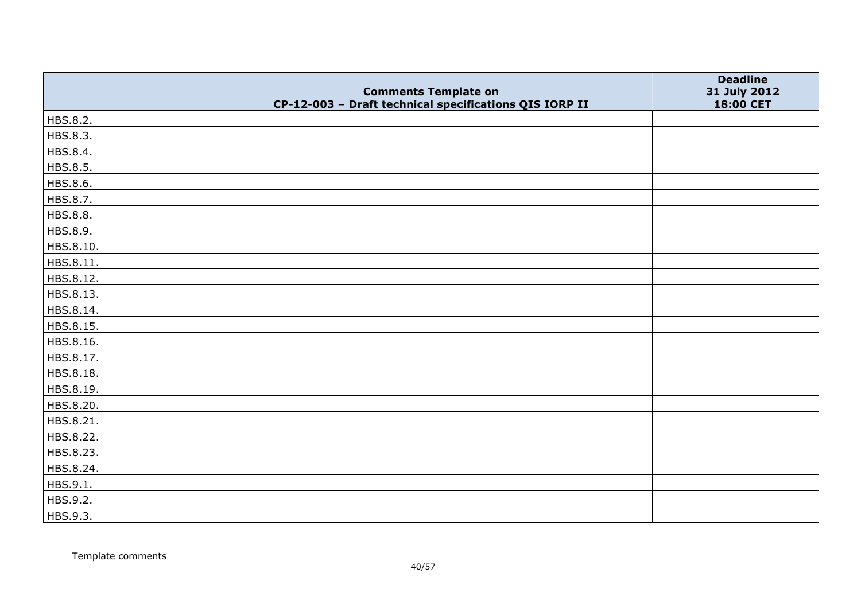|           | <b>Comments Template on</b>                            | <b>Deadline</b>           |
|-----------|--------------------------------------------------------|---------------------------|
|           | CP-12-003 - Draft technical specifications QIS IORP II | 31 July 2012<br>18:00 CET |
| HBS.8.2.  |                                                        |                           |
| HBS.8.3.  |                                                        |                           |
| HBS.8.4.  |                                                        |                           |
| HBS.8.5.  |                                                        |                           |
| HBS.8.6.  |                                                        |                           |
| HBS.8.7.  |                                                        |                           |
| HBS.8.8.  |                                                        |                           |
| HBS.8.9.  |                                                        |                           |
| HBS.8.10. |                                                        |                           |
| HBS.8.11. |                                                        |                           |
| HBS.8.12. |                                                        |                           |
| HBS.8.13. |                                                        |                           |
| HBS.8.14. |                                                        |                           |
| HBS.8.15. |                                                        |                           |
| HBS.8.16. |                                                        |                           |
| HBS.8.17. |                                                        |                           |
| HBS.8.18. |                                                        |                           |
| HBS.8.19. |                                                        |                           |
| HBS.8.20. |                                                        |                           |
| HBS.8.21. |                                                        |                           |
| HBS.8.22. |                                                        |                           |
| HBS.8.23. |                                                        |                           |
| HBS.8.24. |                                                        |                           |
| HBS.9.1.  |                                                        |                           |
| HBS.9.2.  |                                                        |                           |
| HBS.9.3.  |                                                        |                           |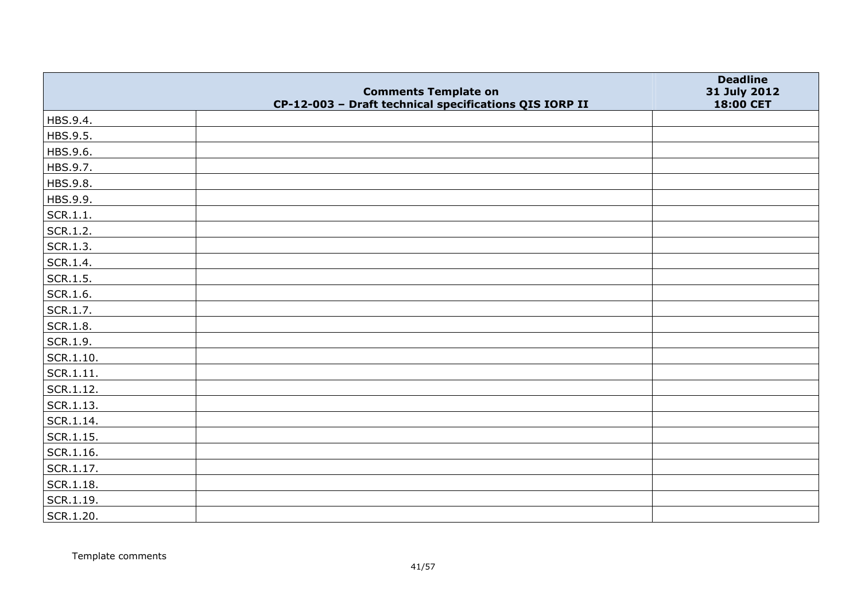|                   |                                                                                       | <b>Deadline</b>           |
|-------------------|---------------------------------------------------------------------------------------|---------------------------|
|                   | <b>Comments Template on</b><br>CP-12-003 - Draft technical specifications QIS IORP II | 31 July 2012<br>18:00 CET |
| HBS.9.4.          |                                                                                       |                           |
| HBS.9.5.          |                                                                                       |                           |
| HBS.9.6.          |                                                                                       |                           |
| HBS.9.7.          |                                                                                       |                           |
| HBS.9.8.          |                                                                                       |                           |
| HBS.9.9.          |                                                                                       |                           |
| SCR.1.1.          |                                                                                       |                           |
| SCR.1.2.          |                                                                                       |                           |
| SCR.1.3.          |                                                                                       |                           |
| SCR.1.4.          |                                                                                       |                           |
| SCR.1.5.          |                                                                                       |                           |
| SCR.1.6.          |                                                                                       |                           |
| SCR.1.7.          |                                                                                       |                           |
| SCR.1.8.          |                                                                                       |                           |
| SCR.1.9.          |                                                                                       |                           |
| $ $ SCR.1.10.     |                                                                                       |                           |
| SCR.1.11.         |                                                                                       |                           |
| $ $ SCR.1.12.     |                                                                                       |                           |
| $ $ SCR.1.13.     |                                                                                       |                           |
| $ $ SCR.1.14.     |                                                                                       |                           |
| $\vert$ SCR.1.15. |                                                                                       |                           |
| SCR.1.16.         |                                                                                       |                           |
| $ $ SCR.1.17.     |                                                                                       |                           |
| SCR.1.18.         |                                                                                       |                           |
| SCR.1.19.         |                                                                                       |                           |
| SCR.1.20.         |                                                                                       |                           |

Template comments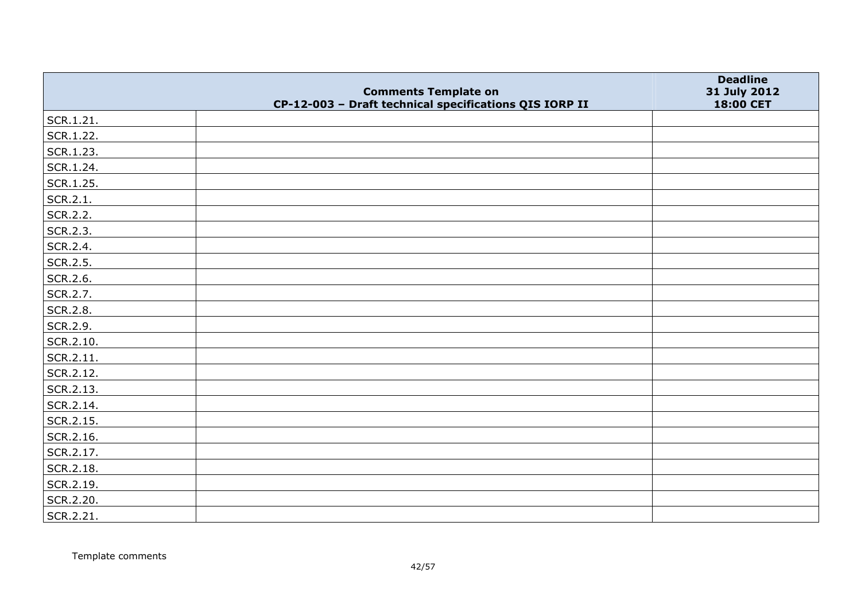|           |                                                                                       | <b>Deadline</b>           |
|-----------|---------------------------------------------------------------------------------------|---------------------------|
|           | <b>Comments Template on</b><br>CP-12-003 - Draft technical specifications QIS IORP II | 31 July 2012<br>18:00 CET |
| SCR.1.21. |                                                                                       |                           |
| SCR.1.22. |                                                                                       |                           |
| SCR.1.23. |                                                                                       |                           |
| SCR.1.24. |                                                                                       |                           |
| SCR.1.25. |                                                                                       |                           |
| SCR.2.1.  |                                                                                       |                           |
| SCR.2.2.  |                                                                                       |                           |
| SCR.2.3.  |                                                                                       |                           |
| SCR.2.4.  |                                                                                       |                           |
| SCR.2.5.  |                                                                                       |                           |
| SCR.2.6.  |                                                                                       |                           |
| SCR.2.7.  |                                                                                       |                           |
| SCR.2.8.  |                                                                                       |                           |
| SCR.2.9.  |                                                                                       |                           |
| SCR.2.10. |                                                                                       |                           |
| SCR.2.11. |                                                                                       |                           |
| SCR.2.12. |                                                                                       |                           |
| SCR.2.13. |                                                                                       |                           |
| SCR.2.14. |                                                                                       |                           |
| SCR.2.15. |                                                                                       |                           |
| SCR.2.16. |                                                                                       |                           |
| SCR.2.17. |                                                                                       |                           |
| SCR.2.18. |                                                                                       |                           |
| SCR.2.19. |                                                                                       |                           |
| SCR.2.20. |                                                                                       |                           |
| SCR.2.21. |                                                                                       |                           |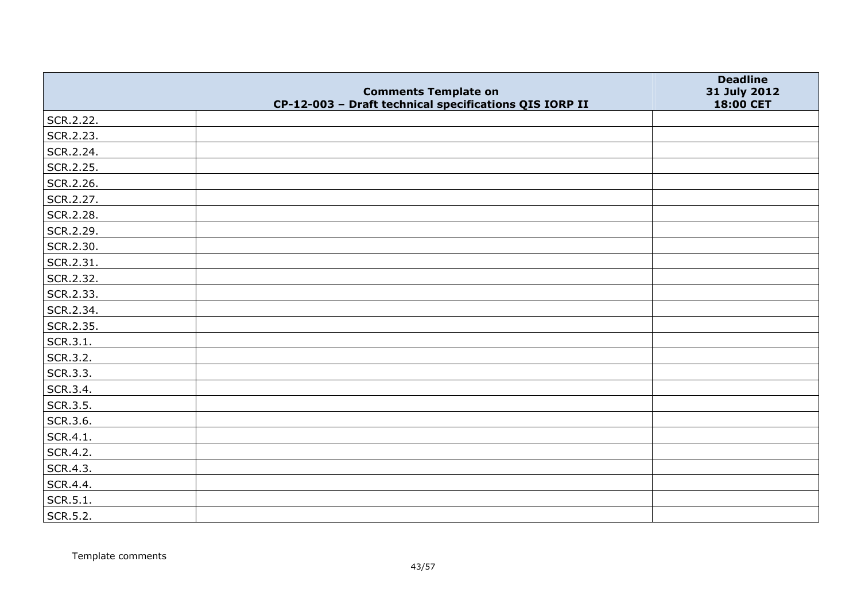|           |                                                                                       | <b>Deadline</b>           |
|-----------|---------------------------------------------------------------------------------------|---------------------------|
|           | <b>Comments Template on</b><br>CP-12-003 - Draft technical specifications QIS IORP II | 31 July 2012<br>18:00 CET |
| SCR.2.22. |                                                                                       |                           |
| SCR.2.23. |                                                                                       |                           |
| SCR.2.24. |                                                                                       |                           |
| SCR.2.25. |                                                                                       |                           |
| SCR.2.26. |                                                                                       |                           |
| SCR.2.27. |                                                                                       |                           |
| SCR.2.28. |                                                                                       |                           |
| SCR.2.29. |                                                                                       |                           |
| SCR.2.30. |                                                                                       |                           |
| SCR.2.31. |                                                                                       |                           |
| SCR.2.32. |                                                                                       |                           |
| SCR.2.33. |                                                                                       |                           |
| SCR.2.34. |                                                                                       |                           |
| SCR.2.35. |                                                                                       |                           |
| SCR.3.1.  |                                                                                       |                           |
| SCR.3.2.  |                                                                                       |                           |
| SCR.3.3.  |                                                                                       |                           |
| SCR.3.4.  |                                                                                       |                           |
| SCR.3.5.  |                                                                                       |                           |
| SCR.3.6.  |                                                                                       |                           |
| SCR.4.1.  |                                                                                       |                           |
| SCR.4.2.  |                                                                                       |                           |
| SCR.4.3.  |                                                                                       |                           |
| SCR.4.4.  |                                                                                       |                           |
| SCR.5.1.  |                                                                                       |                           |
| SCR.5.2.  |                                                                                       |                           |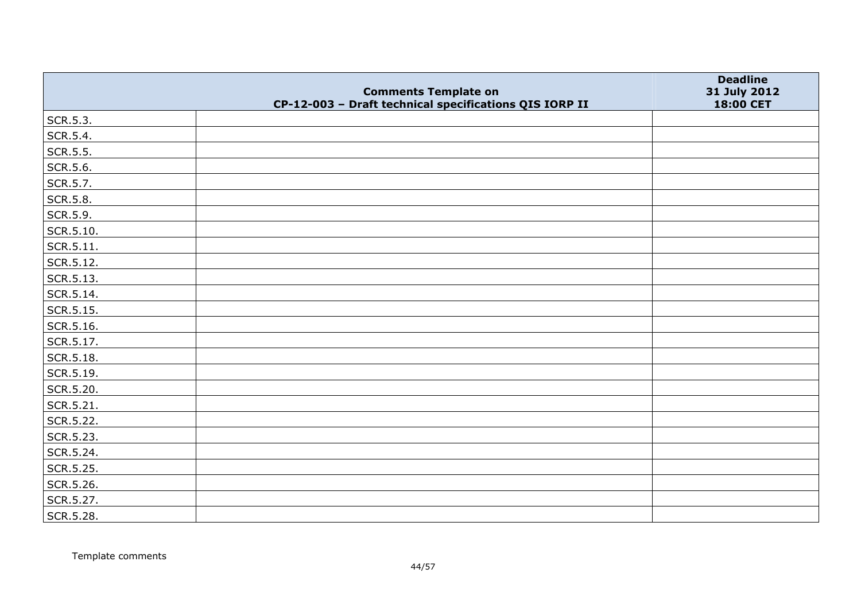|                   |                                                                                       | <b>Deadline</b>           |
|-------------------|---------------------------------------------------------------------------------------|---------------------------|
|                   | <b>Comments Template on</b><br>CP-12-003 - Draft technical specifications QIS IORP II | 31 July 2012<br>18:00 CET |
| SCR.5.3.          |                                                                                       |                           |
| SCR.5.4.          |                                                                                       |                           |
| SCR.5.5.          |                                                                                       |                           |
| SCR.5.6.          |                                                                                       |                           |
| SCR.5.7.          |                                                                                       |                           |
| SCR.5.8.          |                                                                                       |                           |
| SCR.5.9.          |                                                                                       |                           |
| $\vert$ SCR.5.10. |                                                                                       |                           |
| $\vert$ SCR.5.11. |                                                                                       |                           |
| SCR.5.12.         |                                                                                       |                           |
| $\vert$ SCR.5.13. |                                                                                       |                           |
| SCR.5.14.         |                                                                                       |                           |
| $\vert$ SCR.5.15. |                                                                                       |                           |
| SCR.5.16.         |                                                                                       |                           |
| SCR.5.17.         |                                                                                       |                           |
| SCR.5.18.         |                                                                                       |                           |
| SCR.5.19.         |                                                                                       |                           |
| SCR.5.20.         |                                                                                       |                           |
| SCR.5.21.         |                                                                                       |                           |
| SCR.5.22.         |                                                                                       |                           |
| SCR.5.23.         |                                                                                       |                           |
| SCR.5.24.         |                                                                                       |                           |
| SCR.5.25.         |                                                                                       |                           |
| SCR.5.26.         |                                                                                       |                           |
| SCR.5.27.         |                                                                                       |                           |
| SCR.5.28.         |                                                                                       |                           |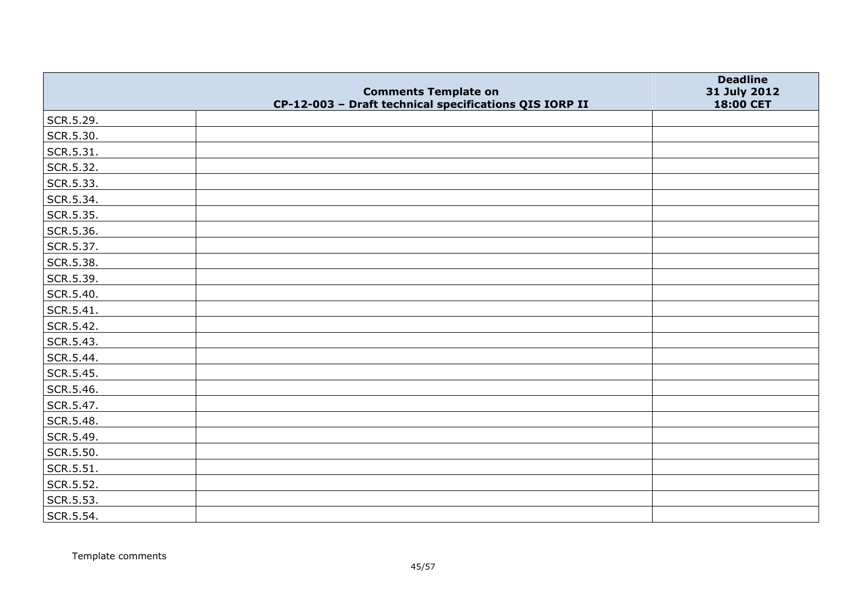|           | <b>Comments Template on</b>                            | <b>Deadline</b><br>31 July 2012 |
|-----------|--------------------------------------------------------|---------------------------------|
|           | CP-12-003 - Draft technical specifications QIS IORP II | 18:00 CET                       |
| SCR.5.29. |                                                        |                                 |
| SCR.5.30. |                                                        |                                 |
| SCR.5.31. |                                                        |                                 |
| SCR.5.32. |                                                        |                                 |
| SCR.5.33. |                                                        |                                 |
| SCR.5.34. |                                                        |                                 |
| SCR.5.35. |                                                        |                                 |
| SCR.5.36. |                                                        |                                 |
| SCR.5.37. |                                                        |                                 |
| SCR.5.38. |                                                        |                                 |
| SCR.5.39. |                                                        |                                 |
| SCR.5.40. |                                                        |                                 |
| SCR.5.41. |                                                        |                                 |
| SCR.5.42. |                                                        |                                 |
| SCR.5.43. |                                                        |                                 |
| SCR.5.44. |                                                        |                                 |
| SCR.5.45. |                                                        |                                 |
| SCR.5.46. |                                                        |                                 |
| SCR.5.47. |                                                        |                                 |
| SCR.5.48. |                                                        |                                 |
| SCR.5.49. |                                                        |                                 |
| SCR.5.50. |                                                        |                                 |
| SCR.5.51. |                                                        |                                 |
| SCR.5.52. |                                                        |                                 |
| SCR.5.53. |                                                        |                                 |
| SCR.5.54. |                                                        |                                 |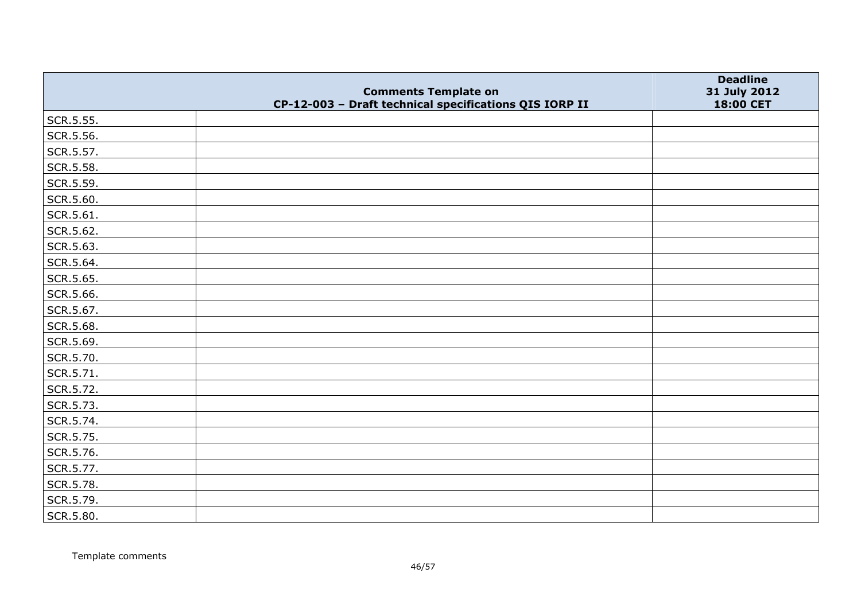|           | <b>Comments Template on</b>                            | <b>Deadline</b><br>31 July 2012 |
|-----------|--------------------------------------------------------|---------------------------------|
|           | CP-12-003 - Draft technical specifications QIS IORP II | 18:00 CET                       |
| SCR.5.55. |                                                        |                                 |
| SCR.5.56. |                                                        |                                 |
| SCR.5.57. |                                                        |                                 |
| SCR.5.58. |                                                        |                                 |
| SCR.5.59. |                                                        |                                 |
| SCR.5.60. |                                                        |                                 |
| SCR.5.61. |                                                        |                                 |
| SCR.5.62. |                                                        |                                 |
| SCR.5.63. |                                                        |                                 |
| SCR.5.64. |                                                        |                                 |
| SCR.5.65. |                                                        |                                 |
| SCR.5.66. |                                                        |                                 |
| SCR.5.67. |                                                        |                                 |
| SCR.5.68. |                                                        |                                 |
| SCR.5.69. |                                                        |                                 |
| SCR.5.70. |                                                        |                                 |
| SCR.5.71. |                                                        |                                 |
| SCR.5.72. |                                                        |                                 |
| SCR.5.73. |                                                        |                                 |
| SCR.5.74. |                                                        |                                 |
| SCR.5.75. |                                                        |                                 |
| SCR.5.76. |                                                        |                                 |
| SCR.5.77. |                                                        |                                 |
| SCR.5.78. |                                                        |                                 |
| SCR.5.79. |                                                        |                                 |
| SCR.5.80. |                                                        |                                 |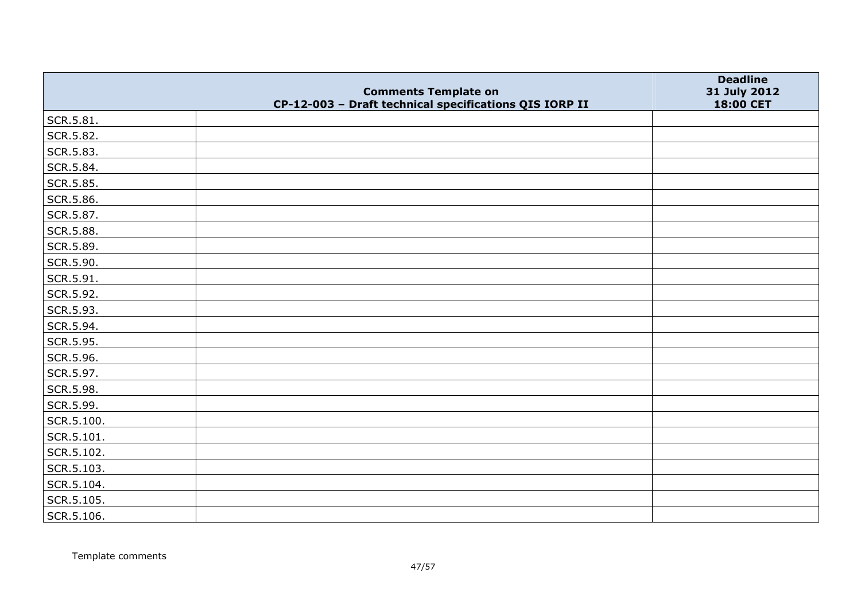|            |                                                                                       | <b>Deadline</b>           |
|------------|---------------------------------------------------------------------------------------|---------------------------|
|            | <b>Comments Template on</b><br>CP-12-003 - Draft technical specifications QIS IORP II | 31 July 2012<br>18:00 CET |
| SCR.5.81.  |                                                                                       |                           |
| SCR.5.82.  |                                                                                       |                           |
| SCR.5.83.  |                                                                                       |                           |
| SCR.5.84.  |                                                                                       |                           |
| SCR.5.85.  |                                                                                       |                           |
| SCR.5.86.  |                                                                                       |                           |
| SCR.5.87.  |                                                                                       |                           |
| SCR.5.88.  |                                                                                       |                           |
| SCR.5.89.  |                                                                                       |                           |
| SCR.5.90.  |                                                                                       |                           |
| SCR.5.91.  |                                                                                       |                           |
| SCR.5.92.  |                                                                                       |                           |
| SCR.5.93.  |                                                                                       |                           |
| SCR.5.94.  |                                                                                       |                           |
| SCR.5.95.  |                                                                                       |                           |
| SCR.5.96.  |                                                                                       |                           |
| SCR.5.97.  |                                                                                       |                           |
| SCR.5.98.  |                                                                                       |                           |
| SCR.5.99.  |                                                                                       |                           |
| SCR.5.100. |                                                                                       |                           |
| SCR.5.101. |                                                                                       |                           |
| SCR.5.102. |                                                                                       |                           |
| SCR.5.103. |                                                                                       |                           |
| SCR.5.104. |                                                                                       |                           |
| SCR.5.105. |                                                                                       |                           |
| SCR.5.106. |                                                                                       |                           |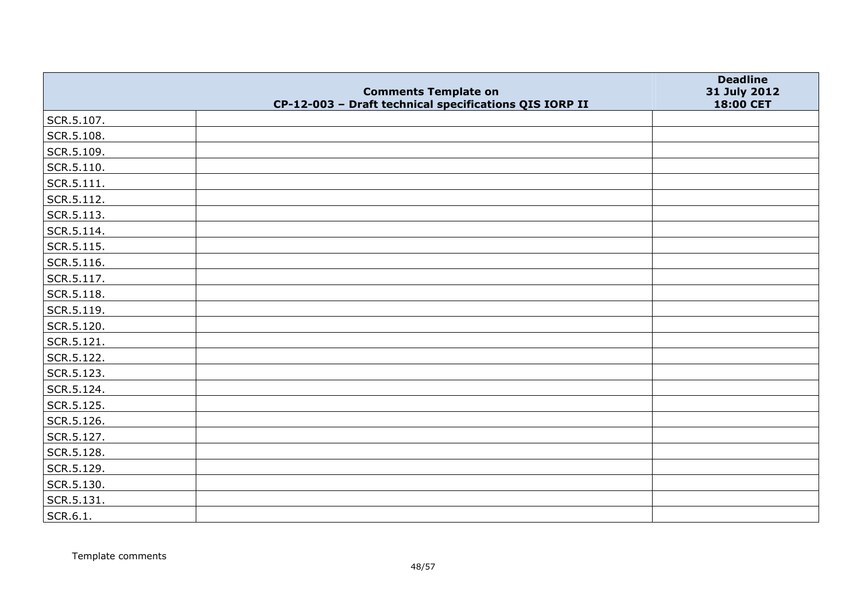|                    | <b>Comments Template on</b>                            | <b>Deadline</b><br>31 July 2012 |
|--------------------|--------------------------------------------------------|---------------------------------|
|                    | CP-12-003 - Draft technical specifications QIS IORP II | 18:00 CET                       |
| SCR.5.107.         |                                                        |                                 |
| SCR.5.108.         |                                                        |                                 |
| SCR.5.109.         |                                                        |                                 |
| SCR.5.110.         |                                                        |                                 |
| $\vert$ SCR.5.111. |                                                        |                                 |
| SCR.5.112.         |                                                        |                                 |
| SCR.5.113.         |                                                        |                                 |
| SCR.5.114.         |                                                        |                                 |
| SCR.5.115.         |                                                        |                                 |
| SCR.5.116.         |                                                        |                                 |
| SCR.5.117.         |                                                        |                                 |
| SCR.5.118.         |                                                        |                                 |
| SCR.5.119.         |                                                        |                                 |
| SCR.5.120.         |                                                        |                                 |
| SCR.5.121.         |                                                        |                                 |
| SCR.5.122.         |                                                        |                                 |
| SCR.5.123.         |                                                        |                                 |
| SCR.5.124.         |                                                        |                                 |
| SCR.5.125.         |                                                        |                                 |
| SCR.5.126.         |                                                        |                                 |
| SCR.5.127.         |                                                        |                                 |
| SCR.5.128.         |                                                        |                                 |
| SCR.5.129.         |                                                        |                                 |
| SCR.5.130.         |                                                        |                                 |
| SCR.5.131.         |                                                        |                                 |
| SCR.6.1.           |                                                        |                                 |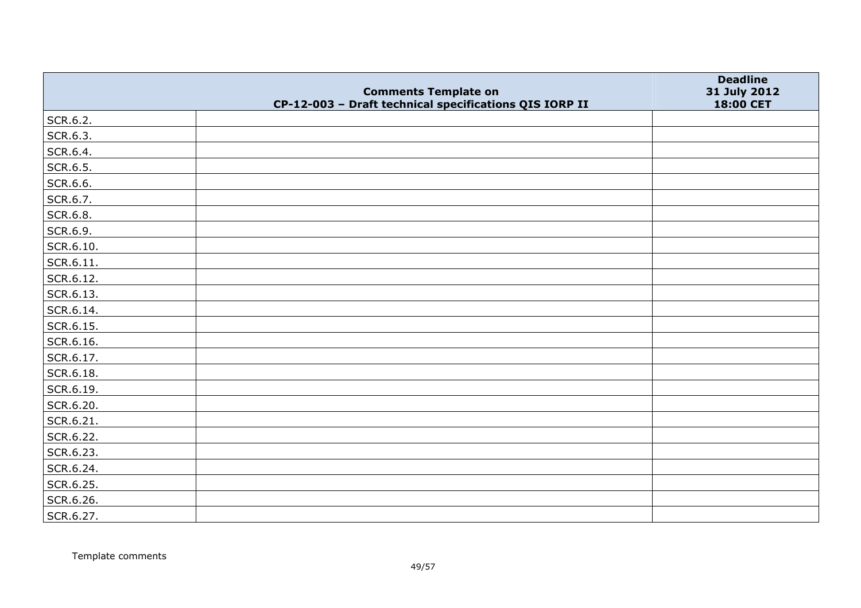|           |                                                                                       | <b>Deadline</b>           |
|-----------|---------------------------------------------------------------------------------------|---------------------------|
|           | <b>Comments Template on</b><br>CP-12-003 - Draft technical specifications QIS IORP II | 31 July 2012<br>18:00 CET |
| SCR.6.2.  |                                                                                       |                           |
| SCR.6.3.  |                                                                                       |                           |
| SCR.6.4.  |                                                                                       |                           |
| SCR.6.5.  |                                                                                       |                           |
| SCR.6.6.  |                                                                                       |                           |
| SCR.6.7.  |                                                                                       |                           |
| SCR.6.8.  |                                                                                       |                           |
| SCR.6.9.  |                                                                                       |                           |
| SCR.6.10. |                                                                                       |                           |
| SCR.6.11. |                                                                                       |                           |
| SCR.6.12. |                                                                                       |                           |
| SCR.6.13. |                                                                                       |                           |
| SCR.6.14. |                                                                                       |                           |
| SCR.6.15. |                                                                                       |                           |
| SCR.6.16. |                                                                                       |                           |
| SCR.6.17. |                                                                                       |                           |
| SCR.6.18. |                                                                                       |                           |
| SCR.6.19. |                                                                                       |                           |
| SCR.6.20. |                                                                                       |                           |
| SCR.6.21. |                                                                                       |                           |
| SCR.6.22. |                                                                                       |                           |
| SCR.6.23. |                                                                                       |                           |
| SCR.6.24. |                                                                                       |                           |
| SCR.6.25. |                                                                                       |                           |
| SCR.6.26. |                                                                                       |                           |
| SCR.6.27. |                                                                                       |                           |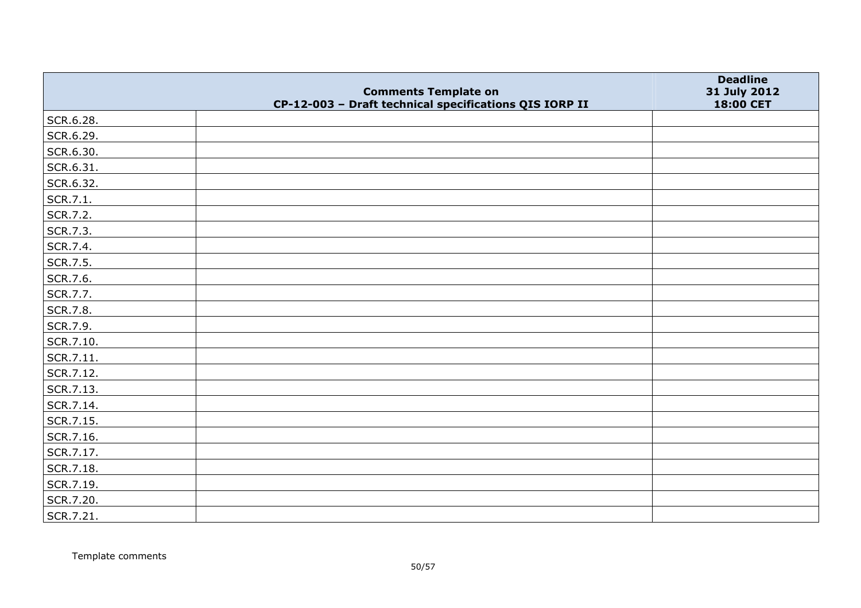|           |                                                                                       | <b>Deadline</b>           |
|-----------|---------------------------------------------------------------------------------------|---------------------------|
|           | <b>Comments Template on</b><br>CP-12-003 - Draft technical specifications QIS IORP II | 31 July 2012<br>18:00 CET |
| SCR.6.28. |                                                                                       |                           |
| SCR.6.29. |                                                                                       |                           |
| SCR.6.30. |                                                                                       |                           |
| SCR.6.31. |                                                                                       |                           |
| SCR.6.32. |                                                                                       |                           |
| SCR.7.1.  |                                                                                       |                           |
| SCR.7.2.  |                                                                                       |                           |
| SCR.7.3.  |                                                                                       |                           |
| SCR.7.4.  |                                                                                       |                           |
| SCR.7.5.  |                                                                                       |                           |
| SCR.7.6.  |                                                                                       |                           |
| SCR.7.7.  |                                                                                       |                           |
| SCR.7.8.  |                                                                                       |                           |
| SCR.7.9.  |                                                                                       |                           |
| SCR.7.10. |                                                                                       |                           |
| SCR.7.11. |                                                                                       |                           |
| SCR.7.12. |                                                                                       |                           |
| SCR.7.13. |                                                                                       |                           |
| SCR.7.14. |                                                                                       |                           |
| SCR.7.15. |                                                                                       |                           |
| SCR.7.16. |                                                                                       |                           |
| SCR.7.17. |                                                                                       |                           |
| SCR.7.18. |                                                                                       |                           |
| SCR.7.19. |                                                                                       |                           |
| SCR.7.20. |                                                                                       |                           |
| SCR.7.21. |                                                                                       |                           |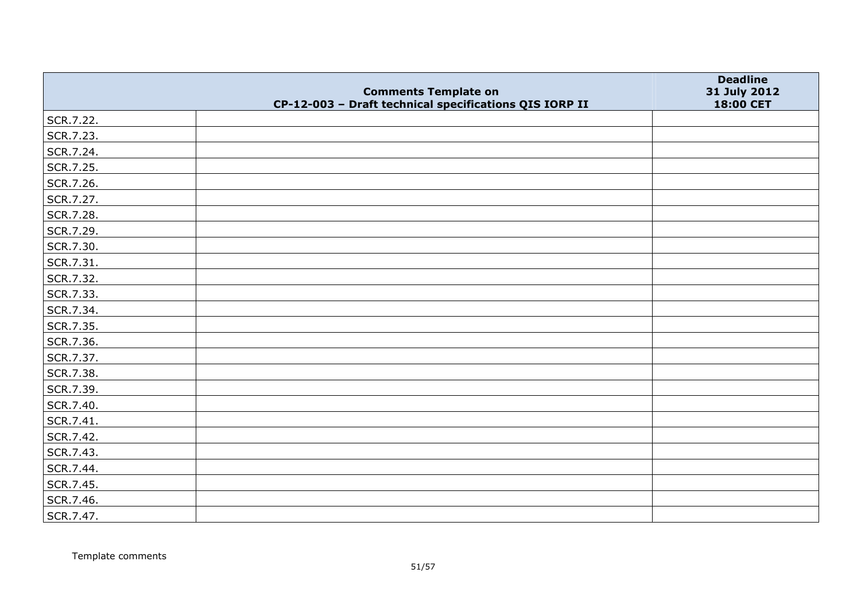|           |                                                                                       | <b>Deadline</b>           |
|-----------|---------------------------------------------------------------------------------------|---------------------------|
|           | <b>Comments Template on</b><br>CP-12-003 - Draft technical specifications QIS IORP II | 31 July 2012<br>18:00 CET |
| SCR.7.22. |                                                                                       |                           |
| SCR.7.23. |                                                                                       |                           |
| SCR.7.24. |                                                                                       |                           |
| SCR.7.25. |                                                                                       |                           |
| SCR.7.26. |                                                                                       |                           |
| SCR.7.27. |                                                                                       |                           |
| SCR.7.28. |                                                                                       |                           |
| SCR.7.29. |                                                                                       |                           |
| SCR.7.30. |                                                                                       |                           |
| SCR.7.31. |                                                                                       |                           |
| SCR.7.32. |                                                                                       |                           |
| SCR.7.33. |                                                                                       |                           |
| SCR.7.34. |                                                                                       |                           |
| SCR.7.35. |                                                                                       |                           |
| SCR.7.36. |                                                                                       |                           |
| SCR.7.37. |                                                                                       |                           |
| SCR.7.38. |                                                                                       |                           |
| SCR.7.39. |                                                                                       |                           |
| SCR.7.40. |                                                                                       |                           |
| SCR.7.41. |                                                                                       |                           |
| SCR.7.42. |                                                                                       |                           |
| SCR.7.43. |                                                                                       |                           |
| SCR.7.44. |                                                                                       |                           |
| SCR.7.45. |                                                                                       |                           |
| SCR.7.46. |                                                                                       |                           |
| SCR.7.47. |                                                                                       |                           |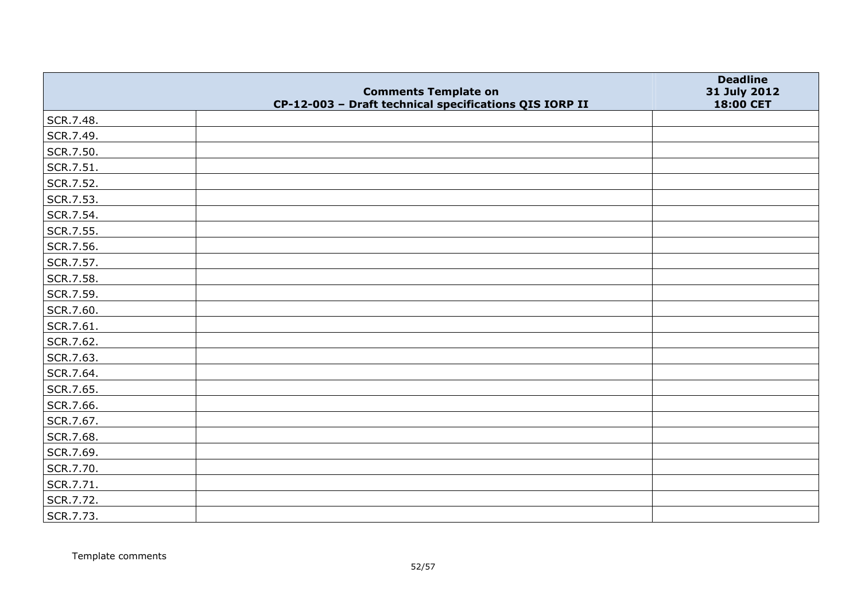|           |                                                                                       | <b>Deadline</b>           |
|-----------|---------------------------------------------------------------------------------------|---------------------------|
|           | <b>Comments Template on</b><br>CP-12-003 - Draft technical specifications QIS IORP II | 31 July 2012<br>18:00 CET |
| SCR.7.48. |                                                                                       |                           |
| SCR.7.49. |                                                                                       |                           |
| SCR.7.50. |                                                                                       |                           |
| SCR.7.51. |                                                                                       |                           |
| SCR.7.52. |                                                                                       |                           |
| SCR.7.53. |                                                                                       |                           |
| SCR.7.54. |                                                                                       |                           |
| SCR.7.55. |                                                                                       |                           |
| SCR.7.56. |                                                                                       |                           |
| SCR.7.57. |                                                                                       |                           |
| SCR.7.58. |                                                                                       |                           |
| SCR.7.59. |                                                                                       |                           |
| SCR.7.60. |                                                                                       |                           |
| SCR.7.61. |                                                                                       |                           |
| SCR.7.62. |                                                                                       |                           |
| SCR.7.63. |                                                                                       |                           |
| SCR.7.64. |                                                                                       |                           |
| SCR.7.65. |                                                                                       |                           |
| SCR.7.66. |                                                                                       |                           |
| SCR.7.67. |                                                                                       |                           |
| SCR.7.68. |                                                                                       |                           |
| SCR.7.69. |                                                                                       |                           |
| SCR.7.70. |                                                                                       |                           |
| SCR.7.71. |                                                                                       |                           |
| SCR.7.72. |                                                                                       |                           |
| SCR.7.73. |                                                                                       |                           |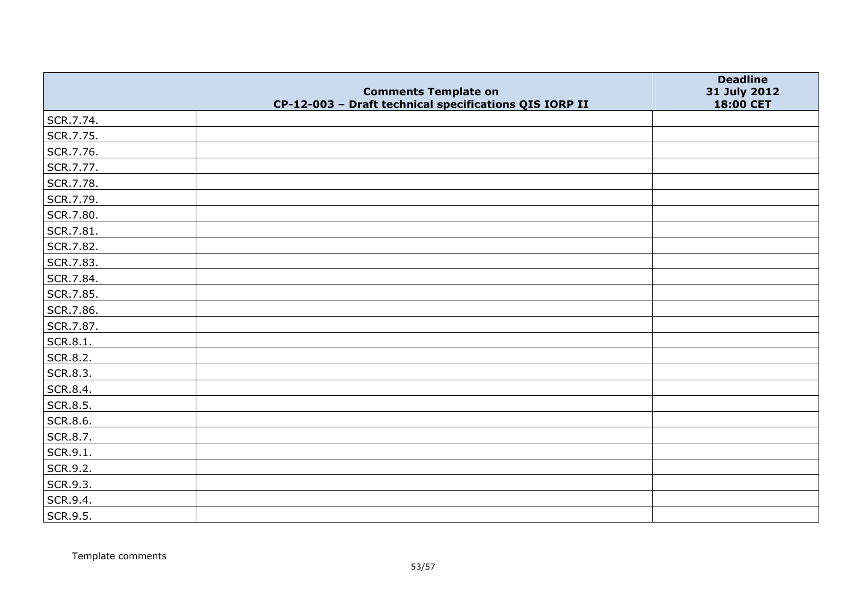|           |                                                                                       | <b>Deadline</b>                  |
|-----------|---------------------------------------------------------------------------------------|----------------------------------|
|           | <b>Comments Template on</b><br>CP-12-003 - Draft technical specifications QIS IORP II | 31 July 2012<br><b>18:00 CET</b> |
| SCR.7.74. |                                                                                       |                                  |
| SCR.7.75. |                                                                                       |                                  |
| SCR.7.76. |                                                                                       |                                  |
| SCR.7.77. |                                                                                       |                                  |
| SCR.7.78. |                                                                                       |                                  |
| SCR.7.79. |                                                                                       |                                  |
| SCR.7.80. |                                                                                       |                                  |
| SCR.7.81. |                                                                                       |                                  |
| SCR.7.82. |                                                                                       |                                  |
| SCR.7.83. |                                                                                       |                                  |
| SCR.7.84. |                                                                                       |                                  |
| SCR.7.85. |                                                                                       |                                  |
| SCR.7.86. |                                                                                       |                                  |
| SCR.7.87. |                                                                                       |                                  |
| SCR.8.1.  |                                                                                       |                                  |
| SCR.8.2.  |                                                                                       |                                  |
| SCR.8.3.  |                                                                                       |                                  |
| SCR.8.4.  |                                                                                       |                                  |
| SCR.8.5.  |                                                                                       |                                  |
| SCR.8.6.  |                                                                                       |                                  |
| SCR.8.7.  |                                                                                       |                                  |
| SCR.9.1.  |                                                                                       |                                  |
| SCR.9.2.  |                                                                                       |                                  |
| SCR.9.3.  |                                                                                       |                                  |
| SCR.9.4.  |                                                                                       |                                  |
| SCR.9.5.  |                                                                                       |                                  |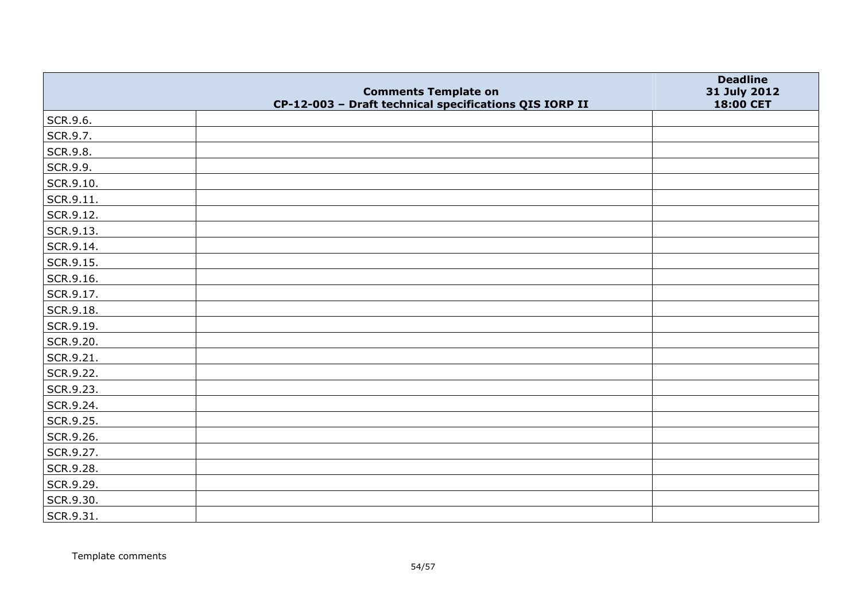|                   |                                                                                       | <b>Deadline</b>           |
|-------------------|---------------------------------------------------------------------------------------|---------------------------|
|                   | <b>Comments Template on</b><br>CP-12-003 - Draft technical specifications QIS IORP II | 31 July 2012<br>18:00 CET |
| SCR.9.6.          |                                                                                       |                           |
| SCR.9.7.          |                                                                                       |                           |
| SCR.9.8.          |                                                                                       |                           |
| SCR.9.9.          |                                                                                       |                           |
| SCR.9.10.         |                                                                                       |                           |
| $\vert$ SCR.9.11. |                                                                                       |                           |
| SCR.9.12.         |                                                                                       |                           |
| SCR.9.13.         |                                                                                       |                           |
| SCR.9.14.         |                                                                                       |                           |
| SCR.9.15.         |                                                                                       |                           |
| SCR.9.16.         |                                                                                       |                           |
| SCR.9.17.         |                                                                                       |                           |
| SCR.9.18.         |                                                                                       |                           |
| SCR.9.19.         |                                                                                       |                           |
| SCR.9.20.         |                                                                                       |                           |
| SCR.9.21.         |                                                                                       |                           |
| SCR.9.22.         |                                                                                       |                           |
| SCR.9.23.         |                                                                                       |                           |
| SCR.9.24.         |                                                                                       |                           |
| SCR.9.25.         |                                                                                       |                           |
| SCR.9.26.         |                                                                                       |                           |
| SCR.9.27.         |                                                                                       |                           |
| SCR.9.28.         |                                                                                       |                           |
| SCR.9.29.         |                                                                                       |                           |
| SCR.9.30.         |                                                                                       |                           |
| SCR.9.31.         |                                                                                       |                           |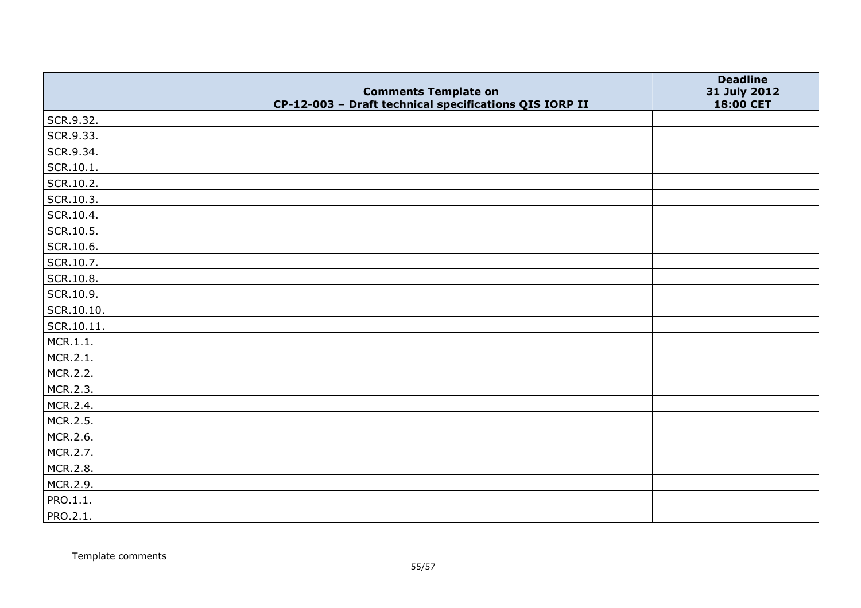|            |                                                                                       | <b>Deadline</b>           |
|------------|---------------------------------------------------------------------------------------|---------------------------|
|            | <b>Comments Template on</b><br>CP-12-003 - Draft technical specifications QIS IORP II | 31 July 2012<br>18:00 CET |
| SCR.9.32.  |                                                                                       |                           |
| SCR.9.33.  |                                                                                       |                           |
| SCR.9.34.  |                                                                                       |                           |
| SCR.10.1.  |                                                                                       |                           |
| SCR.10.2.  |                                                                                       |                           |
| SCR.10.3.  |                                                                                       |                           |
| SCR.10.4.  |                                                                                       |                           |
| SCR.10.5.  |                                                                                       |                           |
| SCR.10.6.  |                                                                                       |                           |
| SCR.10.7.  |                                                                                       |                           |
| SCR.10.8.  |                                                                                       |                           |
| SCR.10.9.  |                                                                                       |                           |
| SCR.10.10. |                                                                                       |                           |
| SCR.10.11. |                                                                                       |                           |
| MCR.1.1.   |                                                                                       |                           |
| MCR.2.1.   |                                                                                       |                           |
| MCR.2.2.   |                                                                                       |                           |
| MCR.2.3.   |                                                                                       |                           |
| MCR.2.4.   |                                                                                       |                           |
| MCR.2.5.   |                                                                                       |                           |
| MCR.2.6.   |                                                                                       |                           |
| MCR.2.7.   |                                                                                       |                           |
| MCR.2.8.   |                                                                                       |                           |
| MCR.2.9.   |                                                                                       |                           |
| PRO.1.1.   |                                                                                       |                           |
| PRO.2.1.   |                                                                                       |                           |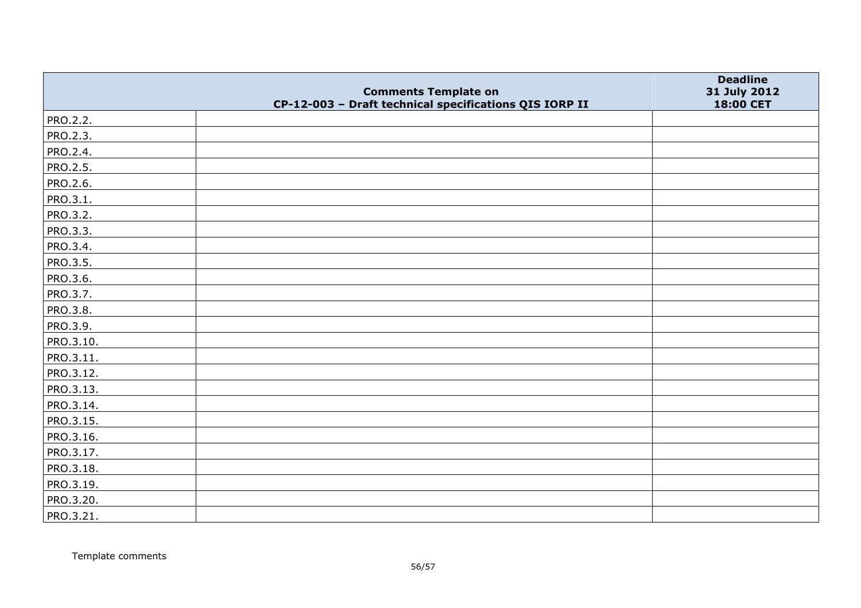|           |                                                                                       | <b>Deadline</b>           |
|-----------|---------------------------------------------------------------------------------------|---------------------------|
|           | <b>Comments Template on</b><br>CP-12-003 - Draft technical specifications QIS IORP II | 31 July 2012<br>18:00 CET |
| PRO.2.2.  |                                                                                       |                           |
| PRO.2.3.  |                                                                                       |                           |
| PRO.2.4.  |                                                                                       |                           |
| PRO.2.5.  |                                                                                       |                           |
| PRO.2.6.  |                                                                                       |                           |
| PRO.3.1.  |                                                                                       |                           |
| PRO.3.2.  |                                                                                       |                           |
| PRO.3.3.  |                                                                                       |                           |
| PRO.3.4.  |                                                                                       |                           |
| PRO.3.5.  |                                                                                       |                           |
| PRO.3.6.  |                                                                                       |                           |
| PRO.3.7.  |                                                                                       |                           |
| PRO.3.8.  |                                                                                       |                           |
| PRO.3.9.  |                                                                                       |                           |
| PRO.3.10. |                                                                                       |                           |
| PRO.3.11. |                                                                                       |                           |
| PRO.3.12. |                                                                                       |                           |
| PRO.3.13. |                                                                                       |                           |
| PRO.3.14. |                                                                                       |                           |
| PRO.3.15. |                                                                                       |                           |
| PRO.3.16. |                                                                                       |                           |
| PRO.3.17. |                                                                                       |                           |
| PRO.3.18. |                                                                                       |                           |
| PRO.3.19. |                                                                                       |                           |
| PRO.3.20. |                                                                                       |                           |
| PRO.3.21. |                                                                                       |                           |